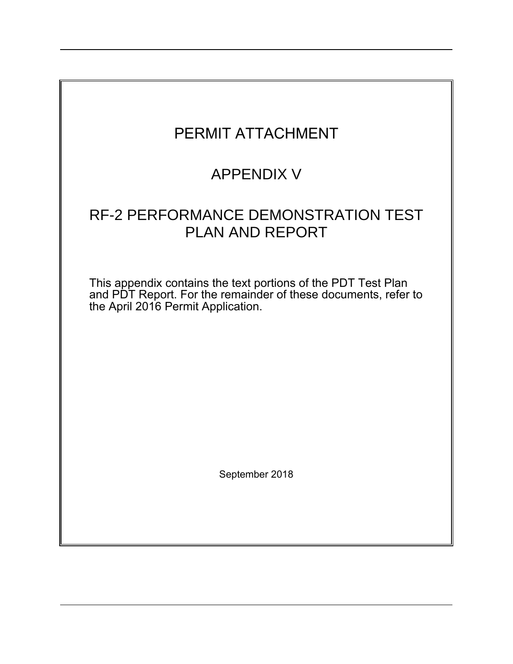| PERMIT ATTACHMENT                                                                                                                                                     |
|-----------------------------------------------------------------------------------------------------------------------------------------------------------------------|
| <b>APPENDIX V</b>                                                                                                                                                     |
| RF-2 PERFORMANCE DEMONSTRATION TEST<br><b>PLAN AND REPORT</b>                                                                                                         |
| This appendix contains the text portions of the PDT Test Plan<br>and PDT Report. For the remainder of these documents, refer to<br>the April 2016 Permit Application. |
|                                                                                                                                                                       |
|                                                                                                                                                                       |
| September 2018                                                                                                                                                        |
|                                                                                                                                                                       |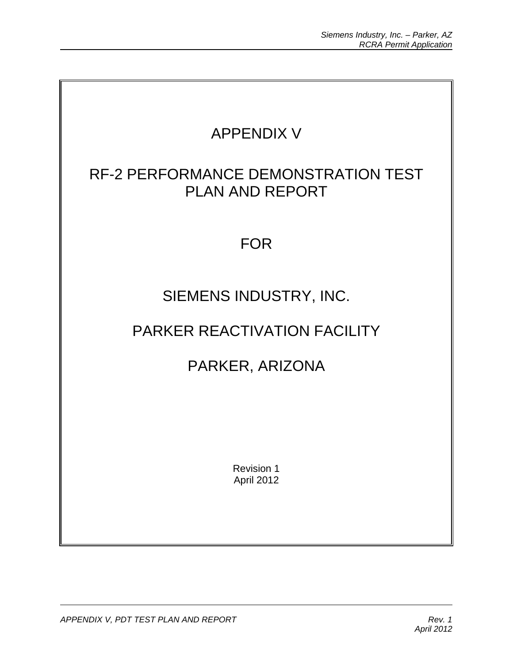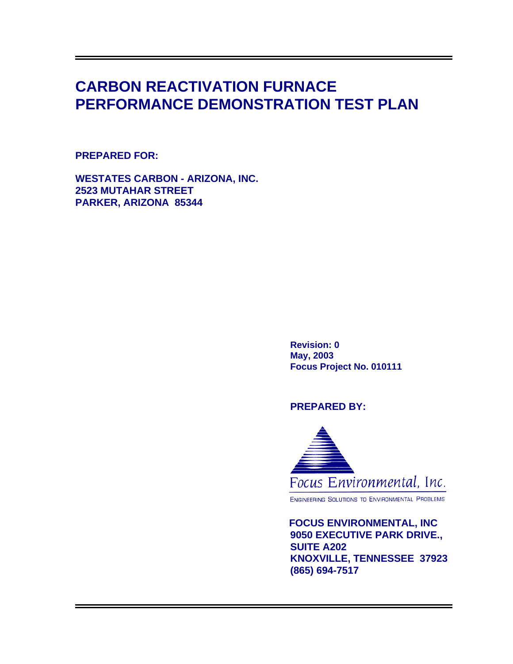# **CARBON REACTIVATION FURNACE PERFORMANCE DEMONSTRATION TEST PLAN**

# **PREPARED FOR:**

**WESTATES CARBON - ARIZONA, INC. 2523 MUTAHAR STREET PARKER, ARIZONA 85344** 

> **Revision: 0 May, 2003 Focus Project No. 010111**

# **PREPARED BY:**



ENGINEERING SOLUTIONS TO ENVIRONMENTAL PROBLEMS

 **FOCUS ENVIRONMENTAL, INC 9050 EXECUTIVE PARK DRIVE., SUITE A202 KNOXVILLE, TENNESSEE 37923 (865) 694-7517**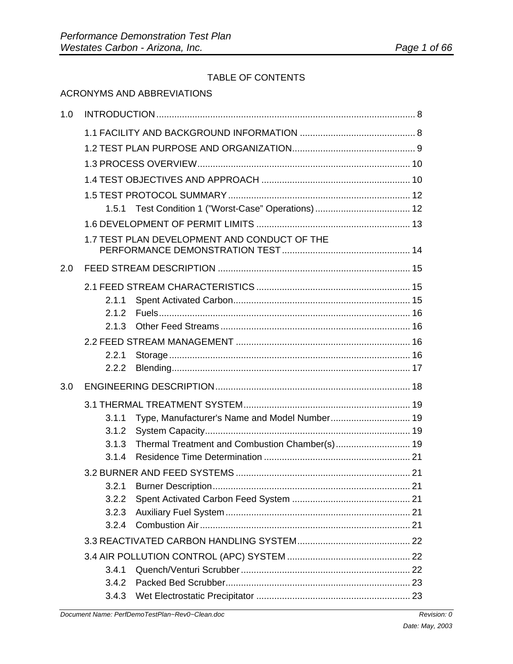# TABLE OF CONTENTS

|     | TABLE OF CONTENTS                                                                                                                                                                                                              |    |
|-----|--------------------------------------------------------------------------------------------------------------------------------------------------------------------------------------------------------------------------------|----|
|     | <b>ACRONYMS AND ABBREVIATIONS</b>                                                                                                                                                                                              |    |
| 1.0 |                                                                                                                                                                                                                                |    |
|     |                                                                                                                                                                                                                                |    |
|     |                                                                                                                                                                                                                                |    |
|     |                                                                                                                                                                                                                                |    |
|     |                                                                                                                                                                                                                                |    |
|     |                                                                                                                                                                                                                                |    |
|     |                                                                                                                                                                                                                                |    |
|     |                                                                                                                                                                                                                                |    |
|     | 1.7 TEST PLAN DEVELOPMENT AND CONDUCT OF THE                                                                                                                                                                                   |    |
| 2.0 |                                                                                                                                                                                                                                |    |
|     |                                                                                                                                                                                                                                |    |
|     | 2.1.1                                                                                                                                                                                                                          |    |
|     | 2.1.2                                                                                                                                                                                                                          |    |
|     |                                                                                                                                                                                                                                |    |
|     |                                                                                                                                                                                                                                |    |
|     | 2.2.1                                                                                                                                                                                                                          |    |
|     | 2.2.2                                                                                                                                                                                                                          |    |
| 3.0 |                                                                                                                                                                                                                                |    |
|     | 3 1 THERMAL TREATMENT SYSTEM SERVICES AND THE RESERVE THE RESERVE THE RESERVE THAT THE RESERVE THAT THE RESERVE THAT THE RESERVE THAT THE RESERVE THAT THE RESERVE THAT THE RESERVE THAT THE RESERVE THAT THE RESERVE THAT THE | 10 |

| 2.2.1 |                                                        |
|-------|--------------------------------------------------------|
| 2.2.2 |                                                        |
|       |                                                        |
|       |                                                        |
| 3.1.1 |                                                        |
| 3.1.2 |                                                        |
| 3.1.3 |                                                        |
| 3.1.4 |                                                        |
|       |                                                        |
| 3.2.1 |                                                        |
| 3.2.2 |                                                        |
| 3.2.3 |                                                        |
| 3.2.4 |                                                        |
|       |                                                        |
|       |                                                        |
| 3.4.1 |                                                        |
| 3.4.2 |                                                        |
| 3.4.3 |                                                        |
|       | 2.1.3<br>Type, Manufacturer's Name and Model Number 19 |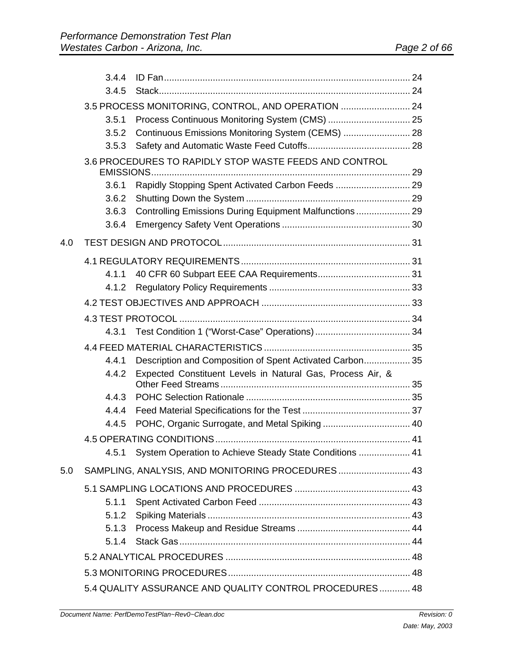|     | 3.4.4 |                                                            |  |
|-----|-------|------------------------------------------------------------|--|
|     | 3.4.5 |                                                            |  |
|     |       | 3.5 PROCESS MONITORING, CONTROL, AND OPERATION  24         |  |
|     | 3.5.1 |                                                            |  |
|     | 3.5.2 | Continuous Emissions Monitoring System (CEMS)  28          |  |
|     | 3.5.3 |                                                            |  |
|     |       | 3.6 PROCEDURES TO RAPIDLY STOP WASTE FEEDS AND CONTROL     |  |
|     | 3.6.1 |                                                            |  |
|     | 3.6.2 |                                                            |  |
|     | 3.6.3 | Controlling Emissions During Equipment Malfunctions  29    |  |
|     | 3.6.4 |                                                            |  |
| 4.0 |       |                                                            |  |
|     |       |                                                            |  |
|     | 4.1.1 |                                                            |  |
|     | 4.1.2 |                                                            |  |
|     |       |                                                            |  |
|     |       |                                                            |  |
|     | 4.3.1 |                                                            |  |
|     |       |                                                            |  |
|     | 4.4.1 | Description and Composition of Spent Activated Carbon 35   |  |
|     | 4.4.2 | Expected Constituent Levels in Natural Gas, Process Air, & |  |
|     | 4.4.3 |                                                            |  |
|     | 4.4.4 |                                                            |  |
|     | 4.4.5 |                                                            |  |
|     |       |                                                            |  |
|     | 4.5.1 | System Operation to Achieve Steady State Conditions  41    |  |
| 5.0 |       | SAMPLING, ANALYSIS, AND MONITORING PROCEDURES 43           |  |
|     |       |                                                            |  |
|     | 5.1.1 |                                                            |  |
|     | 5.1.2 |                                                            |  |
|     | 5.1.3 |                                                            |  |
|     |       |                                                            |  |
|     |       |                                                            |  |
|     |       |                                                            |  |
|     |       | 5.4 QUALITY ASSURANCE AND QUALITY CONTROL PROCEDURES 48    |  |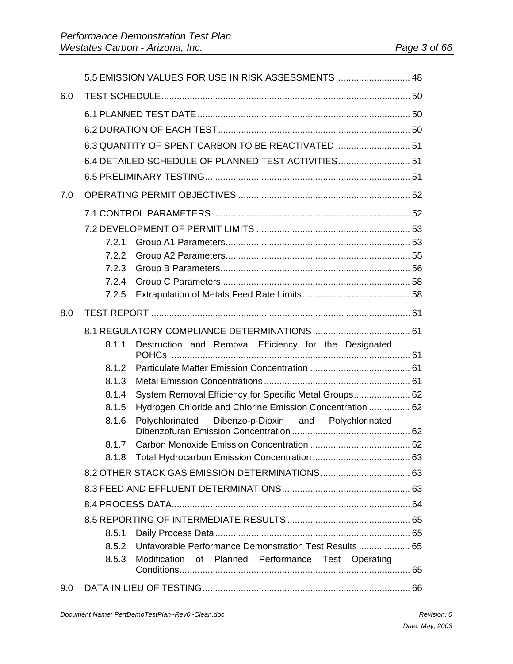|     |       | 5.5 EMISSION VALUES FOR USE IN RISK ASSESSMENTS  48       |  |
|-----|-------|-----------------------------------------------------------|--|
| 6.0 |       |                                                           |  |
|     |       |                                                           |  |
|     |       |                                                           |  |
|     |       | 6.3 QUANTITY OF SPENT CARBON TO BE REACTIVATED  51        |  |
|     |       | 6.4 DETAILED SCHEDULE OF PLANNED TEST ACTIVITIES 51       |  |
|     |       |                                                           |  |
| 7.0 |       |                                                           |  |
|     |       |                                                           |  |
|     |       |                                                           |  |
|     | 7.2.1 |                                                           |  |
|     | 7.2.2 |                                                           |  |
|     | 7.2.3 |                                                           |  |
|     | 7.2.4 |                                                           |  |
|     | 7.2.5 |                                                           |  |
| 8.0 |       |                                                           |  |
|     |       |                                                           |  |
|     | 8.1.1 | Destruction and Removal Efficiency for the Designated     |  |
|     | 8.1.2 |                                                           |  |
|     | 8.1.3 |                                                           |  |
|     | 8.1.4 | System Removal Efficiency for Specific Metal Groups 62    |  |
|     | 8.1.5 | Hydrogen Chloride and Chlorine Emission Concentration  62 |  |
|     | 8.1.6 | Polychlorinated Dibenzo-p-Dioxin and Polychlorinated      |  |
|     |       |                                                           |  |
|     | 8.1.8 |                                                           |  |
|     |       |                                                           |  |
|     |       |                                                           |  |
|     |       |                                                           |  |
|     |       |                                                           |  |
|     | 8.5.1 |                                                           |  |
|     | 8.5.2 | Unfavorable Performance Demonstration Test Results  65    |  |
|     | 8.5.3 | Modification of Planned Performance Test Operating        |  |
| 9.0 |       |                                                           |  |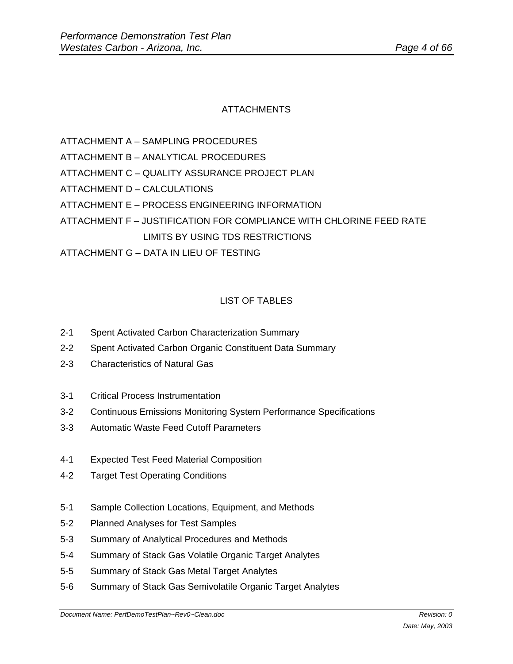# ATTACHMENTS

ATTACHMENT A – SAMPLING PROCEDURES

ATTACHMENT B – ANALYTICAL PROCEDURES

- ATTACHMENT C QUALITY ASSURANCE PROJECT PLAN
- ATTACHMENT D CALCULATIONS
- ATTACHMENT E PROCESS ENGINEERING INFORMATION

ATTACHMENT F – JUSTIFICATION FOR COMPLIANCE WITH CHLORINE FEED RATE LIMITS BY USING TDS RESTRICTIONS

ATTACHMENT G – DATA IN LIEU OF TESTING

# LIST OF TABLES

- 2-1 Spent Activated Carbon Characterization Summary
- 2-2 Spent Activated Carbon Organic Constituent Data Summary
- 2-3 Characteristics of Natural Gas
- 3-1 Critical Process Instrumentation
- 3-2 Continuous Emissions Monitoring System Performance Specifications
- 3-3 Automatic Waste Feed Cutoff Parameters
- 4-1 Expected Test Feed Material Composition
- 4-2 Target Test Operating Conditions
- 5-1 Sample Collection Locations, Equipment, and Methods
- 5-2 Planned Analyses for Test Samples
- 5-3 Summary of Analytical Procedures and Methods
- 5-4 Summary of Stack Gas Volatile Organic Target Analytes
- 5-5 Summary of Stack Gas Metal Target Analytes
- 5-6 Summary of Stack Gas Semivolatile Organic Target Analytes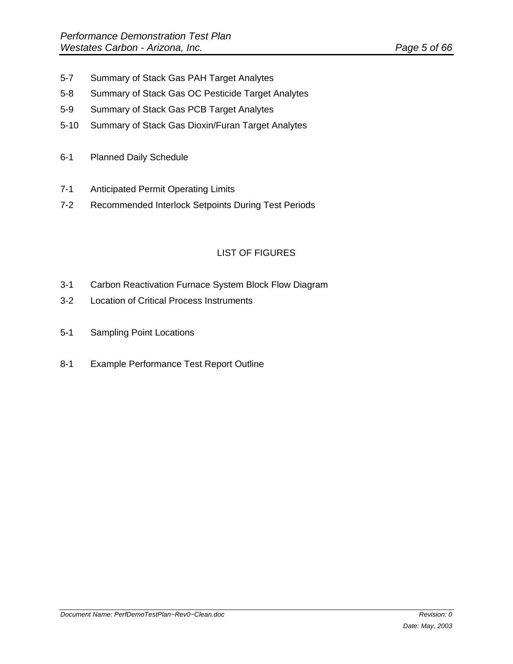- 5-7 Summary of Stack Gas PAH Target Analytes
- 5-8 Summary of Stack Gas OC Pesticide Target Analytes
- 5-9 Summary of Stack Gas PCB Target Analytes
- 5-10 Summary of Stack Gas Dioxin/Furan Target Analytes
- 6-1 Planned Daily Schedule
- 7-1 Anticipated Permit Operating Limits
- 7-2 Recommended Interlock Setpoints During Test Periods

# LIST OF FIGURES

- 3-1 Carbon Reactivation Furnace System Block Flow Diagram
- 3-2 Location of Critical Process Instruments
- 5-1 Sampling Point Locations
- 8-1 Example Performance Test Report Outline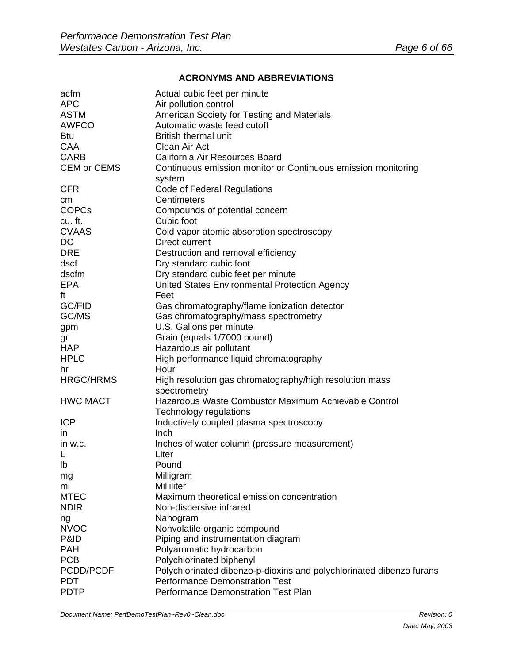#### **ACRONYMS AND ABBREVIATIONS**

| acfm               | Actual cubic feet per minute                                         |
|--------------------|----------------------------------------------------------------------|
| <b>APC</b>         | Air pollution control                                                |
| <b>ASTM</b>        | American Society for Testing and Materials                           |
| <b>AWFCO</b>       | Automatic waste feed cutoff                                          |
| <b>Btu</b>         | <b>British thermal unit</b>                                          |
| CAA                | Clean Air Act                                                        |
| <b>CARB</b>        | California Air Resources Board                                       |
| <b>CEM or CEMS</b> | Continuous emission monitor or Continuous emission monitoring        |
|                    | system                                                               |
| <b>CFR</b>         | Code of Federal Regulations                                          |
| cm                 | Centimeters                                                          |
| <b>COPCs</b>       | Compounds of potential concern                                       |
| cu. ft.            | Cubic foot                                                           |
| <b>CVAAS</b>       | Cold vapor atomic absorption spectroscopy                            |
| DC                 | Direct current                                                       |
| <b>DRE</b>         | Destruction and removal efficiency                                   |
| dscf               | Dry standard cubic foot                                              |
| dscfm              | Dry standard cubic feet per minute                                   |
| <b>EPA</b>         | United States Environmental Protection Agency                        |
| ft                 | Feet                                                                 |
| GC/FID             | Gas chromatography/flame ionization detector                         |
| GC/MS              | Gas chromatography/mass spectrometry                                 |
| gpm                | U.S. Gallons per minute                                              |
| gr                 | Grain (equals 1/7000 pound)                                          |
| <b>HAP</b>         | Hazardous air pollutant                                              |
| <b>HPLC</b>        | High performance liquid chromatography                               |
| hr                 | Hour                                                                 |
| <b>HRGC/HRMS</b>   | High resolution gas chromatography/high resolution mass              |
|                    | spectrometry                                                         |
| <b>HWC MACT</b>    | Hazardous Waste Combustor Maximum Achievable Control                 |
|                    | Technology regulations                                               |
| <b>ICP</b>         | Inductively coupled plasma spectroscopy                              |
| $\mathsf{I}$       | Inch                                                                 |
| in w.c.            | Inches of water column (pressure measurement)                        |
| L                  | Liter                                                                |
| Ib                 | Pound                                                                |
| mg                 | Milligram                                                            |
| ml                 | Milliliter                                                           |
| <b>MTEC</b>        | Maximum theoretical emission concentration                           |
| <b>NDIR</b>        | Non-dispersive infrared                                              |
| ng                 | Nanogram                                                             |
| <b>NVOC</b>        | Nonvolatile organic compound                                         |
| P&ID               | Piping and instrumentation diagram                                   |
| <b>PAH</b>         | Polyaromatic hydrocarbon                                             |
| <b>PCB</b>         | Polychlorinated biphenyl                                             |
| PCDD/PCDF          | Polychlorinated dibenzo-p-dioxins and polychlorinated dibenzo furans |
| <b>PDT</b>         | <b>Performance Demonstration Test</b>                                |
| <b>PDTP</b>        | Performance Demonstration Test Plan                                  |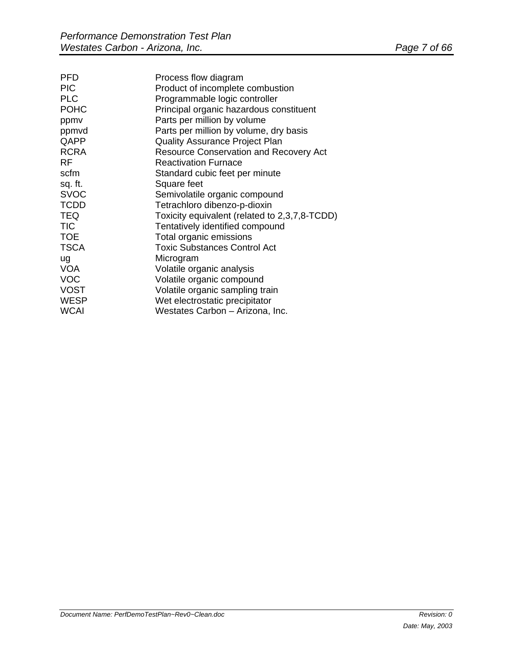| Process flow diagram                          |
|-----------------------------------------------|
| Product of incomplete combustion              |
| Programmable logic controller                 |
| Principal organic hazardous constituent       |
| Parts per million by volume                   |
| Parts per million by volume, dry basis        |
| <b>Quality Assurance Project Plan</b>         |
| <b>Resource Conservation and Recovery Act</b> |
| <b>Reactivation Furnace</b>                   |
| Standard cubic feet per minute                |
| Square feet                                   |
| Semivolatile organic compound                 |
| Tetrachloro dibenzo-p-dioxin                  |
| Toxicity equivalent (related to 2,3,7,8-TCDD) |
| Tentatively identified compound               |
| Total organic emissions                       |
| <b>Toxic Substances Control Act</b>           |
| Microgram                                     |
| Volatile organic analysis                     |
| Volatile organic compound                     |
| Volatile organic sampling train               |
| Wet electrostatic precipitator                |
| Westates Carbon - Arizona, Inc.               |
|                                               |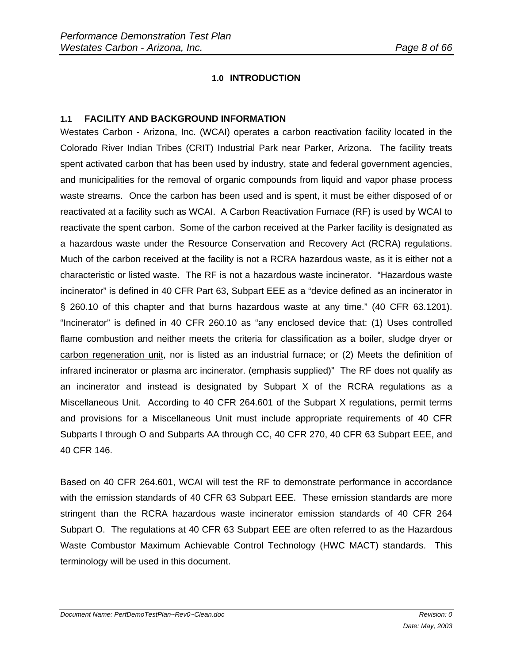# **1.0 INTRODUCTION**

#### **1.1 FACILITY AND BACKGROUND INFORMATION**

Westates Carbon - Arizona, Inc. (WCAI) operates a carbon reactivation facility located in the Colorado River Indian Tribes (CRIT) Industrial Park near Parker, Arizona. The facility treats spent activated carbon that has been used by industry, state and federal government agencies, and municipalities for the removal of organic compounds from liquid and vapor phase process waste streams. Once the carbon has been used and is spent, it must be either disposed of or reactivated at a facility such as WCAI. A Carbon Reactivation Furnace (RF) is used by WCAI to reactivate the spent carbon. Some of the carbon received at the Parker facility is designated as a hazardous waste under the Resource Conservation and Recovery Act (RCRA) regulations. Much of the carbon received at the facility is not a RCRA hazardous waste, as it is either not a characteristic or listed waste. The RF is not a hazardous waste incinerator. "Hazardous waste incinerator" is defined in 40 CFR Part 63, Subpart EEE as a "device defined as an incinerator in § 260.10 of this chapter and that burns hazardous waste at any time." (40 CFR 63.1201). "Incinerator" is defined in 40 CFR 260.10 as "any enclosed device that: (1) Uses controlled flame combustion and neither meets the criteria for classification as a boiler, sludge dryer or carbon regeneration unit, nor is listed as an industrial furnace; or (2) Meets the definition of infrared incinerator or plasma arc incinerator. (emphasis supplied)" The RF does not qualify as an incinerator and instead is designated by Subpart X of the RCRA regulations as a Miscellaneous Unit. According to 40 CFR 264.601 of the Subpart X regulations, permit terms and provisions for a Miscellaneous Unit must include appropriate requirements of 40 CFR Subparts I through O and Subparts AA through CC, 40 CFR 270, 40 CFR 63 Subpart EEE, and 40 CFR 146.

Based on 40 CFR 264.601, WCAI will test the RF to demonstrate performance in accordance with the emission standards of 40 CFR 63 Subpart EEE. These emission standards are more stringent than the RCRA hazardous waste incinerator emission standards of 40 CFR 264 Subpart O. The regulations at 40 CFR 63 Subpart EEE are often referred to as the Hazardous Waste Combustor Maximum Achievable Control Technology (HWC MACT) standards. This terminology will be used in this document.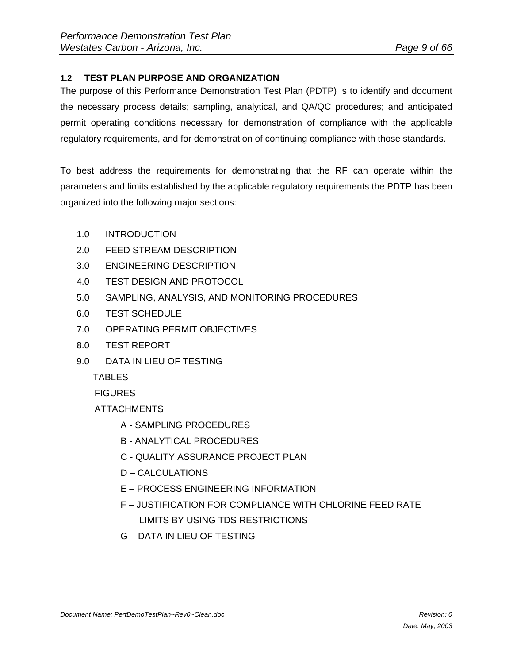# **1.2 TEST PLAN PURPOSE AND ORGANIZATION**

The purpose of this Performance Demonstration Test Plan (PDTP) is to identify and document the necessary process details; sampling, analytical, and QA/QC procedures; and anticipated permit operating conditions necessary for demonstration of compliance with the applicable regulatory requirements, and for demonstration of continuing compliance with those standards.

To best address the requirements for demonstrating that the RF can operate within the parameters and limits established by the applicable regulatory requirements the PDTP has been organized into the following major sections:

- 1.0 INTRODUCTION
- 2.0 FEED STREAM DESCRIPTION
- 3.0 ENGINEERING DESCRIPTION
- 4.0 TEST DESIGN AND PROTOCOL
- 5.0 SAMPLING, ANALYSIS, AND MONITORING PROCEDURES
- 6.0 TEST SCHEDULE
- 7.0 OPERATING PERMIT OBJECTIVES
- 8.0 TEST REPORT
- 9.0 DATA IN LIEU OF TESTING

**TABLES** 

**FIGURES** 

ATTACHMENTS

- A SAMPLING PROCEDURES
- B ANALYTICAL PROCEDURES
- C QUALITY ASSURANCE PROJECT PLAN
- D CALCULATIONS
- E PROCESS ENGINEERING INFORMATION
- F JUSTIFICATION FOR COMPLIANCE WITH CHLORINE FEED RATE LIMITS BY USING TDS RESTRICTIONS
- G DATA IN LIEU OF TESTING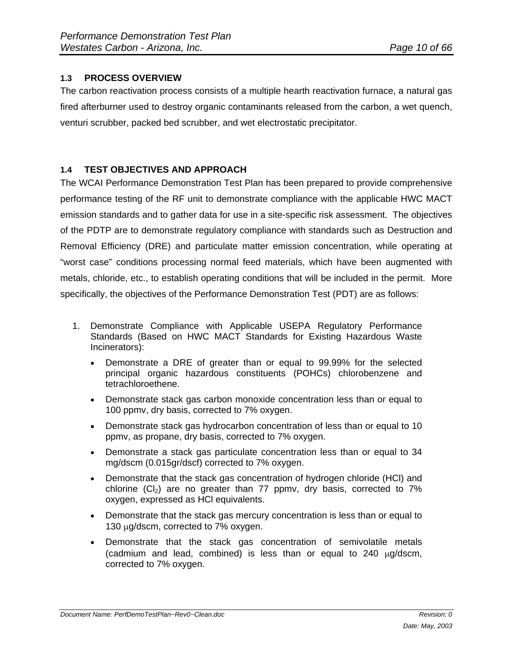# **1.3 PROCESS OVERVIEW**

The carbon reactivation process consists of a multiple hearth reactivation furnace, a natural gas fired afterburner used to destroy organic contaminants released from the carbon, a wet quench, venturi scrubber, packed bed scrubber, and wet electrostatic precipitator.

#### **1.4 TEST OBJECTIVES AND APPROACH**

The WCAI Performance Demonstration Test Plan has been prepared to provide comprehensive performance testing of the RF unit to demonstrate compliance with the applicable HWC MACT emission standards and to gather data for use in a site-specific risk assessment. The objectives of the PDTP are to demonstrate regulatory compliance with standards such as Destruction and Removal Efficiency (DRE) and particulate matter emission concentration, while operating at "worst case" conditions processing normal feed materials, which have been augmented with metals, chloride, etc., to establish operating conditions that will be included in the permit. More specifically, the objectives of the Performance Demonstration Test (PDT) are as follows:

- 1. Demonstrate Compliance with Applicable USEPA Regulatory Performance Standards (Based on HWC MACT Standards for Existing Hazardous Waste Incinerators):
	- Demonstrate a DRE of greater than or equal to 99.99% for the selected principal organic hazardous constituents (POHCs) chlorobenzene and tetrachloroethene.
	- Demonstrate stack gas carbon monoxide concentration less than or equal to 100 ppmv, dry basis, corrected to 7% oxygen.
	- Demonstrate stack gas hydrocarbon concentration of less than or equal to 10 ppmv, as propane, dry basis, corrected to 7% oxygen.
	- Demonstrate a stack gas particulate concentration less than or equal to 34 mg/dscm (0.015gr/dscf) corrected to 7% oxygen.
	- Demonstrate that the stack gas concentration of hydrogen chloride (HCl) and chlorine  $(Cl<sub>2</sub>)$  are no greater than 77 ppmv, dry basis, corrected to 7% oxygen, expressed as HCl equivalents.
	- Demonstrate that the stack gas mercury concentration is less than or equal to 130  $\mu$ g/dscm, corrected to 7% oxygen.
	- Demonstrate that the stack gas concentration of semivolatile metals (cadmium and lead, combined) is less than or equal to  $240 \mu g/ds$ cm, corrected to 7% oxygen.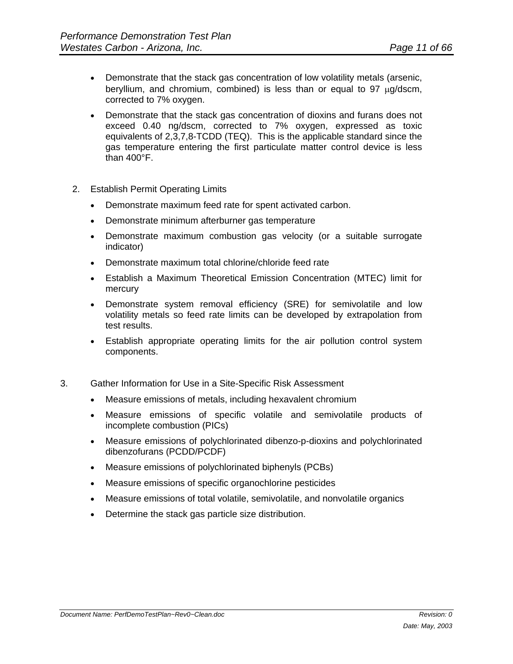- Demonstrate that the stack gas concentration of low volatility metals (arsenic, beryllium, and chromium, combined) is less than or equal to 97  $\mu$ g/dscm, corrected to 7% oxygen.
- Demonstrate that the stack gas concentration of dioxins and furans does not exceed 0.40 ng/dscm, corrected to 7% oxygen, expressed as toxic equivalents of 2,3,7,8-TCDD (TEQ). This is the applicable standard since the gas temperature entering the first particulate matter control device is less than 400°F.
- 2. Establish Permit Operating Limits
	- Demonstrate maximum feed rate for spent activated carbon.
	- Demonstrate minimum afterburner gas temperature
	- Demonstrate maximum combustion gas velocity (or a suitable surrogate indicator)
	- Demonstrate maximum total chlorine/chloride feed rate
	- Establish a Maximum Theoretical Emission Concentration (MTEC) limit for mercury
	- Demonstrate system removal efficiency (SRE) for semivolatile and low volatility metals so feed rate limits can be developed by extrapolation from test results.
	- Establish appropriate operating limits for the air pollution control system components.
- 3. Gather Information for Use in a Site-Specific Risk Assessment
	- Measure emissions of metals, including hexavalent chromium
	- Measure emissions of specific volatile and semivolatile products of incomplete combustion (PICs)
	- Measure emissions of polychlorinated dibenzo-p-dioxins and polychlorinated dibenzofurans (PCDD/PCDF)
	- Measure emissions of polychlorinated biphenyls (PCBs)
	- Measure emissions of specific organochlorine pesticides
	- Measure emissions of total volatile, semivolatile, and nonvolatile organics
	- Determine the stack gas particle size distribution.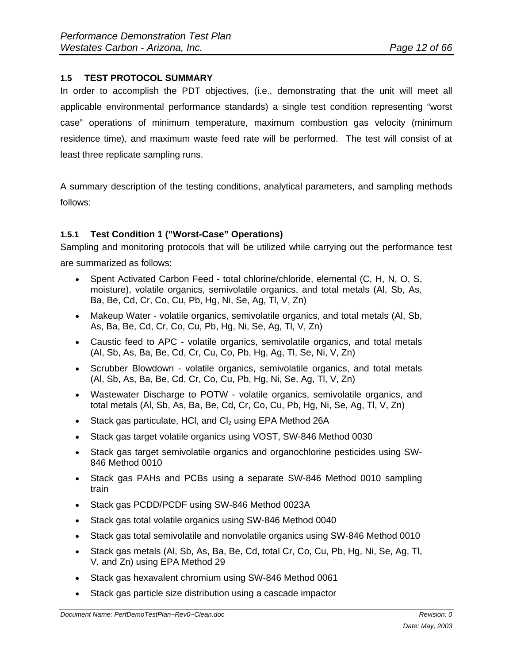# **1.5 TEST PROTOCOL SUMMARY**

In order to accomplish the PDT objectives, (i.e., demonstrating that the unit will meet all applicable environmental performance standards) a single test condition representing "worst case" operations of minimum temperature, maximum combustion gas velocity (minimum residence time), and maximum waste feed rate will be performed. The test will consist of at least three replicate sampling runs.

A summary description of the testing conditions, analytical parameters, and sampling methods follows:

# **1.5.1 Test Condition 1 ("Worst-Case" Operations)**

Sampling and monitoring protocols that will be utilized while carrying out the performance test are summarized as follows:

- Spent Activated Carbon Feed total chlorine/chloride, elemental (C, H, N, O, S, moisture), volatile organics, semivolatile organics, and total metals (Al, Sb, As, Ba, Be, Cd, Cr, Co, Cu, Pb, Hg, Ni, Se, Ag, Tl, V, Zn)
- Makeup Water volatile organics, semivolatile organics, and total metals (Al, Sb, As, Ba, Be, Cd, Cr, Co, Cu, Pb, Hg, Ni, Se, Ag, Tl, V, Zn)
- Caustic feed to APC volatile organics, semivolatile organics, and total metals (Al, Sb, As, Ba, Be, Cd, Cr, Cu, Co, Pb, Hg, Ag, Tl, Se, Ni, V, Zn)
- Scrubber Blowdown volatile organics, semivolatile organics, and total metals (Al, Sb, As, Ba, Be, Cd, Cr, Co, Cu, Pb, Hg, Ni, Se, Ag, Tl, V, Zn)
- Wastewater Discharge to POTW volatile organics, semivolatile organics, and total metals (Al, Sb, As, Ba, Be, Cd, Cr, Co, Cu, Pb, Hg, Ni, Se, Ag, Tl, V, Zn)
- $\bullet$  Stack gas particulate, HCI, and CI<sub>2</sub> using EPA Method 26A
- Stack gas target volatile organics using VOST, SW-846 Method 0030
- Stack gas target semivolatile organics and organochlorine pesticides using SW-846 Method 0010
- Stack gas PAHs and PCBs using a separate SW-846 Method 0010 sampling train
- Stack gas PCDD/PCDF using SW-846 Method 0023A
- Stack gas total volatile organics using SW-846 Method 0040
- Stack gas total semivolatile and nonvolatile organics using SW-846 Method 0010
- Stack gas metals (Al, Sb, As, Ba, Be, Cd, total Cr, Co, Cu, Pb, Hg, Ni, Se, Ag, Tl, V, and Zn) using EPA Method 29
- Stack gas hexavalent chromium using SW-846 Method 0061
- Stack gas particle size distribution using a cascade impactor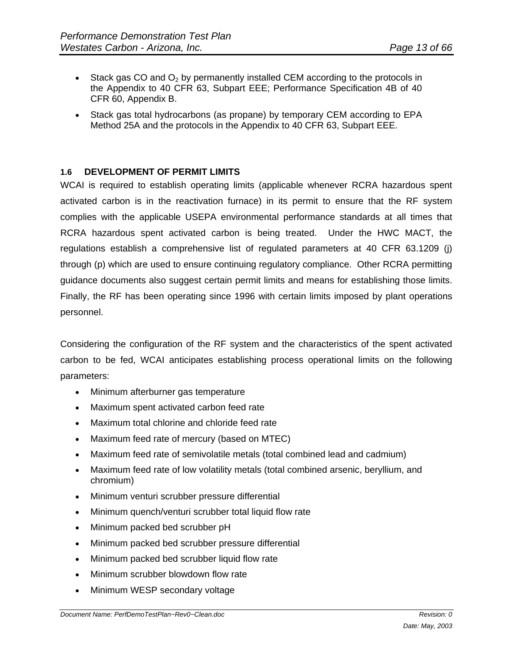- Stack gas CO and  $O_2$  by permanently installed CEM according to the protocols in the Appendix to 40 CFR 63, Subpart EEE; Performance Specification 4B of 40 CFR 60, Appendix B.
- Stack gas total hydrocarbons (as propane) by temporary CEM according to EPA Method 25A and the protocols in the Appendix to 40 CFR 63, Subpart EEE.

#### **1.6 DEVELOPMENT OF PERMIT LIMITS**

WCAI is required to establish operating limits (applicable whenever RCRA hazardous spent activated carbon is in the reactivation furnace) in its permit to ensure that the RF system complies with the applicable USEPA environmental performance standards at all times that RCRA hazardous spent activated carbon is being treated. Under the HWC MACT, the regulations establish a comprehensive list of regulated parameters at 40 CFR 63.1209 (j) through (p) which are used to ensure continuing regulatory compliance. Other RCRA permitting guidance documents also suggest certain permit limits and means for establishing those limits. Finally, the RF has been operating since 1996 with certain limits imposed by plant operations personnel.

Considering the configuration of the RF system and the characteristics of the spent activated carbon to be fed, WCAI anticipates establishing process operational limits on the following parameters:

- Minimum afterburner gas temperature
- Maximum spent activated carbon feed rate
- Maximum total chlorine and chloride feed rate
- Maximum feed rate of mercury (based on MTEC)
- Maximum feed rate of semivolatile metals (total combined lead and cadmium)
- Maximum feed rate of low volatility metals (total combined arsenic, beryllium, and chromium)
- Minimum venturi scrubber pressure differential
- Minimum quench/venturi scrubber total liquid flow rate
- Minimum packed bed scrubber pH
- Minimum packed bed scrubber pressure differential
- Minimum packed bed scrubber liquid flow rate
- Minimum scrubber blowdown flow rate
- Minimum WESP secondary voltage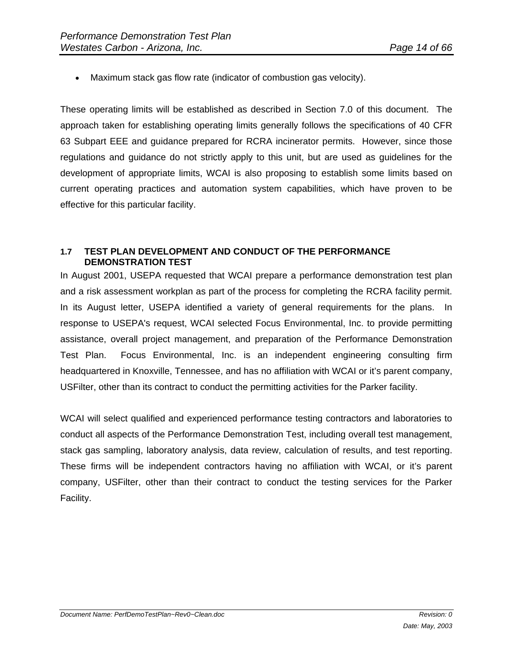Maximum stack gas flow rate (indicator of combustion gas velocity).

These operating limits will be established as described in Section 7.0 of this document. The approach taken for establishing operating limits generally follows the specifications of 40 CFR 63 Subpart EEE and guidance prepared for RCRA incinerator permits. However, since those regulations and guidance do not strictly apply to this unit, but are used as guidelines for the development of appropriate limits, WCAI is also proposing to establish some limits based on current operating practices and automation system capabilities, which have proven to be effective for this particular facility.

#### **1.7 TEST PLAN DEVELOPMENT AND CONDUCT OF THE PERFORMANCE DEMONSTRATION TEST**

In August 2001, USEPA requested that WCAI prepare a performance demonstration test plan and a risk assessment workplan as part of the process for completing the RCRA facility permit. In its August letter, USEPA identified a variety of general requirements for the plans. In response to USEPA's request, WCAI selected Focus Environmental, Inc. to provide permitting assistance, overall project management, and preparation of the Performance Demonstration Test Plan. Focus Environmental, Inc. is an independent engineering consulting firm headquartered in Knoxville, Tennessee, and has no affiliation with WCAI or it's parent company, USFilter, other than its contract to conduct the permitting activities for the Parker facility.

WCAI will select qualified and experienced performance testing contractors and laboratories to conduct all aspects of the Performance Demonstration Test, including overall test management, stack gas sampling, laboratory analysis, data review, calculation of results, and test reporting. These firms will be independent contractors having no affiliation with WCAI, or it's parent company, USFilter, other than their contract to conduct the testing services for the Parker Facility.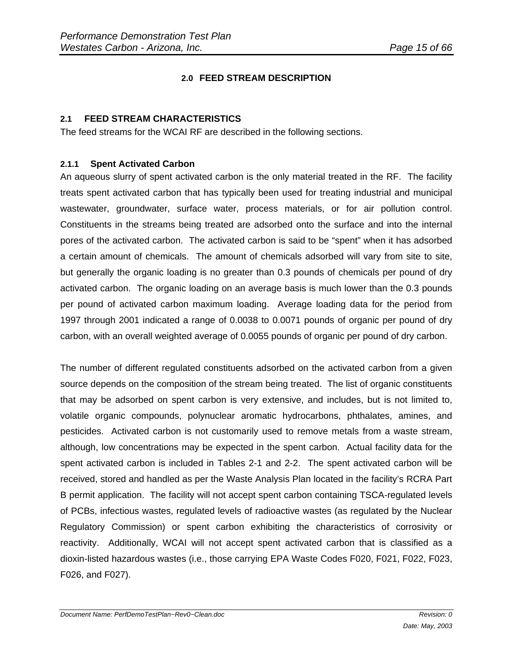# **2.0 FEED STREAM DESCRIPTION**

#### **2.1 FEED STREAM CHARACTERISTICS**

The feed streams for the WCAI RF are described in the following sections.

#### **2.1.1 Spent Activated Carbon**

An aqueous slurry of spent activated carbon is the only material treated in the RF. The facility treats spent activated carbon that has typically been used for treating industrial and municipal wastewater, groundwater, surface water, process materials, or for air pollution control. Constituents in the streams being treated are adsorbed onto the surface and into the internal pores of the activated carbon. The activated carbon is said to be "spent" when it has adsorbed a certain amount of chemicals. The amount of chemicals adsorbed will vary from site to site, but generally the organic loading is no greater than 0.3 pounds of chemicals per pound of dry activated carbon. The organic loading on an average basis is much lower than the 0.3 pounds per pound of activated carbon maximum loading. Average loading data for the period from 1997 through 2001 indicated a range of 0.0038 to 0.0071 pounds of organic per pound of dry carbon, with an overall weighted average of 0.0055 pounds of organic per pound of dry carbon.

The number of different regulated constituents adsorbed on the activated carbon from a given source depends on the composition of the stream being treated. The list of organic constituents that may be adsorbed on spent carbon is very extensive, and includes, but is not limited to, volatile organic compounds, polynuclear aromatic hydrocarbons, phthalates, amines, and pesticides. Activated carbon is not customarily used to remove metals from a waste stream, although, low concentrations may be expected in the spent carbon. Actual facility data for the spent activated carbon is included in Tables 2-1 and 2-2. The spent activated carbon will be received, stored and handled as per the Waste Analysis Plan located in the facility's RCRA Part B permit application. The facility will not accept spent carbon containing TSCA-regulated levels of PCBs, infectious wastes, regulated levels of radioactive wastes (as regulated by the Nuclear Regulatory Commission) or spent carbon exhibiting the characteristics of corrosivity or reactivity. Additionally, WCAI will not accept spent activated carbon that is classified as a dioxin-listed hazardous wastes (i.e., those carrying EPA Waste Codes F020, F021, F022, F023, F026, and F027).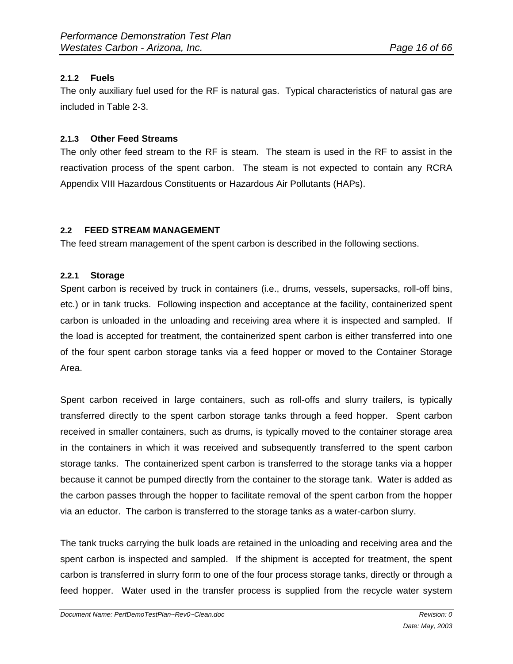# **2.1.2 Fuels**

The only auxiliary fuel used for the RF is natural gas. Typical characteristics of natural gas are included in Table 2-3.

#### **2.1.3 Other Feed Streams**

The only other feed stream to the RF is steam. The steam is used in the RF to assist in the reactivation process of the spent carbon. The steam is not expected to contain any RCRA Appendix VIII Hazardous Constituents or Hazardous Air Pollutants (HAPs).

#### **2.2 FEED STREAM MANAGEMENT**

The feed stream management of the spent carbon is described in the following sections.

#### **2.2.1 Storage**

Spent carbon is received by truck in containers (i.e., drums, vessels, supersacks, roll-off bins, etc.) or in tank trucks. Following inspection and acceptance at the facility, containerized spent carbon is unloaded in the unloading and receiving area where it is inspected and sampled. If the load is accepted for treatment, the containerized spent carbon is either transferred into one of the four spent carbon storage tanks via a feed hopper or moved to the Container Storage Area.

Spent carbon received in large containers, such as roll-offs and slurry trailers, is typically transferred directly to the spent carbon storage tanks through a feed hopper. Spent carbon received in smaller containers, such as drums, is typically moved to the container storage area in the containers in which it was received and subsequently transferred to the spent carbon storage tanks. The containerized spent carbon is transferred to the storage tanks via a hopper because it cannot be pumped directly from the container to the storage tank. Water is added as the carbon passes through the hopper to facilitate removal of the spent carbon from the hopper via an eductor. The carbon is transferred to the storage tanks as a water-carbon slurry.

The tank trucks carrying the bulk loads are retained in the unloading and receiving area and the spent carbon is inspected and sampled. If the shipment is accepted for treatment, the spent carbon is transferred in slurry form to one of the four process storage tanks, directly or through a feed hopper. Water used in the transfer process is supplied from the recycle water system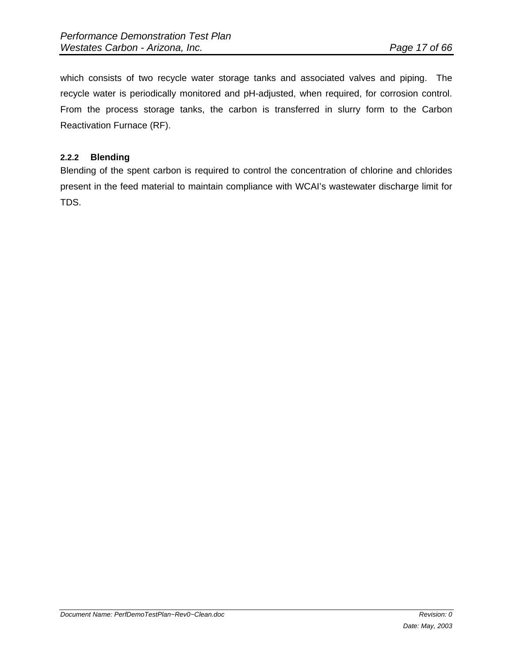which consists of two recycle water storage tanks and associated valves and piping. The recycle water is periodically monitored and pH-adjusted, when required, for corrosion control. From the process storage tanks, the carbon is transferred in slurry form to the Carbon Reactivation Furnace (RF).

#### **2.2.2 Blending**

Blending of the spent carbon is required to control the concentration of chlorine and chlorides present in the feed material to maintain compliance with WCAI's wastewater discharge limit for TDS.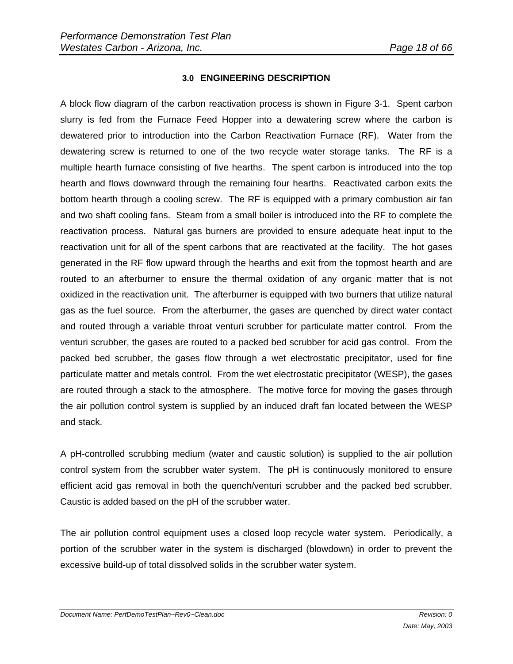#### **3.0 ENGINEERING DESCRIPTION**

A block flow diagram of the carbon reactivation process is shown in Figure 3-1. Spent carbon slurry is fed from the Furnace Feed Hopper into a dewatering screw where the carbon is dewatered prior to introduction into the Carbon Reactivation Furnace (RF). Water from the dewatering screw is returned to one of the two recycle water storage tanks. The RF is a multiple hearth furnace consisting of five hearths. The spent carbon is introduced into the top hearth and flows downward through the remaining four hearths. Reactivated carbon exits the bottom hearth through a cooling screw. The RF is equipped with a primary combustion air fan and two shaft cooling fans. Steam from a small boiler is introduced into the RF to complete the reactivation process. Natural gas burners are provided to ensure adequate heat input to the reactivation unit for all of the spent carbons that are reactivated at the facility. The hot gases generated in the RF flow upward through the hearths and exit from the topmost hearth and are routed to an afterburner to ensure the thermal oxidation of any organic matter that is not oxidized in the reactivation unit. The afterburner is equipped with two burners that utilize natural gas as the fuel source. From the afterburner, the gases are quenched by direct water contact and routed through a variable throat venturi scrubber for particulate matter control. From the venturi scrubber, the gases are routed to a packed bed scrubber for acid gas control. From the packed bed scrubber, the gases flow through a wet electrostatic precipitator, used for fine particulate matter and metals control. From the wet electrostatic precipitator (WESP), the gases are routed through a stack to the atmosphere. The motive force for moving the gases through the air pollution control system is supplied by an induced draft fan located between the WESP and stack.

A pH-controlled scrubbing medium (water and caustic solution) is supplied to the air pollution control system from the scrubber water system. The pH is continuously monitored to ensure efficient acid gas removal in both the quench/venturi scrubber and the packed bed scrubber. Caustic is added based on the pH of the scrubber water.

The air pollution control equipment uses a closed loop recycle water system. Periodically, a portion of the scrubber water in the system is discharged (blowdown) in order to prevent the excessive build-up of total dissolved solids in the scrubber water system.

*Document Name: PerfDemoTestPlan~Rev0~Clean.doc* **Revision: 0** *Revision: 0 Revision: 0*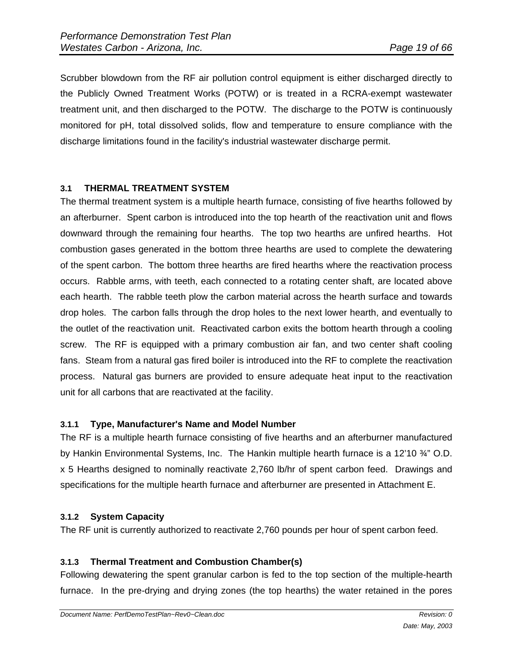Scrubber blowdown from the RF air pollution control equipment is either discharged directly to the Publicly Owned Treatment Works (POTW) or is treated in a RCRA-exempt wastewater treatment unit, and then discharged to the POTW. The discharge to the POTW is continuously monitored for pH, total dissolved solids, flow and temperature to ensure compliance with the discharge limitations found in the facility's industrial wastewater discharge permit.

# **3.1 THERMAL TREATMENT SYSTEM**

The thermal treatment system is a multiple hearth furnace, consisting of five hearths followed by an afterburner. Spent carbon is introduced into the top hearth of the reactivation unit and flows downward through the remaining four hearths. The top two hearths are unfired hearths. Hot combustion gases generated in the bottom three hearths are used to complete the dewatering of the spent carbon. The bottom three hearths are fired hearths where the reactivation process occurs. Rabble arms, with teeth, each connected to a rotating center shaft, are located above each hearth. The rabble teeth plow the carbon material across the hearth surface and towards drop holes. The carbon falls through the drop holes to the next lower hearth, and eventually to the outlet of the reactivation unit. Reactivated carbon exits the bottom hearth through a cooling screw. The RF is equipped with a primary combustion air fan, and two center shaft cooling fans. Steam from a natural gas fired boiler is introduced into the RF to complete the reactivation process. Natural gas burners are provided to ensure adequate heat input to the reactivation unit for all carbons that are reactivated at the facility.

# **3.1.1 Type, Manufacturer's Name and Model Number**

The RF is a multiple hearth furnace consisting of five hearths and an afterburner manufactured by Hankin Environmental Systems, Inc. The Hankin multiple hearth furnace is a 12'10 ¾" O.D. x 5 Hearths designed to nominally reactivate 2,760 lb/hr of spent carbon feed. Drawings and specifications for the multiple hearth furnace and afterburner are presented in Attachment E.

# **3.1.2 System Capacity**

The RF unit is currently authorized to reactivate 2,760 pounds per hour of spent carbon feed.

# **3.1.3 Thermal Treatment and Combustion Chamber(s)**

Following dewatering the spent granular carbon is fed to the top section of the multiple-hearth furnace. In the pre-drying and drying zones (the top hearths) the water retained in the pores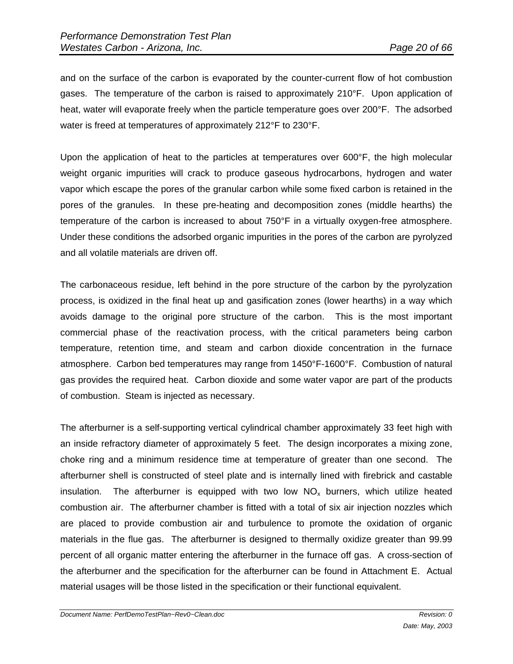and on the surface of the carbon is evaporated by the counter-current flow of hot combustion gases. The temperature of the carbon is raised to approximately 210°F. Upon application of heat, water will evaporate freely when the particle temperature goes over 200°F. The adsorbed water is freed at temperatures of approximately 212°F to 230°F.

Upon the application of heat to the particles at temperatures over 600°F, the high molecular weight organic impurities will crack to produce gaseous hydrocarbons, hydrogen and water vapor which escape the pores of the granular carbon while some fixed carbon is retained in the pores of the granules. In these pre-heating and decomposition zones (middle hearths) the temperature of the carbon is increased to about 750°F in a virtually oxygen-free atmosphere. Under these conditions the adsorbed organic impurities in the pores of the carbon are pyrolyzed and all volatile materials are driven off.

The carbonaceous residue, left behind in the pore structure of the carbon by the pyrolyzation process, is oxidized in the final heat up and gasification zones (lower hearths) in a way which avoids damage to the original pore structure of the carbon. This is the most important commercial phase of the reactivation process, with the critical parameters being carbon temperature, retention time, and steam and carbon dioxide concentration in the furnace atmosphere. Carbon bed temperatures may range from 1450°F-1600°F. Combustion of natural gas provides the required heat. Carbon dioxide and some water vapor are part of the products of combustion. Steam is injected as necessary.

The afterburner is a self-supporting vertical cylindrical chamber approximately 33 feet high with an inside refractory diameter of approximately 5 feet. The design incorporates a mixing zone, choke ring and a minimum residence time at temperature of greater than one second. The afterburner shell is constructed of steel plate and is internally lined with firebrick and castable insulation. The afterburner is equipped with two low  $NO<sub>x</sub>$  burners, which utilize heated combustion air. The afterburner chamber is fitted with a total of six air injection nozzles which are placed to provide combustion air and turbulence to promote the oxidation of organic materials in the flue gas. The afterburner is designed to thermally oxidize greater than 99.99 percent of all organic matter entering the afterburner in the furnace off gas. A cross-section of the afterburner and the specification for the afterburner can be found in Attachment E. Actual material usages will be those listed in the specification or their functional equivalent.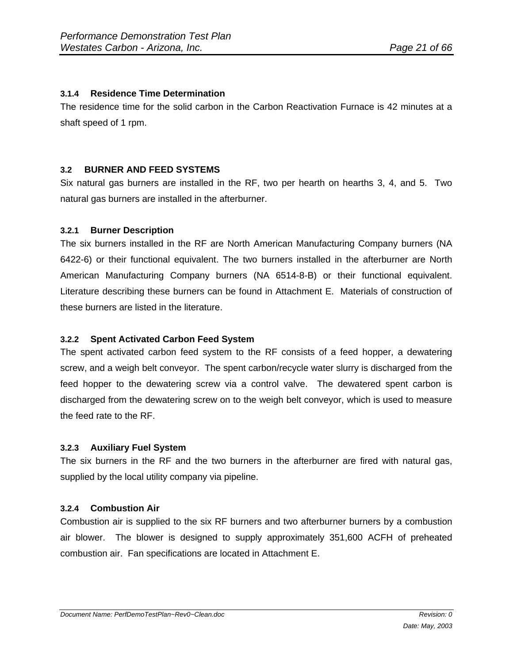#### **3.1.4 Residence Time Determination**

The residence time for the solid carbon in the Carbon Reactivation Furnace is 42 minutes at a shaft speed of 1 rpm.

#### **3.2 BURNER AND FEED SYSTEMS**

Six natural gas burners are installed in the RF, two per hearth on hearths 3, 4, and 5. Two natural gas burners are installed in the afterburner.

#### **3.2.1 Burner Description**

The six burners installed in the RF are North American Manufacturing Company burners (NA 6422-6) or their functional equivalent. The two burners installed in the afterburner are North American Manufacturing Company burners (NA 6514-8-B) or their functional equivalent. Literature describing these burners can be found in Attachment E. Materials of construction of these burners are listed in the literature.

# **3.2.2 Spent Activated Carbon Feed System**

The spent activated carbon feed system to the RF consists of a feed hopper, a dewatering screw, and a weigh belt conveyor. The spent carbon/recycle water slurry is discharged from the feed hopper to the dewatering screw via a control valve. The dewatered spent carbon is discharged from the dewatering screw on to the weigh belt conveyor, which is used to measure the feed rate to the RF.

#### **3.2.3 Auxiliary Fuel System**

The six burners in the RF and the two burners in the afterburner are fired with natural gas, supplied by the local utility company via pipeline.

#### **3.2.4 Combustion Air**

Combustion air is supplied to the six RF burners and two afterburner burners by a combustion air blower. The blower is designed to supply approximately 351,600 ACFH of preheated combustion air. Fan specifications are located in Attachment E.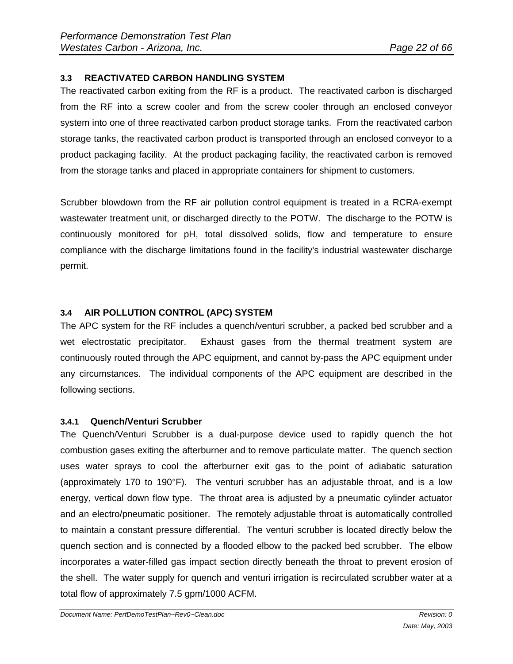# **3.3 REACTIVATED CARBON HANDLING SYSTEM**

The reactivated carbon exiting from the RF is a product. The reactivated carbon is discharged from the RF into a screw cooler and from the screw cooler through an enclosed conveyor system into one of three reactivated carbon product storage tanks. From the reactivated carbon storage tanks, the reactivated carbon product is transported through an enclosed conveyor to a product packaging facility. At the product packaging facility, the reactivated carbon is removed from the storage tanks and placed in appropriate containers for shipment to customers.

Scrubber blowdown from the RF air pollution control equipment is treated in a RCRA-exempt wastewater treatment unit, or discharged directly to the POTW. The discharge to the POTW is continuously monitored for pH, total dissolved solids, flow and temperature to ensure compliance with the discharge limitations found in the facility's industrial wastewater discharge permit.

# **3.4 AIR POLLUTION CONTROL (APC) SYSTEM**

The APC system for the RF includes a quench/venturi scrubber, a packed bed scrubber and a wet electrostatic precipitator. Exhaust gases from the thermal treatment system are continuously routed through the APC equipment, and cannot by-pass the APC equipment under any circumstances. The individual components of the APC equipment are described in the following sections.

# **3.4.1 Quench/Venturi Scrubber**

The Quench/Venturi Scrubber is a dual-purpose device used to rapidly quench the hot combustion gases exiting the afterburner and to remove particulate matter. The quench section uses water sprays to cool the afterburner exit gas to the point of adiabatic saturation (approximately 170 to 190°F). The venturi scrubber has an adjustable throat, and is a low energy, vertical down flow type. The throat area is adjusted by a pneumatic cylinder actuator and an electro/pneumatic positioner. The remotely adjustable throat is automatically controlled to maintain a constant pressure differential. The venturi scrubber is located directly below the quench section and is connected by a flooded elbow to the packed bed scrubber. The elbow incorporates a water-filled gas impact section directly beneath the throat to prevent erosion of the shell. The water supply for quench and venturi irrigation is recirculated scrubber water at a total flow of approximately 7.5 gpm/1000 ACFM.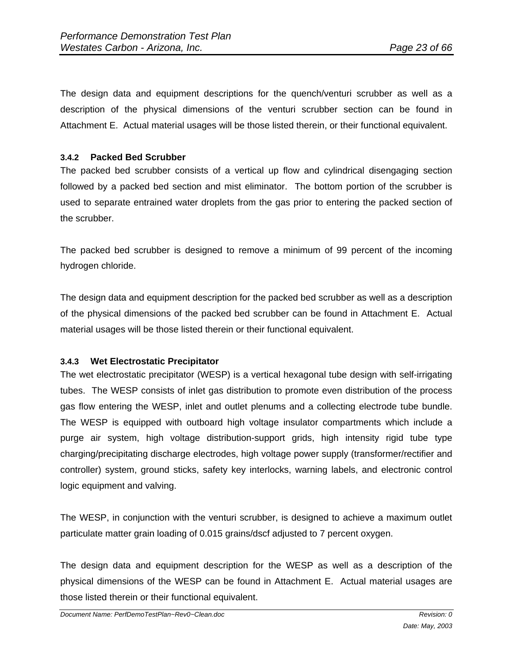The design data and equipment descriptions for the quench/venturi scrubber as well as a description of the physical dimensions of the venturi scrubber section can be found in Attachment E. Actual material usages will be those listed therein, or their functional equivalent.

#### **3.4.2 Packed Bed Scrubber**

The packed bed scrubber consists of a vertical up flow and cylindrical disengaging section followed by a packed bed section and mist eliminator. The bottom portion of the scrubber is used to separate entrained water droplets from the gas prior to entering the packed section of the scrubber.

The packed bed scrubber is designed to remove a minimum of 99 percent of the incoming hydrogen chloride.

The design data and equipment description for the packed bed scrubber as well as a description of the physical dimensions of the packed bed scrubber can be found in Attachment E. Actual material usages will be those listed therein or their functional equivalent.

#### **3.4.3 Wet Electrostatic Precipitator**

The wet electrostatic precipitator (WESP) is a vertical hexagonal tube design with self-irrigating tubes. The WESP consists of inlet gas distribution to promote even distribution of the process gas flow entering the WESP, inlet and outlet plenums and a collecting electrode tube bundle. The WESP is equipped with outboard high voltage insulator compartments which include a purge air system, high voltage distribution-support grids, high intensity rigid tube type charging/precipitating discharge electrodes, high voltage power supply (transformer/rectifier and controller) system, ground sticks, safety key interlocks, warning labels, and electronic control logic equipment and valving.

The WESP, in conjunction with the venturi scrubber, is designed to achieve a maximum outlet particulate matter grain loading of 0.015 grains/dscf adjusted to 7 percent oxygen.

The design data and equipment description for the WESP as well as a description of the physical dimensions of the WESP can be found in Attachment E. Actual material usages are those listed therein or their functional equivalent.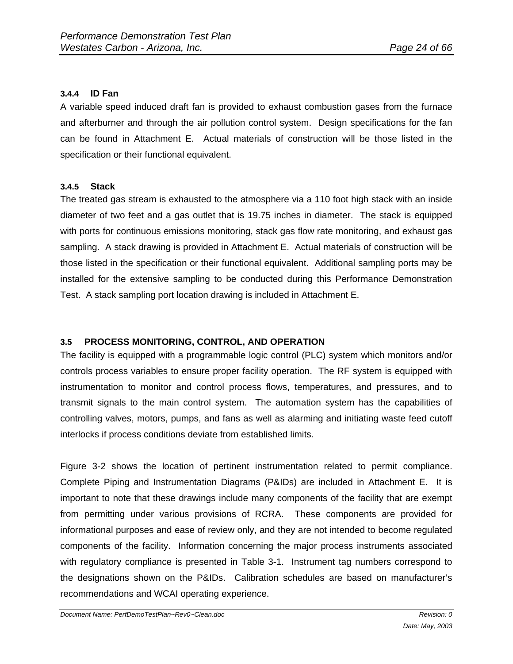#### **3.4.4 ID Fan**

A variable speed induced draft fan is provided to exhaust combustion gases from the furnace and afterburner and through the air pollution control system. Design specifications for the fan can be found in Attachment E. Actual materials of construction will be those listed in the specification or their functional equivalent.

#### **3.4.5 Stack**

The treated gas stream is exhausted to the atmosphere via a 110 foot high stack with an inside diameter of two feet and a gas outlet that is 19.75 inches in diameter. The stack is equipped with ports for continuous emissions monitoring, stack gas flow rate monitoring, and exhaust gas sampling. A stack drawing is provided in Attachment E. Actual materials of construction will be those listed in the specification or their functional equivalent. Additional sampling ports may be installed for the extensive sampling to be conducted during this Performance Demonstration Test. A stack sampling port location drawing is included in Attachment E.

# **3.5 PROCESS MONITORING, CONTROL, AND OPERATION**

The facility is equipped with a programmable logic control (PLC) system which monitors and/or controls process variables to ensure proper facility operation. The RF system is equipped with instrumentation to monitor and control process flows, temperatures, and pressures, and to transmit signals to the main control system. The automation system has the capabilities of controlling valves, motors, pumps, and fans as well as alarming and initiating waste feed cutoff interlocks if process conditions deviate from established limits.

Figure 3-2 shows the location of pertinent instrumentation related to permit compliance. Complete Piping and Instrumentation Diagrams (P&IDs) are included in Attachment E. It is important to note that these drawings include many components of the facility that are exempt from permitting under various provisions of RCRA. These components are provided for informational purposes and ease of review only, and they are not intended to become regulated components of the facility. Information concerning the major process instruments associated with regulatory compliance is presented in Table 3-1. Instrument tag numbers correspond to the designations shown on the P&IDs. Calibration schedules are based on manufacturer's recommendations and WCAI operating experience.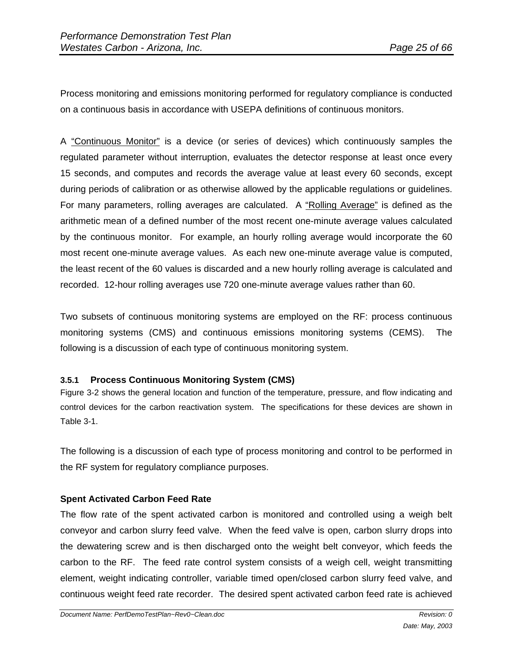Process monitoring and emissions monitoring performed for regulatory compliance is conducted on a continuous basis in accordance with USEPA definitions of continuous monitors.

A "Continuous Monitor" is a device (or series of devices) which continuously samples the regulated parameter without interruption, evaluates the detector response at least once every 15 seconds, and computes and records the average value at least every 60 seconds, except during periods of calibration or as otherwise allowed by the applicable regulations or guidelines. For many parameters, rolling averages are calculated. A "Rolling Average" is defined as the arithmetic mean of a defined number of the most recent one-minute average values calculated by the continuous monitor. For example, an hourly rolling average would incorporate the 60 most recent one-minute average values. As each new one-minute average value is computed, the least recent of the 60 values is discarded and a new hourly rolling average is calculated and recorded. 12-hour rolling averages use 720 one-minute average values rather than 60.

Two subsets of continuous monitoring systems are employed on the RF: process continuous monitoring systems (CMS) and continuous emissions monitoring systems (CEMS). The following is a discussion of each type of continuous monitoring system.

# **3.5.1 Process Continuous Monitoring System (CMS)**

Figure 3-2 shows the general location and function of the temperature, pressure, and flow indicating and control devices for the carbon reactivation system. The specifications for these devices are shown in Table 3-1.

The following is a discussion of each type of process monitoring and control to be performed in the RF system for regulatory compliance purposes.

# **Spent Activated Carbon Feed Rate**

The flow rate of the spent activated carbon is monitored and controlled using a weigh belt conveyor and carbon slurry feed valve. When the feed valve is open, carbon slurry drops into the dewatering screw and is then discharged onto the weight belt conveyor, which feeds the carbon to the RF. The feed rate control system consists of a weigh cell, weight transmitting element, weight indicating controller, variable timed open/closed carbon slurry feed valve, and continuous weight feed rate recorder. The desired spent activated carbon feed rate is achieved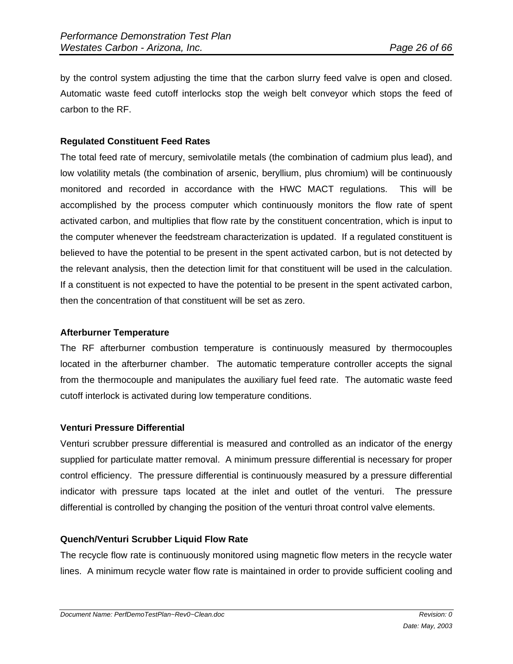by the control system adjusting the time that the carbon slurry feed valve is open and closed. Automatic waste feed cutoff interlocks stop the weigh belt conveyor which stops the feed of carbon to the RF.

# **Regulated Constituent Feed Rates**

The total feed rate of mercury, semivolatile metals (the combination of cadmium plus lead), and low volatility metals (the combination of arsenic, beryllium, plus chromium) will be continuously monitored and recorded in accordance with the HWC MACT regulations. This will be accomplished by the process computer which continuously monitors the flow rate of spent activated carbon, and multiplies that flow rate by the constituent concentration, which is input to the computer whenever the feedstream characterization is updated. If a regulated constituent is believed to have the potential to be present in the spent activated carbon, but is not detected by the relevant analysis, then the detection limit for that constituent will be used in the calculation. If a constituent is not expected to have the potential to be present in the spent activated carbon, then the concentration of that constituent will be set as zero.

#### **Afterburner Temperature**

The RF afterburner combustion temperature is continuously measured by thermocouples located in the afterburner chamber. The automatic temperature controller accepts the signal from the thermocouple and manipulates the auxiliary fuel feed rate. The automatic waste feed cutoff interlock is activated during low temperature conditions.

# **Venturi Pressure Differential**

Venturi scrubber pressure differential is measured and controlled as an indicator of the energy supplied for particulate matter removal. A minimum pressure differential is necessary for proper control efficiency. The pressure differential is continuously measured by a pressure differential indicator with pressure taps located at the inlet and outlet of the venturi. The pressure differential is controlled by changing the position of the venturi throat control valve elements.

# **Quench/Venturi Scrubber Liquid Flow Rate**

The recycle flow rate is continuously monitored using magnetic flow meters in the recycle water lines. A minimum recycle water flow rate is maintained in order to provide sufficient cooling and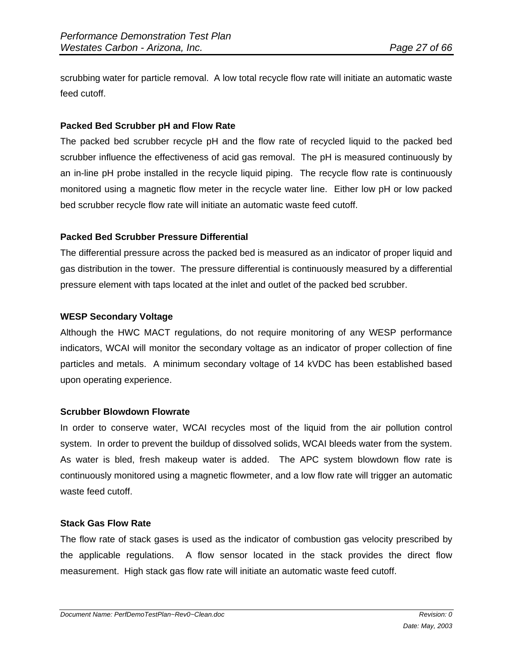scrubbing water for particle removal. A low total recycle flow rate will initiate an automatic waste feed cutoff.

#### **Packed Bed Scrubber pH and Flow Rate**

The packed bed scrubber recycle pH and the flow rate of recycled liquid to the packed bed scrubber influence the effectiveness of acid gas removal. The pH is measured continuously by an in-line pH probe installed in the recycle liquid piping. The recycle flow rate is continuously monitored using a magnetic flow meter in the recycle water line. Either low pH or low packed bed scrubber recycle flow rate will initiate an automatic waste feed cutoff.

# **Packed Bed Scrubber Pressure Differential**

The differential pressure across the packed bed is measured as an indicator of proper liquid and gas distribution in the tower. The pressure differential is continuously measured by a differential pressure element with taps located at the inlet and outlet of the packed bed scrubber.

#### **WESP Secondary Voltage**

Although the HWC MACT regulations, do not require monitoring of any WESP performance indicators, WCAI will monitor the secondary voltage as an indicator of proper collection of fine particles and metals. A minimum secondary voltage of 14 kVDC has been established based upon operating experience.

#### **Scrubber Blowdown Flowrate**

In order to conserve water, WCAI recycles most of the liquid from the air pollution control system. In order to prevent the buildup of dissolved solids, WCAI bleeds water from the system. As water is bled, fresh makeup water is added. The APC system blowdown flow rate is continuously monitored using a magnetic flowmeter, and a low flow rate will trigger an automatic waste feed cutoff.

#### **Stack Gas Flow Rate**

The flow rate of stack gases is used as the indicator of combustion gas velocity prescribed by the applicable regulations. A flow sensor located in the stack provides the direct flow measurement. High stack gas flow rate will initiate an automatic waste feed cutoff.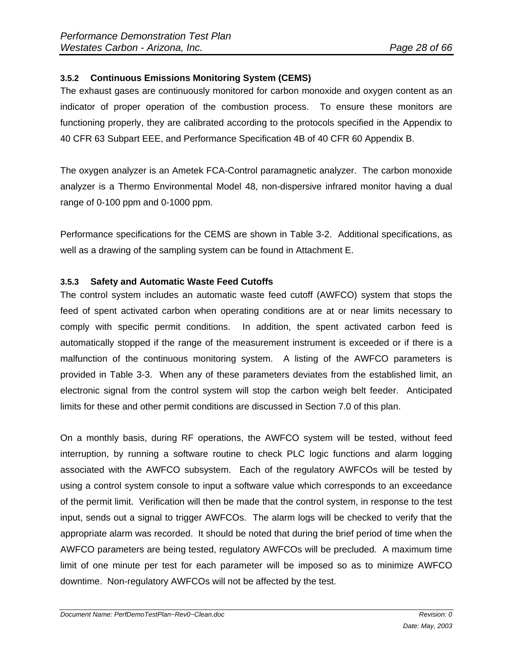# **3.5.2 Continuous Emissions Monitoring System (CEMS)**

The exhaust gases are continuously monitored for carbon monoxide and oxygen content as an indicator of proper operation of the combustion process. To ensure these monitors are functioning properly, they are calibrated according to the protocols specified in the Appendix to 40 CFR 63 Subpart EEE, and Performance Specification 4B of 40 CFR 60 Appendix B.

The oxygen analyzer is an Ametek FCA-Control paramagnetic analyzer. The carbon monoxide analyzer is a Thermo Environmental Model 48, non-dispersive infrared monitor having a dual range of 0-100 ppm and 0-1000 ppm.

Performance specifications for the CEMS are shown in Table 3-2. Additional specifications, as well as a drawing of the sampling system can be found in Attachment E.

#### **3.5.3 Safety and Automatic Waste Feed Cutoffs**

The control system includes an automatic waste feed cutoff (AWFCO) system that stops the feed of spent activated carbon when operating conditions are at or near limits necessary to comply with specific permit conditions. In addition, the spent activated carbon feed is automatically stopped if the range of the measurement instrument is exceeded or if there is a malfunction of the continuous monitoring system. A listing of the AWFCO parameters is provided in Table 3-3. When any of these parameters deviates from the established limit, an electronic signal from the control system will stop the carbon weigh belt feeder. Anticipated limits for these and other permit conditions are discussed in Section 7.0 of this plan.

On a monthly basis, during RF operations, the AWFCO system will be tested, without feed interruption, by running a software routine to check PLC logic functions and alarm logging associated with the AWFCO subsystem. Each of the regulatory AWFCOs will be tested by using a control system console to input a software value which corresponds to an exceedance of the permit limit. Verification will then be made that the control system, in response to the test input, sends out a signal to trigger AWFCOs. The alarm logs will be checked to verify that the appropriate alarm was recorded. It should be noted that during the brief period of time when the AWFCO parameters are being tested, regulatory AWFCOs will be precluded. A maximum time limit of one minute per test for each parameter will be imposed so as to minimize AWFCO downtime. Non-regulatory AWFCOs will not be affected by the test.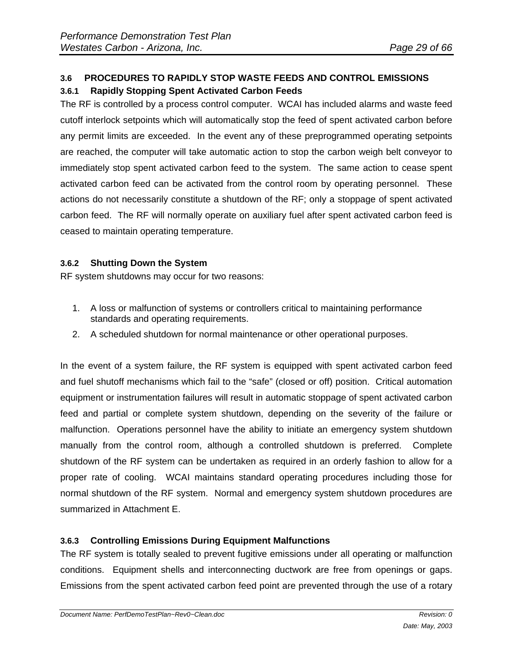# **3.6 PROCEDURES TO RAPIDLY STOP WASTE FEEDS AND CONTROL EMISSIONS 3.6.1 Rapidly Stopping Spent Activated Carbon Feeds**

The RF is controlled by a process control computer. WCAI has included alarms and waste feed cutoff interlock setpoints which will automatically stop the feed of spent activated carbon before any permit limits are exceeded. In the event any of these preprogrammed operating setpoints are reached, the computer will take automatic action to stop the carbon weigh belt conveyor to immediately stop spent activated carbon feed to the system. The same action to cease spent activated carbon feed can be activated from the control room by operating personnel. These actions do not necessarily constitute a shutdown of the RF; only a stoppage of spent activated carbon feed. The RF will normally operate on auxiliary fuel after spent activated carbon feed is ceased to maintain operating temperature.

# **3.6.2 Shutting Down the System**

RF system shutdowns may occur for two reasons:

- 1. A loss or malfunction of systems or controllers critical to maintaining performance standards and operating requirements.
- 2. A scheduled shutdown for normal maintenance or other operational purposes.

In the event of a system failure, the RF system is equipped with spent activated carbon feed and fuel shutoff mechanisms which fail to the "safe" (closed or off) position. Critical automation equipment or instrumentation failures will result in automatic stoppage of spent activated carbon feed and partial or complete system shutdown, depending on the severity of the failure or malfunction. Operations personnel have the ability to initiate an emergency system shutdown manually from the control room, although a controlled shutdown is preferred. Complete shutdown of the RF system can be undertaken as required in an orderly fashion to allow for a proper rate of cooling. WCAI maintains standard operating procedures including those for normal shutdown of the RF system. Normal and emergency system shutdown procedures are summarized in Attachment E.

# **3.6.3 Controlling Emissions During Equipment Malfunctions**

The RF system is totally sealed to prevent fugitive emissions under all operating or malfunction conditions. Equipment shells and interconnecting ductwork are free from openings or gaps. Emissions from the spent activated carbon feed point are prevented through the use of a rotary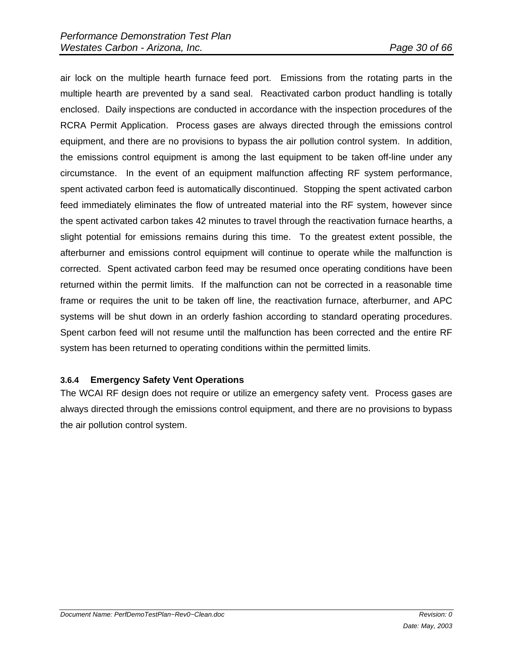air lock on the multiple hearth furnace feed port. Emissions from the rotating parts in the multiple hearth are prevented by a sand seal. Reactivated carbon product handling is totally enclosed. Daily inspections are conducted in accordance with the inspection procedures of the RCRA Permit Application. Process gases are always directed through the emissions control equipment, and there are no provisions to bypass the air pollution control system. In addition, the emissions control equipment is among the last equipment to be taken off-line under any circumstance. In the event of an equipment malfunction affecting RF system performance, spent activated carbon feed is automatically discontinued. Stopping the spent activated carbon feed immediately eliminates the flow of untreated material into the RF system, however since the spent activated carbon takes 42 minutes to travel through the reactivation furnace hearths, a slight potential for emissions remains during this time. To the greatest extent possible, the afterburner and emissions control equipment will continue to operate while the malfunction is corrected. Spent activated carbon feed may be resumed once operating conditions have been returned within the permit limits. If the malfunction can not be corrected in a reasonable time frame or requires the unit to be taken off line, the reactivation furnace, afterburner, and APC systems will be shut down in an orderly fashion according to standard operating procedures. Spent carbon feed will not resume until the malfunction has been corrected and the entire RF system has been returned to operating conditions within the permitted limits.

# **3.6.4 Emergency Safety Vent Operations**

The WCAI RF design does not require or utilize an emergency safety vent. Process gases are always directed through the emissions control equipment, and there are no provisions to bypass the air pollution control system.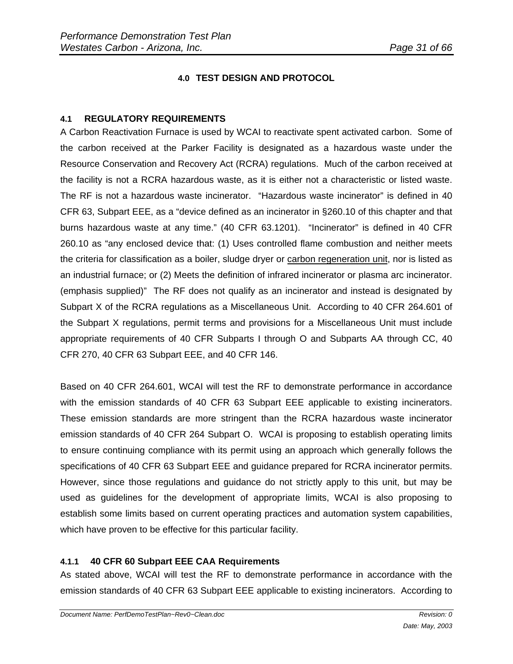# **4.0 TEST DESIGN AND PROTOCOL**

#### **4.1 REGULATORY REQUIREMENTS**

A Carbon Reactivation Furnace is used by WCAI to reactivate spent activated carbon. Some of the carbon received at the Parker Facility is designated as a hazardous waste under the Resource Conservation and Recovery Act (RCRA) regulations. Much of the carbon received at the facility is not a RCRA hazardous waste, as it is either not a characteristic or listed waste. The RF is not a hazardous waste incinerator. "Hazardous waste incinerator" is defined in 40 CFR 63, Subpart EEE, as a "device defined as an incinerator in §260.10 of this chapter and that burns hazardous waste at any time." (40 CFR 63.1201). "Incinerator" is defined in 40 CFR 260.10 as "any enclosed device that: (1) Uses controlled flame combustion and neither meets the criteria for classification as a boiler, sludge dryer or carbon regeneration unit, nor is listed as an industrial furnace; or (2) Meets the definition of infrared incinerator or plasma arc incinerator. (emphasis supplied)" The RF does not qualify as an incinerator and instead is designated by Subpart X of the RCRA regulations as a Miscellaneous Unit. According to 40 CFR 264.601 of the Subpart X regulations, permit terms and provisions for a Miscellaneous Unit must include appropriate requirements of 40 CFR Subparts I through O and Subparts AA through CC, 40 CFR 270, 40 CFR 63 Subpart EEE, and 40 CFR 146.

Based on 40 CFR 264.601, WCAI will test the RF to demonstrate performance in accordance with the emission standards of 40 CFR 63 Subpart EEE applicable to existing incinerators. These emission standards are more stringent than the RCRA hazardous waste incinerator emission standards of 40 CFR 264 Subpart O. WCAI is proposing to establish operating limits to ensure continuing compliance with its permit using an approach which generally follows the specifications of 40 CFR 63 Subpart EEE and guidance prepared for RCRA incinerator permits. However, since those regulations and guidance do not strictly apply to this unit, but may be used as guidelines for the development of appropriate limits, WCAI is also proposing to establish some limits based on current operating practices and automation system capabilities, which have proven to be effective for this particular facility.

# **4.1.1 40 CFR 60 Subpart EEE CAA Requirements**

As stated above, WCAI will test the RF to demonstrate performance in accordance with the emission standards of 40 CFR 63 Subpart EEE applicable to existing incinerators. According to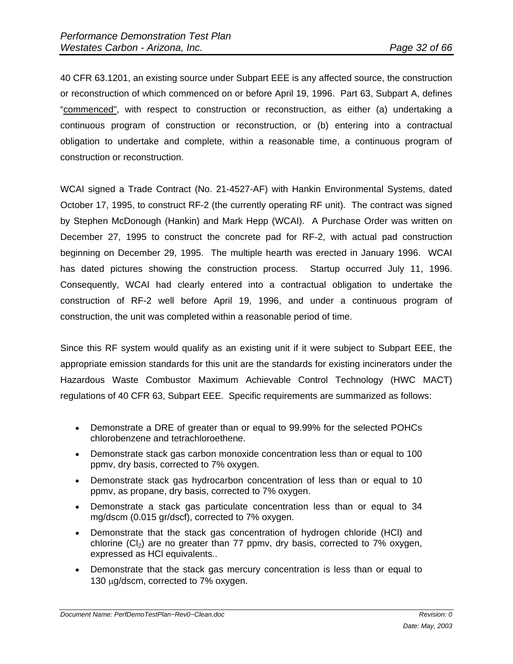40 CFR 63.1201, an existing source under Subpart EEE is any affected source, the construction or reconstruction of which commenced on or before April 19, 1996. Part 63, Subpart A, defines "commenced", with respect to construction or reconstruction, as either (a) undertaking a continuous program of construction or reconstruction, or (b) entering into a contractual obligation to undertake and complete, within a reasonable time, a continuous program of construction or reconstruction.

WCAI signed a Trade Contract (No. 21-4527-AF) with Hankin Environmental Systems, dated October 17, 1995, to construct RF-2 (the currently operating RF unit). The contract was signed by Stephen McDonough (Hankin) and Mark Hepp (WCAI). A Purchase Order was written on December 27, 1995 to construct the concrete pad for RF-2, with actual pad construction beginning on December 29, 1995. The multiple hearth was erected in January 1996. WCAI has dated pictures showing the construction process. Startup occurred July 11, 1996. Consequently, WCAI had clearly entered into a contractual obligation to undertake the construction of RF-2 well before April 19, 1996, and under a continuous program of construction, the unit was completed within a reasonable period of time.

Since this RF system would qualify as an existing unit if it were subject to Subpart EEE, the appropriate emission standards for this unit are the standards for existing incinerators under the Hazardous Waste Combustor Maximum Achievable Control Technology (HWC MACT) regulations of 40 CFR 63, Subpart EEE. Specific requirements are summarized as follows:

- Demonstrate a DRE of greater than or equal to 99.99% for the selected POHCs chlorobenzene and tetrachloroethene.
- Demonstrate stack gas carbon monoxide concentration less than or equal to 100 ppmv, dry basis, corrected to 7% oxygen.
- Demonstrate stack gas hydrocarbon concentration of less than or equal to 10 ppmv, as propane, dry basis, corrected to 7% oxygen.
- Demonstrate a stack gas particulate concentration less than or equal to 34 mg/dscm (0.015 gr/dscf), corrected to 7% oxygen.
- Demonstrate that the stack gas concentration of hydrogen chloride (HCl) and chlorine  $(Cl<sub>2</sub>)$  are no greater than 77 ppmv, dry basis, corrected to 7% oxygen, expressed as HCl equivalents..
- Demonstrate that the stack gas mercury concentration is less than or equal to 130  $\mu$ g/dscm, corrected to 7% oxygen.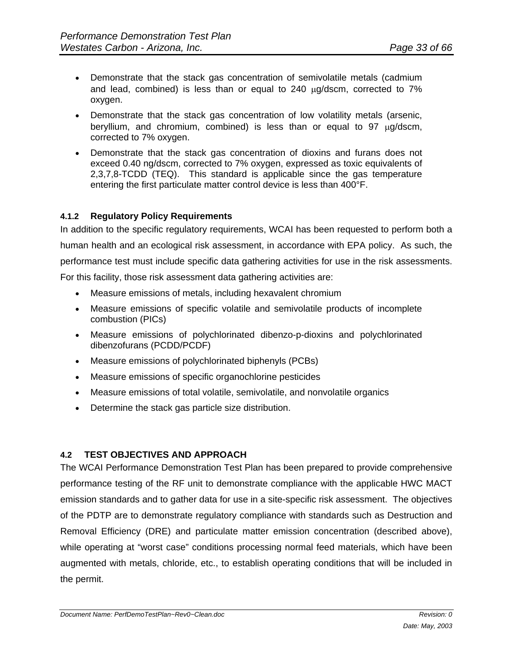- Demonstrate that the stack gas concentration of semivolatile metals (cadmium and lead, combined) is less than or equal to  $240 \mu q/ds$ cm, corrected to  $7\%$ oxygen.
- Demonstrate that the stack gas concentration of low volatility metals (arsenic, beryllium, and chromium, combined) is less than or equal to  $97 \mu q/ds cm$ , corrected to 7% oxygen.
- Demonstrate that the stack gas concentration of dioxins and furans does not exceed 0.40 ng/dscm, corrected to 7% oxygen, expressed as toxic equivalents of 2,3,7,8-TCDD (TEQ). This standard is applicable since the gas temperature entering the first particulate matter control device is less than 400°F.

#### **4.1.2 Regulatory Policy Requirements**

In addition to the specific regulatory requirements, WCAI has been requested to perform both a human health and an ecological risk assessment, in accordance with EPA policy. As such, the performance test must include specific data gathering activities for use in the risk assessments. For this facility, those risk assessment data gathering activities are:

- Measure emissions of metals, including hexavalent chromium
- Measure emissions of specific volatile and semivolatile products of incomplete combustion (PICs)
- Measure emissions of polychlorinated dibenzo-p-dioxins and polychlorinated dibenzofurans (PCDD/PCDF)
- Measure emissions of polychlorinated biphenyls (PCBs)
- Measure emissions of specific organochlorine pesticides
- Measure emissions of total volatile, semivolatile, and nonvolatile organics
- Determine the stack gas particle size distribution.

# **4.2 TEST OBJECTIVES AND APPROACH**

The WCAI Performance Demonstration Test Plan has been prepared to provide comprehensive performance testing of the RF unit to demonstrate compliance with the applicable HWC MACT emission standards and to gather data for use in a site-specific risk assessment. The objectives of the PDTP are to demonstrate regulatory compliance with standards such as Destruction and Removal Efficiency (DRE) and particulate matter emission concentration (described above), while operating at "worst case" conditions processing normal feed materials, which have been augmented with metals, chloride, etc., to establish operating conditions that will be included in the permit.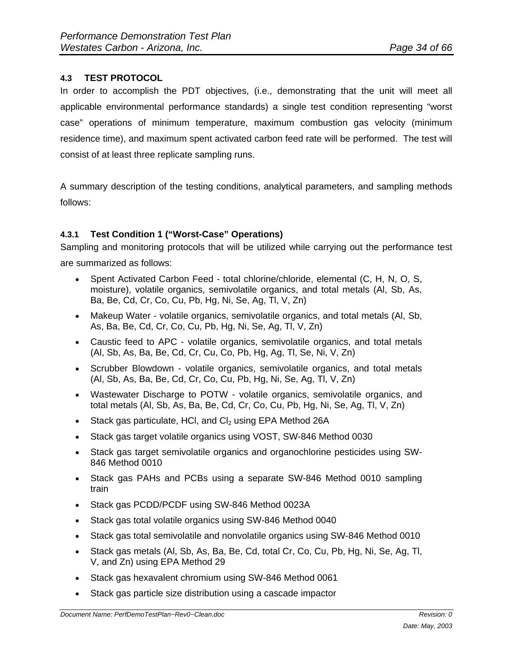# **4.3 TEST PROTOCOL**

In order to accomplish the PDT objectives, (i.e., demonstrating that the unit will meet all applicable environmental performance standards) a single test condition representing "worst case" operations of minimum temperature, maximum combustion gas velocity (minimum residence time), and maximum spent activated carbon feed rate will be performed. The test will consist of at least three replicate sampling runs.

A summary description of the testing conditions, analytical parameters, and sampling methods follows:

# **4.3.1 Test Condition 1 ("Worst-Case" Operations)**

Sampling and monitoring protocols that will be utilized while carrying out the performance test are summarized as follows:

- Spent Activated Carbon Feed total chlorine/chloride, elemental (C, H, N, O, S, moisture), volatile organics, semivolatile organics, and total metals (Al, Sb, As, Ba, Be, Cd, Cr, Co, Cu, Pb, Hg, Ni, Se, Ag, Tl, V, Zn)
- Makeup Water volatile organics, semivolatile organics, and total metals (Al, Sb, As, Ba, Be, Cd, Cr, Co, Cu, Pb, Hg, Ni, Se, Ag, Tl, V, Zn)
- Caustic feed to APC volatile organics, semivolatile organics, and total metals (Al, Sb, As, Ba, Be, Cd, Cr, Cu, Co, Pb, Hg, Ag, Tl, Se, Ni, V, Zn)
- Scrubber Blowdown volatile organics, semivolatile organics, and total metals (Al, Sb, As, Ba, Be, Cd, Cr, Co, Cu, Pb, Hg, Ni, Se, Ag, Tl, V, Zn)
- Wastewater Discharge to POTW volatile organics, semivolatile organics, and total metals (Al, Sb, As, Ba, Be, Cd, Cr, Co, Cu, Pb, Hg, Ni, Se, Ag, Tl, V, Zn)
- $\bullet$  Stack gas particulate, HCI, and CI<sub>2</sub> using EPA Method 26A
- Stack gas target volatile organics using VOST, SW-846 Method 0030
- Stack gas target semivolatile organics and organochlorine pesticides using SW-846 Method 0010
- Stack gas PAHs and PCBs using a separate SW-846 Method 0010 sampling train
- Stack gas PCDD/PCDF using SW-846 Method 0023A
- Stack gas total volatile organics using SW-846 Method 0040
- Stack gas total semivolatile and nonvolatile organics using SW-846 Method 0010
- Stack gas metals (Al, Sb, As, Ba, Be, Cd, total Cr, Co, Cu, Pb, Hg, Ni, Se, Ag, Tl, V, and Zn) using EPA Method 29
- Stack gas hexavalent chromium using SW-846 Method 0061
- Stack gas particle size distribution using a cascade impactor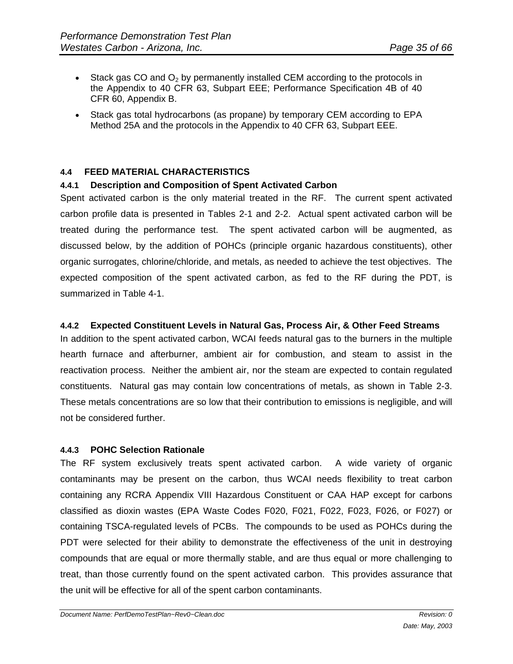- Stack gas CO and  $O_2$  by permanently installed CEM according to the protocols in the Appendix to 40 CFR 63, Subpart EEE; Performance Specification 4B of 40 CFR 60, Appendix B.
- Stack gas total hydrocarbons (as propane) by temporary CEM according to EPA Method 25A and the protocols in the Appendix to 40 CFR 63, Subpart EEE.

#### **4.4 FEED MATERIAL CHARACTERISTICS**

#### **4.4.1 Description and Composition of Spent Activated Carbon**

Spent activated carbon is the only material treated in the RF. The current spent activated carbon profile data is presented in Tables 2-1 and 2-2. Actual spent activated carbon will be treated during the performance test. The spent activated carbon will be augmented, as discussed below, by the addition of POHCs (principle organic hazardous constituents), other organic surrogates, chlorine/chloride, and metals, as needed to achieve the test objectives. The expected composition of the spent activated carbon, as fed to the RF during the PDT, is summarized in Table 4-1.

#### **4.4.2 Expected Constituent Levels in Natural Gas, Process Air, & Other Feed Streams**

In addition to the spent activated carbon, WCAI feeds natural gas to the burners in the multiple hearth furnace and afterburner, ambient air for combustion, and steam to assist in the reactivation process. Neither the ambient air, nor the steam are expected to contain regulated constituents. Natural gas may contain low concentrations of metals, as shown in Table 2-3. These metals concentrations are so low that their contribution to emissions is negligible, and will not be considered further.

#### **4.4.3 POHC Selection Rationale**

The RF system exclusively treats spent activated carbon. A wide variety of organic contaminants may be present on the carbon, thus WCAI needs flexibility to treat carbon containing any RCRA Appendix VIII Hazardous Constituent or CAA HAP except for carbons classified as dioxin wastes (EPA Waste Codes F020, F021, F022, F023, F026, or F027) or containing TSCA-regulated levels of PCBs. The compounds to be used as POHCs during the PDT were selected for their ability to demonstrate the effectiveness of the unit in destroying compounds that are equal or more thermally stable, and are thus equal or more challenging to treat, than those currently found on the spent activated carbon. This provides assurance that the unit will be effective for all of the spent carbon contaminants.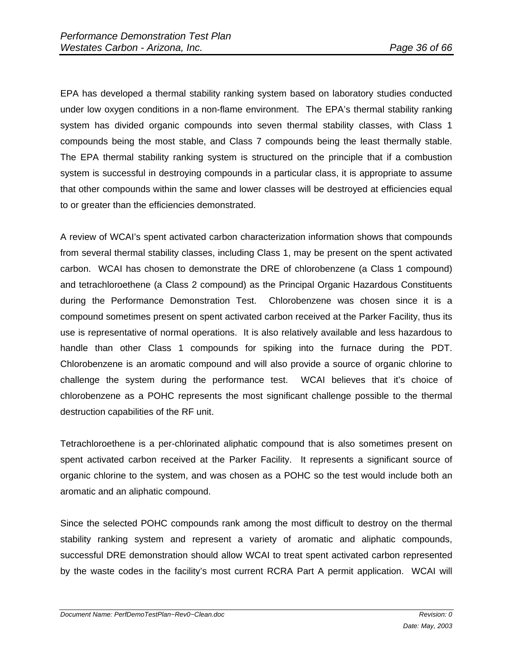EPA has developed a thermal stability ranking system based on laboratory studies conducted under low oxygen conditions in a non-flame environment. The EPA's thermal stability ranking system has divided organic compounds into seven thermal stability classes, with Class 1 compounds being the most stable, and Class 7 compounds being the least thermally stable. The EPA thermal stability ranking system is structured on the principle that if a combustion system is successful in destroying compounds in a particular class, it is appropriate to assume that other compounds within the same and lower classes will be destroyed at efficiencies equal to or greater than the efficiencies demonstrated.

A review of WCAI's spent activated carbon characterization information shows that compounds from several thermal stability classes, including Class 1, may be present on the spent activated carbon. WCAI has chosen to demonstrate the DRE of chlorobenzene (a Class 1 compound) and tetrachloroethene (a Class 2 compound) as the Principal Organic Hazardous Constituents during the Performance Demonstration Test. Chlorobenzene was chosen since it is a compound sometimes present on spent activated carbon received at the Parker Facility, thus its use is representative of normal operations. It is also relatively available and less hazardous to handle than other Class 1 compounds for spiking into the furnace during the PDT. Chlorobenzene is an aromatic compound and will also provide a source of organic chlorine to challenge the system during the performance test. WCAI believes that it's choice of chlorobenzene as a POHC represents the most significant challenge possible to the thermal destruction capabilities of the RF unit.

Tetrachloroethene is a per-chlorinated aliphatic compound that is also sometimes present on spent activated carbon received at the Parker Facility. It represents a significant source of organic chlorine to the system, and was chosen as a POHC so the test would include both an aromatic and an aliphatic compound.

Since the selected POHC compounds rank among the most difficult to destroy on the thermal stability ranking system and represent a variety of aromatic and aliphatic compounds, successful DRE demonstration should allow WCAI to treat spent activated carbon represented by the waste codes in the facility's most current RCRA Part A permit application. WCAI will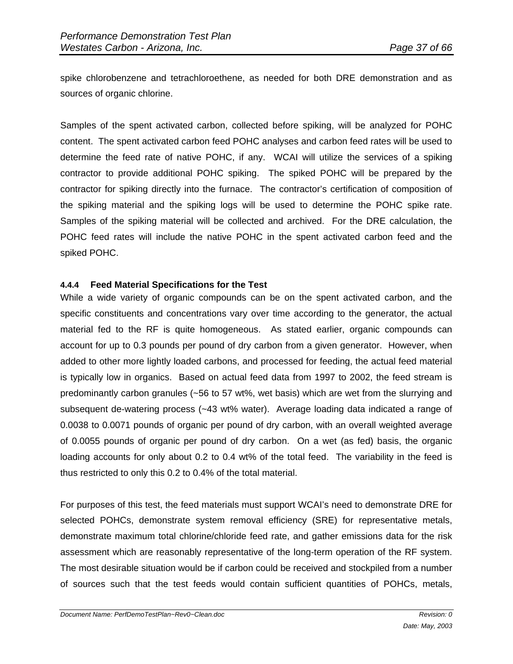spike chlorobenzene and tetrachloroethene, as needed for both DRE demonstration and as sources of organic chlorine.

Samples of the spent activated carbon, collected before spiking, will be analyzed for POHC content. The spent activated carbon feed POHC analyses and carbon feed rates will be used to determine the feed rate of native POHC, if any. WCAI will utilize the services of a spiking contractor to provide additional POHC spiking. The spiked POHC will be prepared by the contractor for spiking directly into the furnace. The contractor's certification of composition of the spiking material and the spiking logs will be used to determine the POHC spike rate. Samples of the spiking material will be collected and archived. For the DRE calculation, the POHC feed rates will include the native POHC in the spent activated carbon feed and the spiked POHC.

#### **4.4.4 Feed Material Specifications for the Test**

While a wide variety of organic compounds can be on the spent activated carbon, and the specific constituents and concentrations vary over time according to the generator, the actual material fed to the RF is quite homogeneous. As stated earlier, organic compounds can account for up to 0.3 pounds per pound of dry carbon from a given generator. However, when added to other more lightly loaded carbons, and processed for feeding, the actual feed material is typically low in organics. Based on actual feed data from 1997 to 2002, the feed stream is predominantly carbon granules (~56 to 57 wt%, wet basis) which are wet from the slurrying and subsequent de-watering process (~43 wt% water). Average loading data indicated a range of 0.0038 to 0.0071 pounds of organic per pound of dry carbon, with an overall weighted average of 0.0055 pounds of organic per pound of dry carbon. On a wet (as fed) basis, the organic loading accounts for only about 0.2 to 0.4 wt% of the total feed. The variability in the feed is thus restricted to only this 0.2 to 0.4% of the total material.

For purposes of this test, the feed materials must support WCAI's need to demonstrate DRE for selected POHCs, demonstrate system removal efficiency (SRE) for representative metals, demonstrate maximum total chlorine/chloride feed rate, and gather emissions data for the risk assessment which are reasonably representative of the long-term operation of the RF system. The most desirable situation would be if carbon could be received and stockpiled from a number of sources such that the test feeds would contain sufficient quantities of POHCs, metals,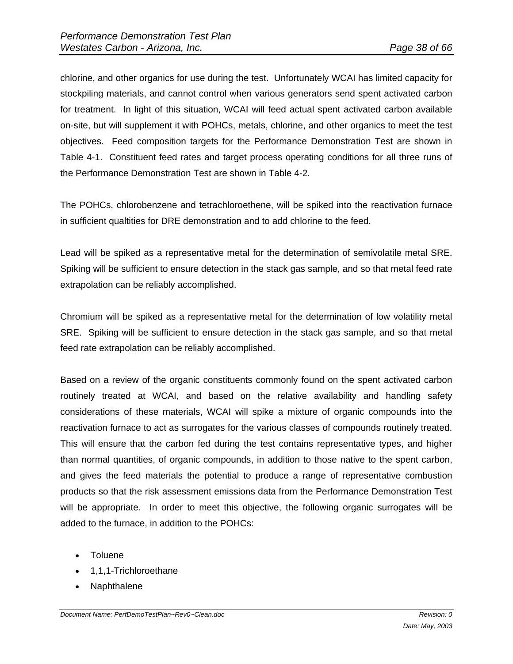chlorine, and other organics for use during the test. Unfortunately WCAI has limited capacity for stockpiling materials, and cannot control when various generators send spent activated carbon for treatment. In light of this situation, WCAI will feed actual spent activated carbon available on-site, but will supplement it with POHCs, metals, chlorine, and other organics to meet the test objectives. Feed composition targets for the Performance Demonstration Test are shown in Table 4-1. Constituent feed rates and target process operating conditions for all three runs of the Performance Demonstration Test are shown in Table 4-2.

The POHCs, chlorobenzene and tetrachloroethene, will be spiked into the reactivation furnace in sufficient qualtities for DRE demonstration and to add chlorine to the feed.

Lead will be spiked as a representative metal for the determination of semivolatile metal SRE. Spiking will be sufficient to ensure detection in the stack gas sample, and so that metal feed rate extrapolation can be reliably accomplished.

Chromium will be spiked as a representative metal for the determination of low volatility metal SRE. Spiking will be sufficient to ensure detection in the stack gas sample, and so that metal feed rate extrapolation can be reliably accomplished.

Based on a review of the organic constituents commonly found on the spent activated carbon routinely treated at WCAI, and based on the relative availability and handling safety considerations of these materials, WCAI will spike a mixture of organic compounds into the reactivation furnace to act as surrogates for the various classes of compounds routinely treated. This will ensure that the carbon fed during the test contains representative types, and higher than normal quantities, of organic compounds, in addition to those native to the spent carbon, and gives the feed materials the potential to produce a range of representative combustion products so that the risk assessment emissions data from the Performance Demonstration Test will be appropriate. In order to meet this objective, the following organic surrogates will be added to the furnace, in addition to the POHCs:

- Toluene
- 1,1,1-Trichloroethane
- Naphthalene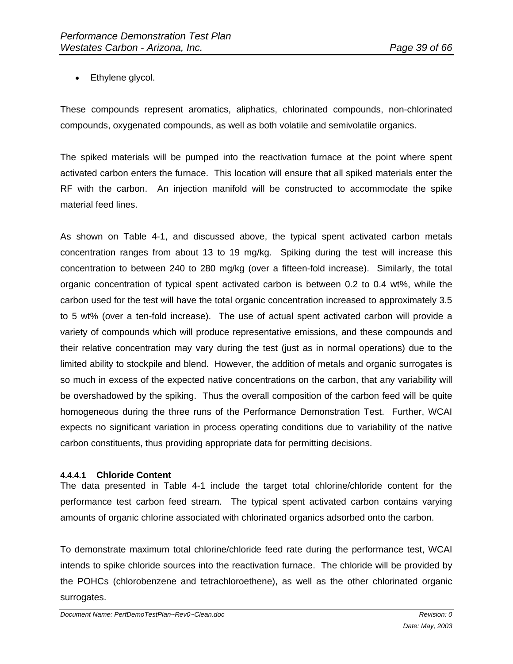• Ethylene glycol.

These compounds represent aromatics, aliphatics, chlorinated compounds, non-chlorinated compounds, oxygenated compounds, as well as both volatile and semivolatile organics.

The spiked materials will be pumped into the reactivation furnace at the point where spent activated carbon enters the furnace. This location will ensure that all spiked materials enter the RF with the carbon. An injection manifold will be constructed to accommodate the spike material feed lines.

As shown on Table 4-1, and discussed above, the typical spent activated carbon metals concentration ranges from about 13 to 19 mg/kg. Spiking during the test will increase this concentration to between 240 to 280 mg/kg (over a fifteen-fold increase). Similarly, the total organic concentration of typical spent activated carbon is between 0.2 to 0.4 wt%, while the carbon used for the test will have the total organic concentration increased to approximately 3.5 to 5 wt% (over a ten-fold increase). The use of actual spent activated carbon will provide a variety of compounds which will produce representative emissions, and these compounds and their relative concentration may vary during the test (just as in normal operations) due to the limited ability to stockpile and blend. However, the addition of metals and organic surrogates is so much in excess of the expected native concentrations on the carbon, that any variability will be overshadowed by the spiking. Thus the overall composition of the carbon feed will be quite homogeneous during the three runs of the Performance Demonstration Test. Further, WCAI expects no significant variation in process operating conditions due to variability of the native carbon constituents, thus providing appropriate data for permitting decisions.

#### **4.4.4.1 Chloride Content**

The data presented in Table 4-1 include the target total chlorine/chloride content for the performance test carbon feed stream. The typical spent activated carbon contains varying amounts of organic chlorine associated with chlorinated organics adsorbed onto the carbon.

To demonstrate maximum total chlorine/chloride feed rate during the performance test, WCAI intends to spike chloride sources into the reactivation furnace. The chloride will be provided by the POHCs (chlorobenzene and tetrachloroethene), as well as the other chlorinated organic surrogates.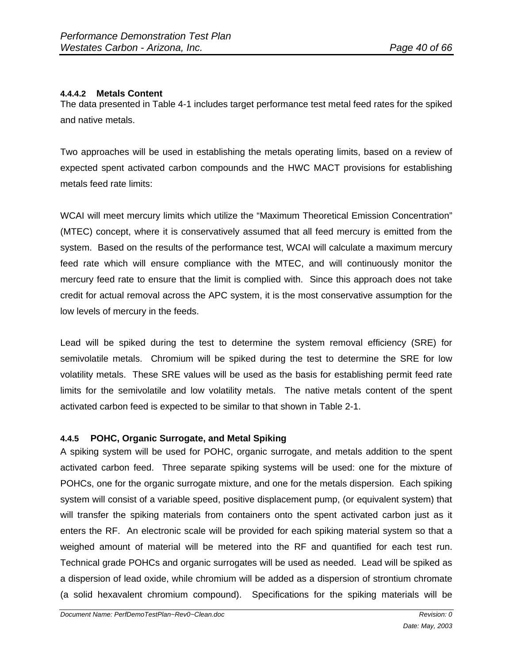# **4.4.4.2 Metals Content**

The data presented in Table 4-1 includes target performance test metal feed rates for the spiked and native metals.

Two approaches will be used in establishing the metals operating limits, based on a review of expected spent activated carbon compounds and the HWC MACT provisions for establishing metals feed rate limits:

WCAI will meet mercury limits which utilize the "Maximum Theoretical Emission Concentration" (MTEC) concept, where it is conservatively assumed that all feed mercury is emitted from the system. Based on the results of the performance test, WCAI will calculate a maximum mercury feed rate which will ensure compliance with the MTEC, and will continuously monitor the mercury feed rate to ensure that the limit is complied with. Since this approach does not take credit for actual removal across the APC system, it is the most conservative assumption for the low levels of mercury in the feeds.

Lead will be spiked during the test to determine the system removal efficiency (SRE) for semivolatile metals. Chromium will be spiked during the test to determine the SRE for low volatility metals. These SRE values will be used as the basis for establishing permit feed rate limits for the semivolatile and low volatility metals. The native metals content of the spent activated carbon feed is expected to be similar to that shown in Table 2-1.

# **4.4.5 POHC, Organic Surrogate, and Metal Spiking**

A spiking system will be used for POHC, organic surrogate, and metals addition to the spent activated carbon feed. Three separate spiking systems will be used: one for the mixture of POHCs, one for the organic surrogate mixture, and one for the metals dispersion. Each spiking system will consist of a variable speed, positive displacement pump, (or equivalent system) that will transfer the spiking materials from containers onto the spent activated carbon just as it enters the RF. An electronic scale will be provided for each spiking material system so that a weighed amount of material will be metered into the RF and quantified for each test run. Technical grade POHCs and organic surrogates will be used as needed. Lead will be spiked as a dispersion of lead oxide, while chromium will be added as a dispersion of strontium chromate (a solid hexavalent chromium compound). Specifications for the spiking materials will be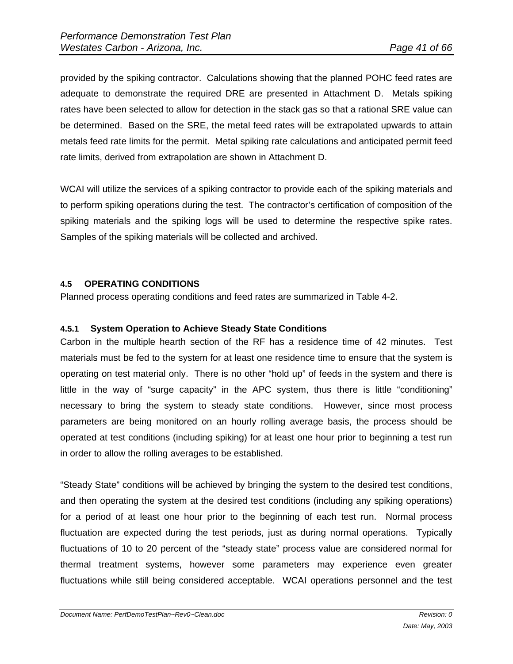provided by the spiking contractor. Calculations showing that the planned POHC feed rates are adequate to demonstrate the required DRE are presented in Attachment D. Metals spiking rates have been selected to allow for detection in the stack gas so that a rational SRE value can be determined. Based on the SRE, the metal feed rates will be extrapolated upwards to attain metals feed rate limits for the permit. Metal spiking rate calculations and anticipated permit feed rate limits, derived from extrapolation are shown in Attachment D.

WCAI will utilize the services of a spiking contractor to provide each of the spiking materials and to perform spiking operations during the test. The contractor's certification of composition of the spiking materials and the spiking logs will be used to determine the respective spike rates. Samples of the spiking materials will be collected and archived.

#### **4.5 OPERATING CONDITIONS**

Planned process operating conditions and feed rates are summarized in Table 4-2.

#### **4.5.1 System Operation to Achieve Steady State Conditions**

Carbon in the multiple hearth section of the RF has a residence time of 42 minutes. Test materials must be fed to the system for at least one residence time to ensure that the system is operating on test material only. There is no other "hold up" of feeds in the system and there is little in the way of "surge capacity" in the APC system, thus there is little "conditioning" necessary to bring the system to steady state conditions. However, since most process parameters are being monitored on an hourly rolling average basis, the process should be operated at test conditions (including spiking) for at least one hour prior to beginning a test run in order to allow the rolling averages to be established.

"Steady State" conditions will be achieved by bringing the system to the desired test conditions, and then operating the system at the desired test conditions (including any spiking operations) for a period of at least one hour prior to the beginning of each test run. Normal process fluctuation are expected during the test periods, just as during normal operations. Typically fluctuations of 10 to 20 percent of the "steady state" process value are considered normal for thermal treatment systems, however some parameters may experience even greater fluctuations while still being considered acceptable. WCAI operations personnel and the test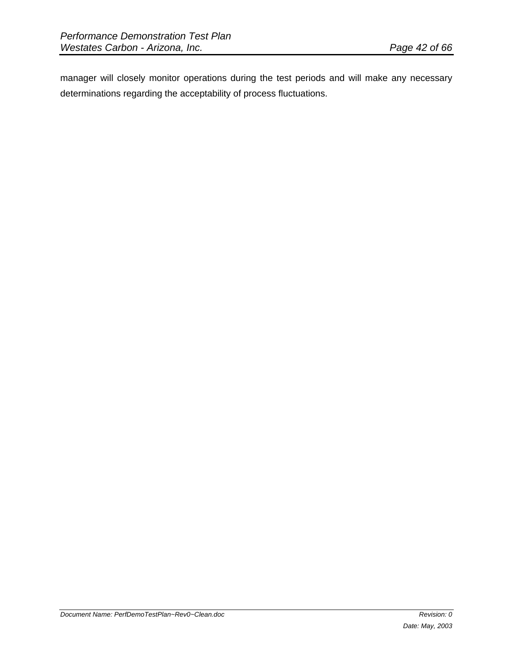manager will closely monitor operations during the test periods and will make any necessary determinations regarding the acceptability of process fluctuations.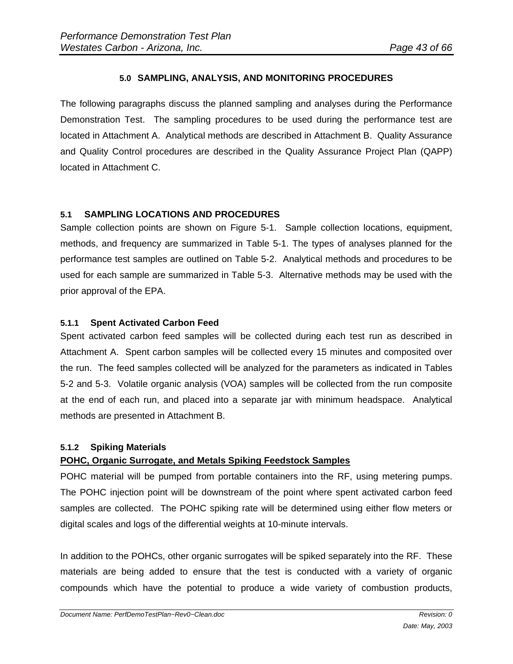## **5.0 SAMPLING, ANALYSIS, AND MONITORING PROCEDURES**

The following paragraphs discuss the planned sampling and analyses during the Performance Demonstration Test. The sampling procedures to be used during the performance test are located in Attachment A. Analytical methods are described in Attachment B. Quality Assurance and Quality Control procedures are described in the Quality Assurance Project Plan (QAPP) located in Attachment C.

#### **5.1 SAMPLING LOCATIONS AND PROCEDURES**

Sample collection points are shown on Figure 5-1. Sample collection locations, equipment, methods, and frequency are summarized in Table 5-1. The types of analyses planned for the performance test samples are outlined on Table 5-2. Analytical methods and procedures to be used for each sample are summarized in Table 5-3. Alternative methods may be used with the prior approval of the EPA.

#### **5.1.1 Spent Activated Carbon Feed**

Spent activated carbon feed samples will be collected during each test run as described in Attachment A. Spent carbon samples will be collected every 15 minutes and composited over the run. The feed samples collected will be analyzed for the parameters as indicated in Tables 5-2 and 5-3. Volatile organic analysis (VOA) samples will be collected from the run composite at the end of each run, and placed into a separate jar with minimum headspace. Analytical methods are presented in Attachment B.

# **5.1.2 Spiking Materials**

# **POHC, Organic Surrogate, and Metals Spiking Feedstock Samples**

POHC material will be pumped from portable containers into the RF, using metering pumps. The POHC injection point will be downstream of the point where spent activated carbon feed samples are collected. The POHC spiking rate will be determined using either flow meters or digital scales and logs of the differential weights at 10-minute intervals.

In addition to the POHCs, other organic surrogates will be spiked separately into the RF. These materials are being added to ensure that the test is conducted with a variety of organic compounds which have the potential to produce a wide variety of combustion products,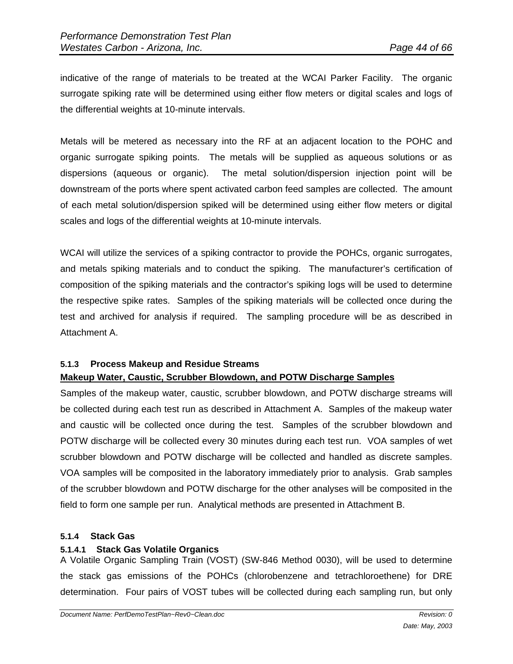indicative of the range of materials to be treated at the WCAI Parker Facility. The organic surrogate spiking rate will be determined using either flow meters or digital scales and logs of the differential weights at 10-minute intervals.

Metals will be metered as necessary into the RF at an adjacent location to the POHC and organic surrogate spiking points. The metals will be supplied as aqueous solutions or as dispersions (aqueous or organic). The metal solution/dispersion injection point will be downstream of the ports where spent activated carbon feed samples are collected. The amount of each metal solution/dispersion spiked will be determined using either flow meters or digital scales and logs of the differential weights at 10-minute intervals.

WCAI will utilize the services of a spiking contractor to provide the POHCs, organic surrogates, and metals spiking materials and to conduct the spiking. The manufacturer's certification of composition of the spiking materials and the contractor's spiking logs will be used to determine the respective spike rates. Samples of the spiking materials will be collected once during the test and archived for analysis if required. The sampling procedure will be as described in Attachment A.

# **5.1.3 Process Makeup and Residue Streams Makeup Water, Caustic, Scrubber Blowdown, and POTW Discharge Samples**

Samples of the makeup water, caustic, scrubber blowdown, and POTW discharge streams will be collected during each test run as described in Attachment A. Samples of the makeup water and caustic will be collected once during the test. Samples of the scrubber blowdown and POTW discharge will be collected every 30 minutes during each test run. VOA samples of wet scrubber blowdown and POTW discharge will be collected and handled as discrete samples. VOA samples will be composited in the laboratory immediately prior to analysis. Grab samples of the scrubber blowdown and POTW discharge for the other analyses will be composited in the field to form one sample per run. Analytical methods are presented in Attachment B.

# **5.1.4 Stack Gas**

# **5.1.4.1 Stack Gas Volatile Organics**

A Volatile Organic Sampling Train (VOST) (SW-846 Method 0030), will be used to determine the stack gas emissions of the POHCs (chlorobenzene and tetrachloroethene) for DRE determination. Four pairs of VOST tubes will be collected during each sampling run, but only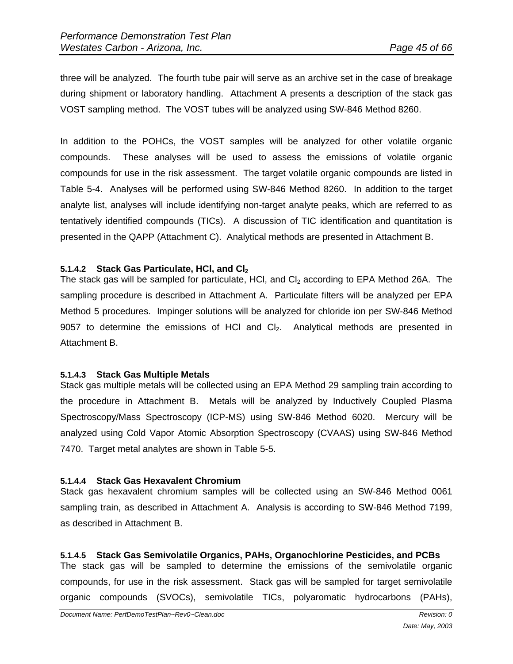three will be analyzed. The fourth tube pair will serve as an archive set in the case of breakage during shipment or laboratory handling. Attachment A presents a description of the stack gas VOST sampling method. The VOST tubes will be analyzed using SW-846 Method 8260.

In addition to the POHCs, the VOST samples will be analyzed for other volatile organic compounds. These analyses will be used to assess the emissions of volatile organic compounds for use in the risk assessment. The target volatile organic compounds are listed in Table 5-4. Analyses will be performed using SW-846 Method 8260. In addition to the target analyte list, analyses will include identifying non-target analyte peaks, which are referred to as tentatively identified compounds (TICs). A discussion of TIC identification and quantitation is presented in the QAPP (Attachment C). Analytical methods are presented in Attachment B.

#### **5.1.4.2 Stack Gas Particulate, HCI, and CI<sub>2</sub>**

The stack gas will be sampled for particulate, HCI, and  $Cl<sub>2</sub>$  according to EPA Method 26A. The sampling procedure is described in Attachment A. Particulate filters will be analyzed per EPA Method 5 procedures. Impinger solutions will be analyzed for chloride ion per SW-846 Method 9057 to determine the emissions of HCl and  $Cl<sub>2</sub>$ . Analytical methods are presented in Attachment B.

#### **5.1.4.3 Stack Gas Multiple Metals**

Stack gas multiple metals will be collected using an EPA Method 29 sampling train according to the procedure in Attachment B. Metals will be analyzed by Inductively Coupled Plasma Spectroscopy/Mass Spectroscopy (ICP-MS) using SW-846 Method 6020. Mercury will be analyzed using Cold Vapor Atomic Absorption Spectroscopy (CVAAS) using SW-846 Method 7470. Target metal analytes are shown in Table 5-5.

#### **5.1.4.4 Stack Gas Hexavalent Chromium**

Stack gas hexavalent chromium samples will be collected using an SW-846 Method 0061 sampling train, as described in Attachment A. Analysis is according to SW-846 Method 7199, as described in Attachment B.

**5.1.4.5 Stack Gas Semivolatile Organics, PAHs, Organochlorine Pesticides, and PCBs**  The stack gas will be sampled to determine the emissions of the semivolatile organic compounds, for use in the risk assessment. Stack gas will be sampled for target semivolatile organic compounds (SVOCs), semivolatile TICs, polyaromatic hydrocarbons (PAHs),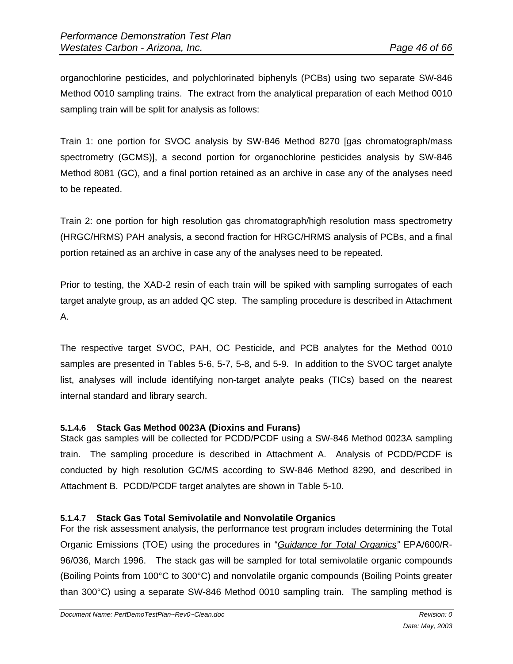organochlorine pesticides, and polychlorinated biphenyls (PCBs) using two separate SW-846 Method 0010 sampling trains. The extract from the analytical preparation of each Method 0010 sampling train will be split for analysis as follows:

Train 1: one portion for SVOC analysis by SW-846 Method 8270 [gas chromatograph/mass spectrometry (GCMS)], a second portion for organochlorine pesticides analysis by SW-846 Method 8081 (GC), and a final portion retained as an archive in case any of the analyses need to be repeated.

Train 2: one portion for high resolution gas chromatograph/high resolution mass spectrometry (HRGC/HRMS) PAH analysis, a second fraction for HRGC/HRMS analysis of PCBs, and a final portion retained as an archive in case any of the analyses need to be repeated.

Prior to testing, the XAD-2 resin of each train will be spiked with sampling surrogates of each target analyte group, as an added QC step. The sampling procedure is described in Attachment A.

The respective target SVOC, PAH, OC Pesticide, and PCB analytes for the Method 0010 samples are presented in Tables 5-6, 5-7, 5-8, and 5-9. In addition to the SVOC target analyte list, analyses will include identifying non-target analyte peaks (TICs) based on the nearest internal standard and library search.

# **5.1.4.6 Stack Gas Method 0023A (Dioxins and Furans)**

Stack gas samples will be collected for PCDD/PCDF using a SW-846 Method 0023A sampling train. The sampling procedure is described in Attachment A. Analysis of PCDD/PCDF is conducted by high resolution GC/MS according to SW-846 Method 8290, and described in Attachment B. PCDD/PCDF target analytes are shown in Table 5-10.

# **5.1.4.7 Stack Gas Total Semivolatile and Nonvolatile Organics**

For the risk assessment analysis, the performance test program includes determining the Total Organic Emissions (TOE) using the procedures in "*Guidance for Total Organics"* EPA/600/R-96/036, March 1996. The stack gas will be sampled for total semivolatile organic compounds (Boiling Points from 100°C to 300°C) and nonvolatile organic compounds (Boiling Points greater than 300°C) using a separate SW-846 Method 0010 sampling train. The sampling method is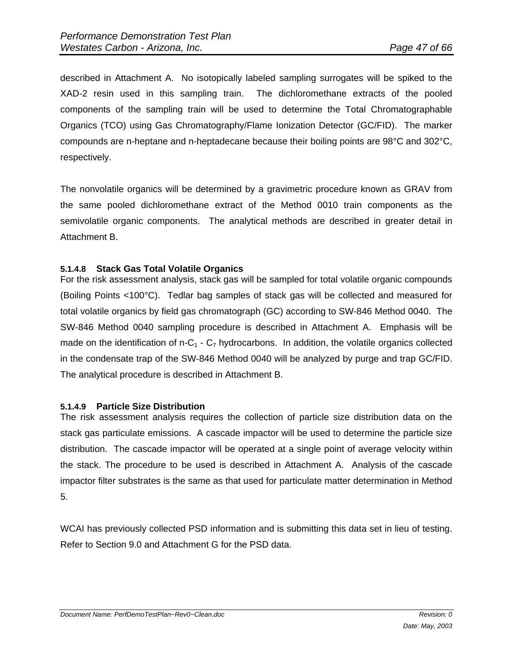described in Attachment A. No isotopically labeled sampling surrogates will be spiked to the XAD-2 resin used in this sampling train. The dichloromethane extracts of the pooled components of the sampling train will be used to determine the Total Chromatographable Organics (TCO) using Gas Chromatography/Flame Ionization Detector (GC/FID). The marker compounds are n-heptane and n-heptadecane because their boiling points are 98°C and 302°C, respectively.

The nonvolatile organics will be determined by a gravimetric procedure known as GRAV from the same pooled dichloromethane extract of the Method 0010 train components as the semivolatile organic components. The analytical methods are described in greater detail in Attachment B.

#### **5.1.4.8 Stack Gas Total Volatile Organics**

For the risk assessment analysis, stack gas will be sampled for total volatile organic compounds (Boiling Points <100°C). Tedlar bag samples of stack gas will be collected and measured for total volatile organics by field gas chromatograph (GC) according to SW-846 Method 0040. The SW-846 Method 0040 sampling procedure is described in Attachment A. Emphasis will be made on the identification of n-C<sub>1</sub> - C<sub>7</sub> hydrocarbons. In addition, the volatile organics collected in the condensate trap of the SW-846 Method 0040 will be analyzed by purge and trap GC/FID. The analytical procedure is described in Attachment B.

#### **5.1.4.9 Particle Size Distribution**

The risk assessment analysis requires the collection of particle size distribution data on the stack gas particulate emissions. A cascade impactor will be used to determine the particle size distribution. The cascade impactor will be operated at a single point of average velocity within the stack. The procedure to be used is described in Attachment A. Analysis of the cascade impactor filter substrates is the same as that used for particulate matter determination in Method 5.

WCAI has previously collected PSD information and is submitting this data set in lieu of testing. Refer to Section 9.0 and Attachment G for the PSD data.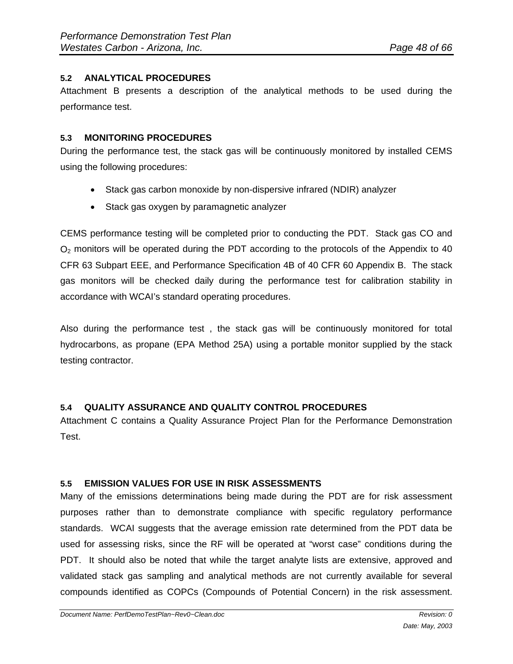# **5.2 ANALYTICAL PROCEDURES**

Attachment B presents a description of the analytical methods to be used during the performance test.

#### **5.3 MONITORING PROCEDURES**

During the performance test, the stack gas will be continuously monitored by installed CEMS using the following procedures:

- Stack gas carbon monoxide by non-dispersive infrared (NDIR) analyzer
- Stack gas oxygen by paramagnetic analyzer

CEMS performance testing will be completed prior to conducting the PDT. Stack gas CO and  $O<sub>2</sub>$  monitors will be operated during the PDT according to the protocols of the Appendix to 40 CFR 63 Subpart EEE, and Performance Specification 4B of 40 CFR 60 Appendix B. The stack gas monitors will be checked daily during the performance test for calibration stability in accordance with WCAI's standard operating procedures.

Also during the performance test , the stack gas will be continuously monitored for total hydrocarbons, as propane (EPA Method 25A) using a portable monitor supplied by the stack testing contractor.

# **5.4 QUALITY ASSURANCE AND QUALITY CONTROL PROCEDURES**

Attachment C contains a Quality Assurance Project Plan for the Performance Demonstration Test.

# **5.5 EMISSION VALUES FOR USE IN RISK ASSESSMENTS**

Many of the emissions determinations being made during the PDT are for risk assessment purposes rather than to demonstrate compliance with specific regulatory performance standards. WCAI suggests that the average emission rate determined from the PDT data be used for assessing risks, since the RF will be operated at "worst case" conditions during the PDT. It should also be noted that while the target analyte lists are extensive, approved and validated stack gas sampling and analytical methods are not currently available for several compounds identified as COPCs (Compounds of Potential Concern) in the risk assessment.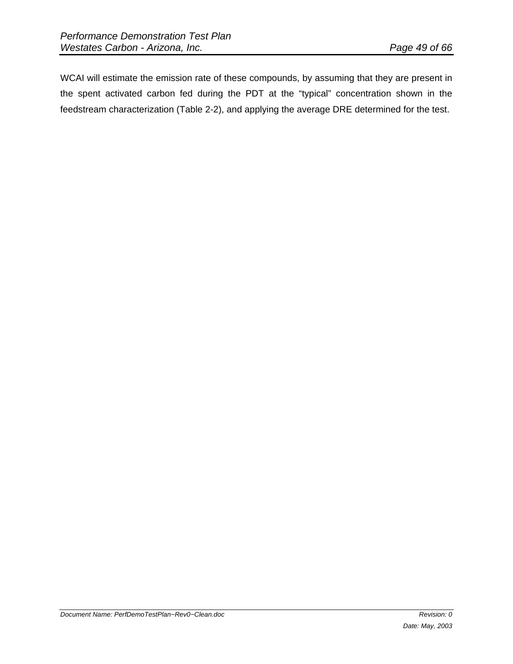WCAI will estimate the emission rate of these compounds, by assuming that they are present in the spent activated carbon fed during the PDT at the "typical" concentration shown in the feedstream characterization (Table 2-2), and applying the average DRE determined for the test.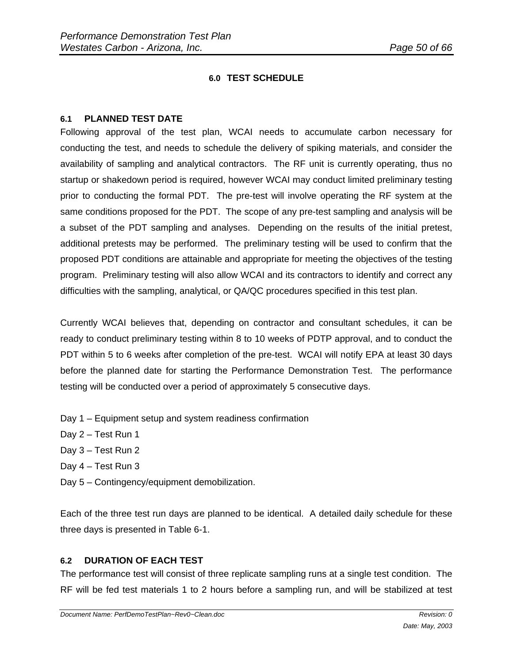# **6.0 TEST SCHEDULE**

#### **6.1 PLANNED TEST DATE**

Following approval of the test plan, WCAI needs to accumulate carbon necessary for conducting the test, and needs to schedule the delivery of spiking materials, and consider the availability of sampling and analytical contractors. The RF unit is currently operating, thus no startup or shakedown period is required, however WCAI may conduct limited preliminary testing prior to conducting the formal PDT. The pre-test will involve operating the RF system at the same conditions proposed for the PDT. The scope of any pre-test sampling and analysis will be a subset of the PDT sampling and analyses. Depending on the results of the initial pretest, additional pretests may be performed. The preliminary testing will be used to confirm that the proposed PDT conditions are attainable and appropriate for meeting the objectives of the testing program. Preliminary testing will also allow WCAI and its contractors to identify and correct any difficulties with the sampling, analytical, or QA/QC procedures specified in this test plan.

Currently WCAI believes that, depending on contractor and consultant schedules, it can be ready to conduct preliminary testing within 8 to 10 weeks of PDTP approval, and to conduct the PDT within 5 to 6 weeks after completion of the pre-test. WCAI will notify EPA at least 30 days before the planned date for starting the Performance Demonstration Test. The performance testing will be conducted over a period of approximately 5 consecutive days.

- Day 1 Equipment setup and system readiness confirmation
- Day 2 Test Run 1
- Day 3 Test Run 2
- Day 4 Test Run 3
- Day 5 Contingency/equipment demobilization.

Each of the three test run days are planned to be identical. A detailed daily schedule for these three days is presented in Table 6-1.

# **6.2 DURATION OF EACH TEST**

The performance test will consist of three replicate sampling runs at a single test condition. The RF will be fed test materials 1 to 2 hours before a sampling run, and will be stabilized at test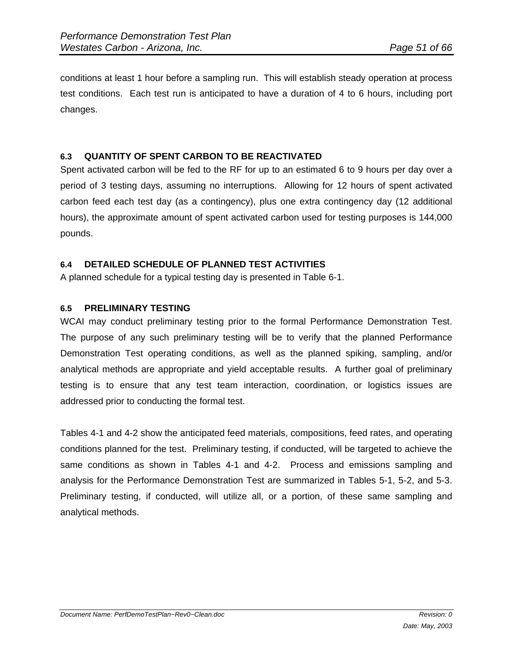conditions at least 1 hour before a sampling run. This will establish steady operation at process test conditions. Each test run is anticipated to have a duration of 4 to 6 hours, including port changes.

# **6.3 QUANTITY OF SPENT CARBON TO BE REACTIVATED**

Spent activated carbon will be fed to the RF for up to an estimated 6 to 9 hours per day over a period of 3 testing days, assuming no interruptions. Allowing for 12 hours of spent activated carbon feed each test day (as a contingency), plus one extra contingency day (12 additional hours), the approximate amount of spent activated carbon used for testing purposes is 144,000 pounds.

# **6.4 DETAILED SCHEDULE OF PLANNED TEST ACTIVITIES**

A planned schedule for a typical testing day is presented in Table 6-1.

# **6.5 PRELIMINARY TESTING**

WCAI may conduct preliminary testing prior to the formal Performance Demonstration Test. The purpose of any such preliminary testing will be to verify that the planned Performance Demonstration Test operating conditions, as well as the planned spiking, sampling, and/or analytical methods are appropriate and yield acceptable results. A further goal of preliminary testing is to ensure that any test team interaction, coordination, or logistics issues are addressed prior to conducting the formal test.

Tables 4-1 and 4-2 show the anticipated feed materials, compositions, feed rates, and operating conditions planned for the test. Preliminary testing, if conducted, will be targeted to achieve the same conditions as shown in Tables 4-1 and 4-2. Process and emissions sampling and analysis for the Performance Demonstration Test are summarized in Tables 5-1, 5-2, and 5-3. Preliminary testing, if conducted, will utilize all, or a portion, of these same sampling and analytical methods.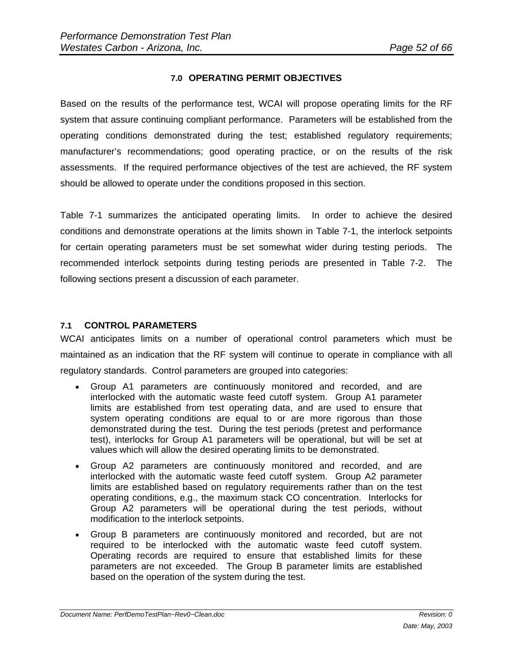## **7.0 OPERATING PERMIT OBJECTIVES**

Based on the results of the performance test, WCAI will propose operating limits for the RF system that assure continuing compliant performance. Parameters will be established from the operating conditions demonstrated during the test; established regulatory requirements; manufacturer's recommendations; good operating practice, or on the results of the risk assessments. If the required performance objectives of the test are achieved, the RF system should be allowed to operate under the conditions proposed in this section.

Table 7-1 summarizes the anticipated operating limits. In order to achieve the desired conditions and demonstrate operations at the limits shown in Table 7-1, the interlock setpoints for certain operating parameters must be set somewhat wider during testing periods. The recommended interlock setpoints during testing periods are presented in Table 7-2. The following sections present a discussion of each parameter.

#### **7.1 CONTROL PARAMETERS**

WCAI anticipates limits on a number of operational control parameters which must be maintained as an indication that the RF system will continue to operate in compliance with all regulatory standards. Control parameters are grouped into categories:

- Group A1 parameters are continuously monitored and recorded, and are interlocked with the automatic waste feed cutoff system. Group A1 parameter limits are established from test operating data, and are used to ensure that system operating conditions are equal to or are more rigorous than those demonstrated during the test. During the test periods (pretest and performance test), interlocks for Group A1 parameters will be operational, but will be set at values which will allow the desired operating limits to be demonstrated.
- Group A2 parameters are continuously monitored and recorded, and are interlocked with the automatic waste feed cutoff system. Group A2 parameter limits are established based on regulatory requirements rather than on the test operating conditions, e.g., the maximum stack CO concentration. Interlocks for Group A2 parameters will be operational during the test periods, without modification to the interlock setpoints.
- Group B parameters are continuously monitored and recorded, but are not required to be interlocked with the automatic waste feed cutoff system. Operating records are required to ensure that established limits for these parameters are not exceeded. The Group B parameter limits are established based on the operation of the system during the test.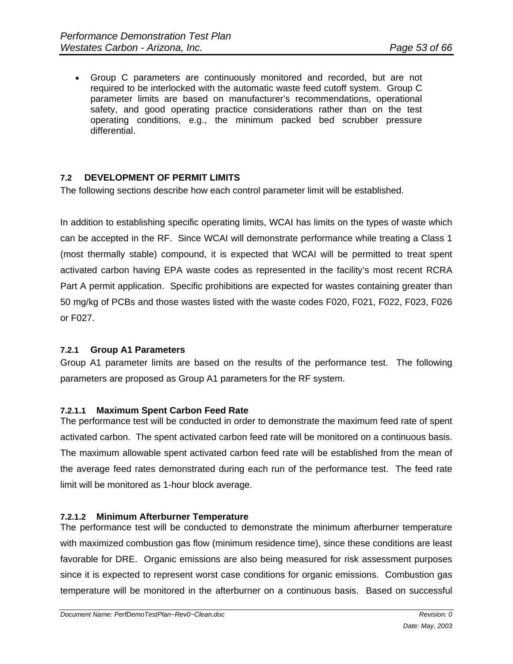Group C parameters are continuously monitored and recorded, but are not required to be interlocked with the automatic waste feed cutoff system. Group C parameter limits are based on manufacturer's recommendations, operational safety, and good operating practice considerations rather than on the test operating conditions, e.g., the minimum packed bed scrubber pressure differential.

# **7.2 DEVELOPMENT OF PERMIT LIMITS**

The following sections describe how each control parameter limit will be established.

In addition to establishing specific operating limits, WCAI has limits on the types of waste which can be accepted in the RF. Since WCAI will demonstrate performance while treating a Class 1 (most thermally stable) compound, it is expected that WCAI will be permitted to treat spent activated carbon having EPA waste codes as represented in the facility's most recent RCRA Part A permit application. Specific prohibitions are expected for wastes containing greater than 50 mg/kg of PCBs and those wastes listed with the waste codes F020, F021, F022, F023, F026 or F027.

#### **7.2.1 Group A1 Parameters**

Group A1 parameter limits are based on the results of the performance test. The following parameters are proposed as Group A1 parameters for the RF system.

#### **7.2.1.1 Maximum Spent Carbon Feed Rate**

The performance test will be conducted in order to demonstrate the maximum feed rate of spent activated carbon. The spent activated carbon feed rate will be monitored on a continuous basis. The maximum allowable spent activated carbon feed rate will be established from the mean of the average feed rates demonstrated during each run of the performance test. The feed rate limit will be monitored as 1-hour block average.

#### **7.2.1.2 Minimum Afterburner Temperature**

The performance test will be conducted to demonstrate the minimum afterburner temperature with maximized combustion gas flow (minimum residence time), since these conditions are least favorable for DRE. Organic emissions are also being measured for risk assessment purposes since it is expected to represent worst case conditions for organic emissions. Combustion gas temperature will be monitored in the afterburner on a continuous basis. Based on successful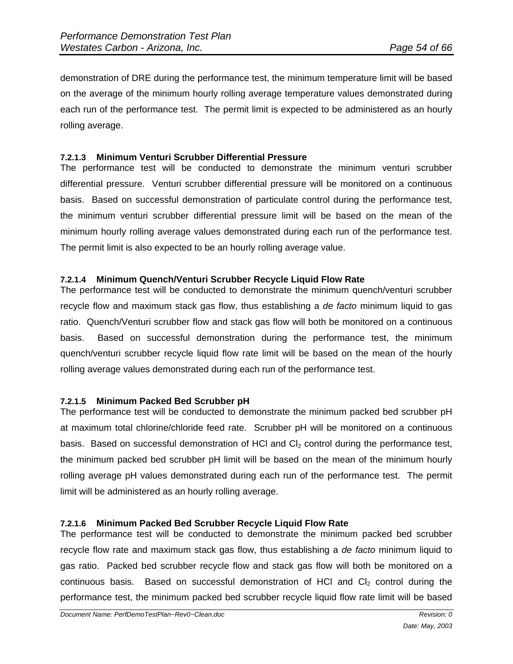demonstration of DRE during the performance test, the minimum temperature limit will be based on the average of the minimum hourly rolling average temperature values demonstrated during each run of the performance test. The permit limit is expected to be administered as an hourly rolling average.

## **7.2.1.3 Minimum Venturi Scrubber Differential Pressure**

The performance test will be conducted to demonstrate the minimum venturi scrubber differential pressure. Venturi scrubber differential pressure will be monitored on a continuous basis. Based on successful demonstration of particulate control during the performance test, the minimum venturi scrubber differential pressure limit will be based on the mean of the minimum hourly rolling average values demonstrated during each run of the performance test. The permit limit is also expected to be an hourly rolling average value.

#### **7.2.1.4 Minimum Quench/Venturi Scrubber Recycle Liquid Flow Rate**

The performance test will be conducted to demonstrate the minimum quench/venturi scrubber recycle flow and maximum stack gas flow, thus establishing a *de facto* minimum liquid to gas ratio. Quench/Venturi scrubber flow and stack gas flow will both be monitored on a continuous basis. Based on successful demonstration during the performance test, the minimum quench/venturi scrubber recycle liquid flow rate limit will be based on the mean of the hourly rolling average values demonstrated during each run of the performance test.

#### **7.2.1.5 Minimum Packed Bed Scrubber pH**

The performance test will be conducted to demonstrate the minimum packed bed scrubber pH at maximum total chlorine/chloride feed rate. Scrubber pH will be monitored on a continuous basis. Based on successful demonstration of HCI and  $Cl<sub>2</sub>$  control during the performance test, the minimum packed bed scrubber pH limit will be based on the mean of the minimum hourly rolling average pH values demonstrated during each run of the performance test. The permit limit will be administered as an hourly rolling average.

#### **7.2.1.6 Minimum Packed Bed Scrubber Recycle Liquid Flow Rate**

The performance test will be conducted to demonstrate the minimum packed bed scrubber recycle flow rate and maximum stack gas flow, thus establishing a *de facto* minimum liquid to gas ratio. Packed bed scrubber recycle flow and stack gas flow will both be monitored on a continuous basis. Based on successful demonstration of HCI and  $Cl<sub>2</sub>$  control during the performance test, the minimum packed bed scrubber recycle liquid flow rate limit will be based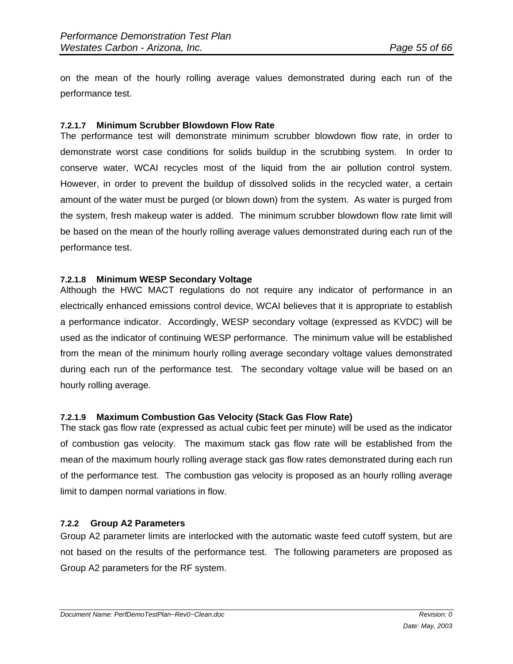on the mean of the hourly rolling average values demonstrated during each run of the performance test.

#### **7.2.1.7 Minimum Scrubber Blowdown Flow Rate**

The performance test will demonstrate minimum scrubber blowdown flow rate, in order to demonstrate worst case conditions for solids buildup in the scrubbing system. In order to conserve water, WCAI recycles most of the liquid from the air pollution control system. However, in order to prevent the buildup of dissolved solids in the recycled water, a certain amount of the water must be purged (or blown down) from the system. As water is purged from the system, fresh makeup water is added. The minimum scrubber blowdown flow rate limit will be based on the mean of the hourly rolling average values demonstrated during each run of the performance test.

#### **7.2.1.8 Minimum WESP Secondary Voltage**

Although the HWC MACT regulations do not require any indicator of performance in an electrically enhanced emissions control device, WCAI believes that it is appropriate to establish a performance indicator. Accordingly, WESP secondary voltage (expressed as KVDC) will be used as the indicator of continuing WESP performance. The minimum value will be established from the mean of the minimum hourly rolling average secondary voltage values demonstrated during each run of the performance test. The secondary voltage value will be based on an hourly rolling average.

#### **7.2.1.9 Maximum Combustion Gas Velocity (Stack Gas Flow Rate)**

The stack gas flow rate (expressed as actual cubic feet per minute) will be used as the indicator of combustion gas velocity. The maximum stack gas flow rate will be established from the mean of the maximum hourly rolling average stack gas flow rates demonstrated during each run of the performance test. The combustion gas velocity is proposed as an hourly rolling average limit to dampen normal variations in flow.

#### **7.2.2 Group A2 Parameters**

Group A2 parameter limits are interlocked with the automatic waste feed cutoff system, but are not based on the results of the performance test. The following parameters are proposed as Group A2 parameters for the RF system.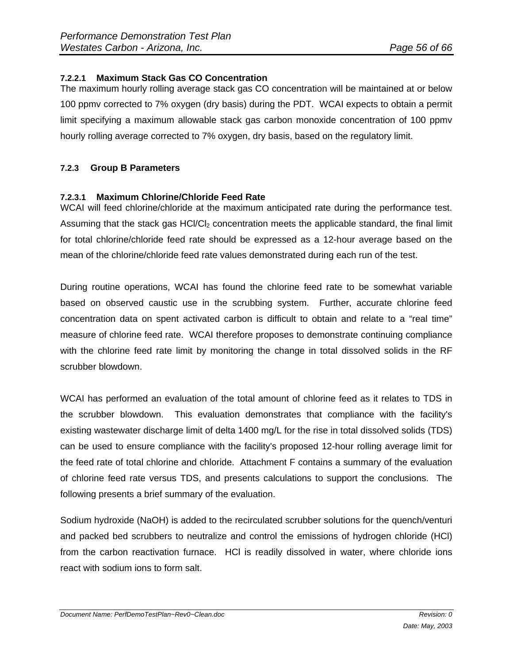# **7.2.2.1 Maximum Stack Gas CO Concentration**

The maximum hourly rolling average stack gas CO concentration will be maintained at or below 100 ppmv corrected to 7% oxygen (dry basis) during the PDT. WCAI expects to obtain a permit limit specifying a maximum allowable stack gas carbon monoxide concentration of 100 ppmv hourly rolling average corrected to 7% oxygen, dry basis, based on the regulatory limit.

# **7.2.3 Group B Parameters**

#### **7.2.3.1 Maximum Chlorine/Chloride Feed Rate**

WCAI will feed chlorine/chloride at the maximum anticipated rate during the performance test. Assuming that the stack gas HCI/CI<sub>2</sub> concentration meets the applicable standard, the final limit for total chlorine/chloride feed rate should be expressed as a 12-hour average based on the mean of the chlorine/chloride feed rate values demonstrated during each run of the test.

During routine operations, WCAI has found the chlorine feed rate to be somewhat variable based on observed caustic use in the scrubbing system. Further, accurate chlorine feed concentration data on spent activated carbon is difficult to obtain and relate to a "real time" measure of chlorine feed rate. WCAI therefore proposes to demonstrate continuing compliance with the chlorine feed rate limit by monitoring the change in total dissolved solids in the RF scrubber blowdown.

WCAI has performed an evaluation of the total amount of chlorine feed as it relates to TDS in the scrubber blowdown. This evaluation demonstrates that compliance with the facility's existing wastewater discharge limit of delta 1400 mg/L for the rise in total dissolved solids (TDS) can be used to ensure compliance with the facility's proposed 12-hour rolling average limit for the feed rate of total chlorine and chloride. Attachment F contains a summary of the evaluation of chlorine feed rate versus TDS, and presents calculations to support the conclusions. The following presents a brief summary of the evaluation.

Sodium hydroxide (NaOH) is added to the recirculated scrubber solutions for the quench/venturi and packed bed scrubbers to neutralize and control the emissions of hydrogen chloride (HCl) from the carbon reactivation furnace. HCl is readily dissolved in water, where chloride ions react with sodium ions to form salt.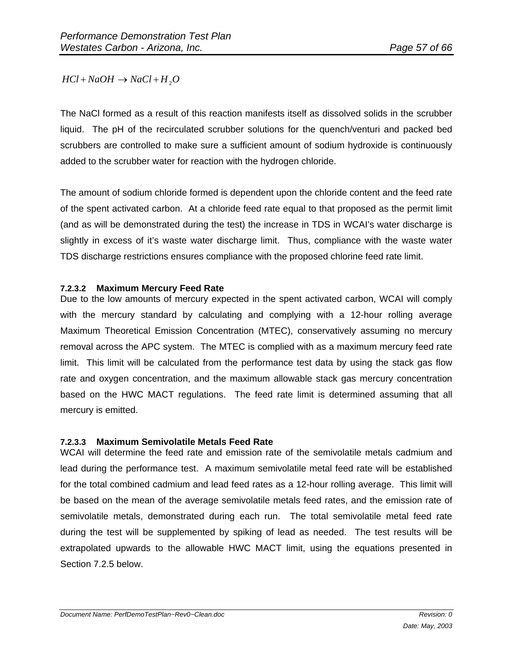$HCl + NaOH \rightarrow NaCl + H<sub>2</sub>O$ 

The NaCl formed as a result of this reaction manifests itself as dissolved solids in the scrubber liquid. The pH of the recirculated scrubber solutions for the quench/venturi and packed bed scrubbers are controlled to make sure a sufficient amount of sodium hydroxide is continuously added to the scrubber water for reaction with the hydrogen chloride.

The amount of sodium chloride formed is dependent upon the chloride content and the feed rate of the spent activated carbon. At a chloride feed rate equal to that proposed as the permit limit (and as will be demonstrated during the test) the increase in TDS in WCAI's water discharge is slightly in excess of it's waste water discharge limit. Thus, compliance with the waste water TDS discharge restrictions ensures compliance with the proposed chlorine feed rate limit.

#### **7.2.3.2 Maximum Mercury Feed Rate**

Due to the low amounts of mercury expected in the spent activated carbon, WCAI will comply with the mercury standard by calculating and complying with a 12-hour rolling average Maximum Theoretical Emission Concentration (MTEC), conservatively assuming no mercury removal across the APC system. The MTEC is complied with as a maximum mercury feed rate limit. This limit will be calculated from the performance test data by using the stack gas flow rate and oxygen concentration, and the maximum allowable stack gas mercury concentration based on the HWC MACT regulations. The feed rate limit is determined assuming that all mercury is emitted.

#### **7.2.3.3 Maximum Semivolatile Metals Feed Rate**

WCAI will determine the feed rate and emission rate of the semivolatile metals cadmium and lead during the performance test. A maximum semivolatile metal feed rate will be established for the total combined cadmium and lead feed rates as a 12-hour rolling average. This limit will be based on the mean of the average semivolatile metals feed rates, and the emission rate of semivolatile metals, demonstrated during each run. The total semivolatile metal feed rate during the test will be supplemented by spiking of lead as needed. The test results will be extrapolated upwards to the allowable HWC MACT limit, using the equations presented in Section 7.2.5 below.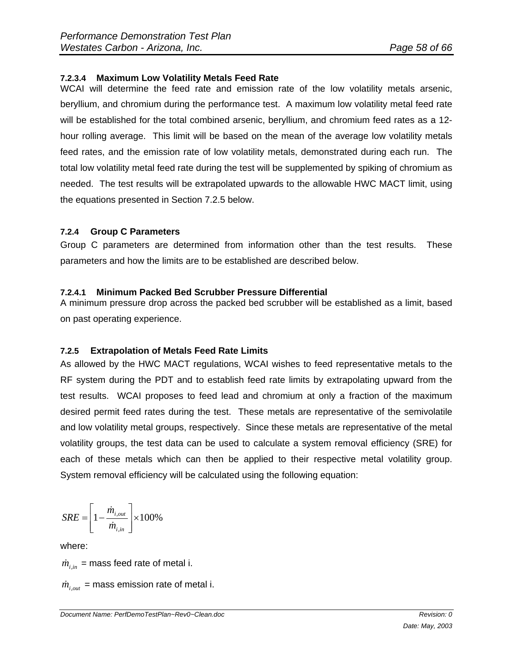# **7.2.3.4 Maximum Low Volatility Metals Feed Rate**

WCAI will determine the feed rate and emission rate of the low volatility metals arsenic, beryllium, and chromium during the performance test. A maximum low volatility metal feed rate will be established for the total combined arsenic, beryllium, and chromium feed rates as a 12 hour rolling average. This limit will be based on the mean of the average low volatility metals feed rates, and the emission rate of low volatility metals, demonstrated during each run. The total low volatility metal feed rate during the test will be supplemented by spiking of chromium as needed. The test results will be extrapolated upwards to the allowable HWC MACT limit, using the equations presented in Section 7.2.5 below.

# **7.2.4 Group C Parameters**

Group C parameters are determined from information other than the test results. These parameters and how the limits are to be established are described below.

#### **7.2.4.1 Minimum Packed Bed Scrubber Pressure Differential**

A minimum pressure drop across the packed bed scrubber will be established as a limit, based on past operating experience.

# **7.2.5 Extrapolation of Metals Feed Rate Limits**

As allowed by the HWC MACT regulations, WCAI wishes to feed representative metals to the RF system during the PDT and to establish feed rate limits by extrapolating upward from the test results. WCAI proposes to feed lead and chromium at only a fraction of the maximum desired permit feed rates during the test. These metals are representative of the semivolatile and low volatility metal groups, respectively. Since these metals are representative of the metal volatility groups, the test data can be used to calculate a system removal efficiency (SRE) for each of these metals which can then be applied to their respective metal volatility group. System removal efficiency will be calculated using the following equation:

$$
SRE = \left[1 - \frac{\dot{m}_{i,out}}{\dot{m}_{i,in}}\right] \times 100\%
$$

where:

 $\dot{m}_{i,m}$  = mass feed rate of metal i.

 $\dot{m}_{i,out}$  = mass emission rate of metal i.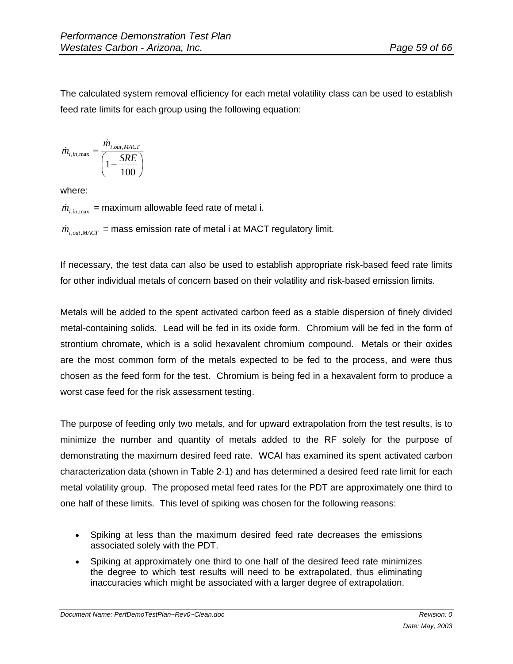The calculated system removal efficiency for each metal volatility class can be used to establish feed rate limits for each group using the following equation:

$$
\dot{m}_{i,in,\text{max}} = \frac{\dot{m}_{i,out,\text{MACT}}}{\left(1 - \frac{SRE}{100}\right)}
$$

where:

 $\dot{m}_{i,jn,\text{max}}$  = maximum allowable feed rate of metal i.

 $\dot{m}_{i_{\text{out }MAC}}$  = mass emission rate of metal i at MACT regulatory limit.

If necessary, the test data can also be used to establish appropriate risk-based feed rate limits for other individual metals of concern based on their volatility and risk-based emission limits.

Metals will be added to the spent activated carbon feed as a stable dispersion of finely divided metal-containing solids. Lead will be fed in its oxide form. Chromium will be fed in the form of strontium chromate, which is a solid hexavalent chromium compound. Metals or their oxides are the most common form of the metals expected to be fed to the process, and were thus chosen as the feed form for the test. Chromium is being fed in a hexavalent form to produce a worst case feed for the risk assessment testing.

The purpose of feeding only two metals, and for upward extrapolation from the test results, is to minimize the number and quantity of metals added to the RF solely for the purpose of demonstrating the maximum desired feed rate. WCAI has examined its spent activated carbon characterization data (shown in Table 2-1) and has determined a desired feed rate limit for each metal volatility group. The proposed metal feed rates for the PDT are approximately one third to one half of these limits. This level of spiking was chosen for the following reasons:

- Spiking at less than the maximum desired feed rate decreases the emissions associated solely with the PDT.
- Spiking at approximately one third to one half of the desired feed rate minimizes the degree to which test results will need to be extrapolated, thus eliminating inaccuracies which might be associated with a larger degree of extrapolation.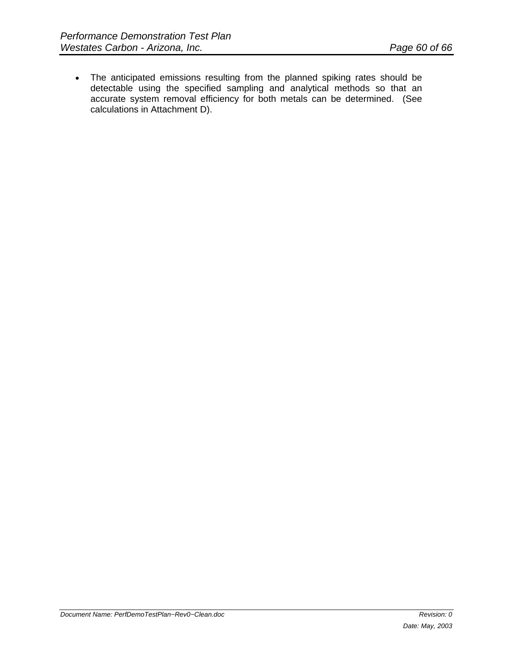The anticipated emissions resulting from the planned spiking rates should be detectable using the specified sampling and analytical methods so that an accurate system removal efficiency for both metals can be determined. (See calculations in Attachment D).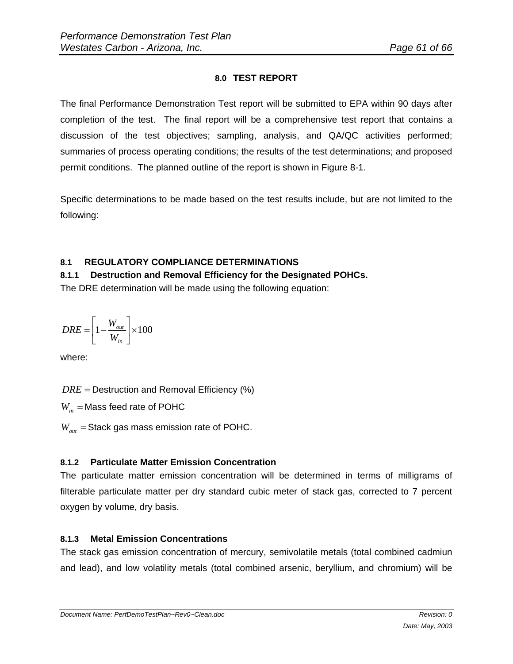# **8.0 TEST REPORT**

The final Performance Demonstration Test report will be submitted to EPA within 90 days after completion of the test. The final report will be a comprehensive test report that contains a discussion of the test objectives; sampling, analysis, and QA/QC activities performed; summaries of process operating conditions; the results of the test determinations; and proposed permit conditions. The planned outline of the report is shown in Figure 8-1.

Specific determinations to be made based on the test results include, but are not limited to the following:

# **8.1 REGULATORY COMPLIANCE DETERMINATIONS**

**8.1.1 Destruction and Removal Efficiency for the Designated POHCs.**  The DRE determination will be made using the following equation:

$$
DRE = \left[1 - \frac{W_{out}}{W_{in}}\right] \times 100
$$

where:

 $DRE =$  Destruction and Removal Efficiency (%)

 $W_{in}$  = Mass feed rate of POHC

 $W_{out}$  = Stack gas mass emission rate of POHC.

# **8.1.2 Particulate Matter Emission Concentration**

The particulate matter emission concentration will be determined in terms of milligrams of filterable particulate matter per dry standard cubic meter of stack gas, corrected to 7 percent oxygen by volume, dry basis.

# **8.1.3 Metal Emission Concentrations**

The stack gas emission concentration of mercury, semivolatile metals (total combined cadmiun and lead), and low volatility metals (total combined arsenic, beryllium, and chromium) will be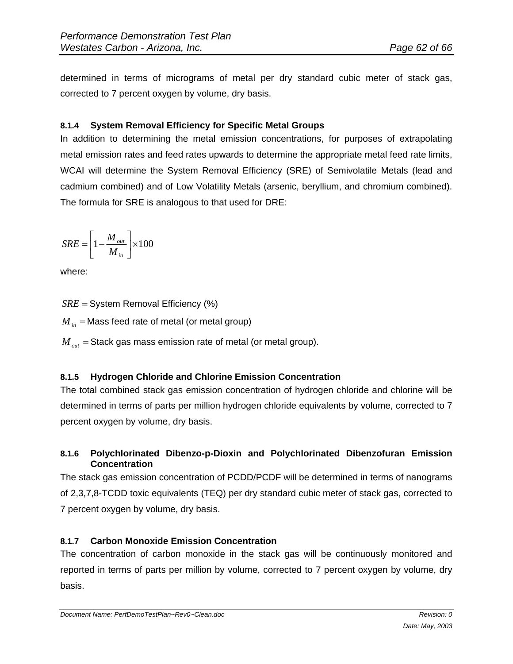determined in terms of micrograms of metal per dry standard cubic meter of stack gas, corrected to 7 percent oxygen by volume, dry basis.

# **8.1.4 System Removal Efficiency for Specific Metal Groups**

In addition to determining the metal emission concentrations, for purposes of extrapolating metal emission rates and feed rates upwards to determine the appropriate metal feed rate limits, WCAI will determine the System Removal Efficiency (SRE) of Semivolatile Metals (lead and cadmium combined) and of Low Volatility Metals (arsenic, beryllium, and chromium combined). The formula for SRE is analogous to that used for DRE:

$$
SRE = \left[1 - \frac{M_{out}}{M_{in}}\right] \times 100
$$

where:

*SRE* = System Removal Efficiency (%)

 $M_{in}$  = Mass feed rate of metal (or metal group)

 $M_{\text{out}}$  = Stack gas mass emission rate of metal (or metal group).

# **8.1.5 Hydrogen Chloride and Chlorine Emission Concentration**

The total combined stack gas emission concentration of hydrogen chloride and chlorine will be determined in terms of parts per million hydrogen chloride equivalents by volume, corrected to 7 percent oxygen by volume, dry basis.

# **8.1.6 Polychlorinated Dibenzo-p-Dioxin and Polychlorinated Dibenzofuran Emission Concentration**

The stack gas emission concentration of PCDD/PCDF will be determined in terms of nanograms of 2,3,7,8-TCDD toxic equivalents (TEQ) per dry standard cubic meter of stack gas, corrected to 7 percent oxygen by volume, dry basis.

# **8.1.7 Carbon Monoxide Emission Concentration**

The concentration of carbon monoxide in the stack gas will be continuously monitored and reported in terms of parts per million by volume, corrected to 7 percent oxygen by volume, dry basis.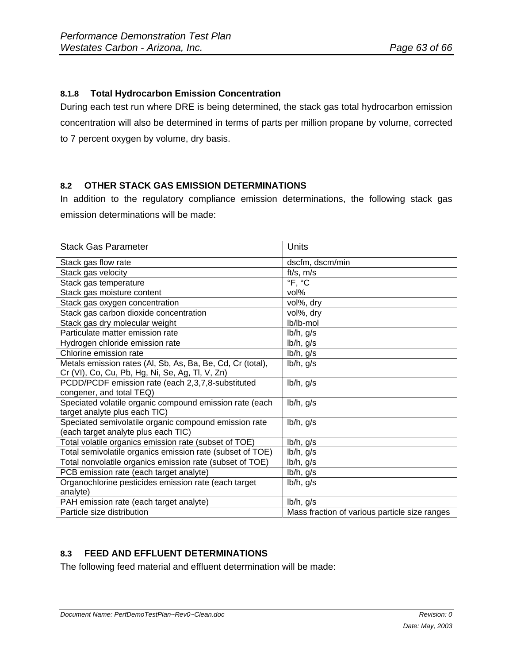# **8.1.8 Total Hydrocarbon Emission Concentration**

During each test run where DRE is being determined, the stack gas total hydrocarbon emission concentration will also be determined in terms of parts per million propane by volume, corrected to 7 percent oxygen by volume, dry basis.

# **8.2 OTHER STACK GAS EMISSION DETERMINATIONS**

In addition to the regulatory compliance emission determinations, the following stack gas emission determinations will be made:

| <b>Stack Gas Parameter</b>                                 | Units                                         |
|------------------------------------------------------------|-----------------------------------------------|
| Stack gas flow rate                                        | dscfm, dscm/min                               |
| Stack gas velocity                                         | $ft/s$ , $m/s$                                |
| Stack gas temperature                                      | °F, °C                                        |
| Stack gas moisture content                                 | vol%                                          |
| Stack gas oxygen concentration                             | vol%, dry                                     |
| Stack gas carbon dioxide concentration                     | vol%, dry                                     |
| Stack gas dry molecular weight                             | lb/lb-mol                                     |
| Particulate matter emission rate                           | $lb/h$ , $g/s$                                |
| Hydrogen chloride emission rate                            | $lb/h$ , $g/s$                                |
| Chlorine emission rate                                     | $lb/h$ , $g/s$                                |
| Metals emission rates (Al, Sb, As, Ba, Be, Cd, Cr (total), | $lb/h$ , $g/s$                                |
| Cr (VI), Co, Cu, Pb, Hg, Ni, Se, Ag, Tl, V, Zn)            |                                               |
| PCDD/PCDF emission rate (each 2,3,7,8-substituted          | $lb/h$ , $g/s$                                |
| congener, and total TEQ)                                   |                                               |
| Speciated volatile organic compound emission rate (each    | lb/h, g/s                                     |
| target analyte plus each TIC)                              |                                               |
| Speciated semivolatile organic compound emission rate      | $lb/h$ , $g/s$                                |
| (each target analyte plus each TIC)                        |                                               |
| Total volatile organics emission rate (subset of TOE)      | lb/h, g/s                                     |
| Total semivolatile organics emission rate (subset of TOE)  | lb/h, g/s                                     |
| Total nonvolatile organics emission rate (subset of TOE)   | $lb/h$ , $g/s$                                |
| PCB emission rate (each target analyte)                    | $lb/h$ , $g/s$                                |
| Organochlorine pesticides emission rate (each target       | $lb/h$ , $g/s$                                |
| analyte)                                                   |                                               |
| PAH emission rate (each target analyte)                    | $lb/h$ , $g/s$                                |
| Particle size distribution                                 | Mass fraction of various particle size ranges |

# **8.3 FEED AND EFFLUENT DETERMINATIONS**

The following feed material and effluent determination will be made: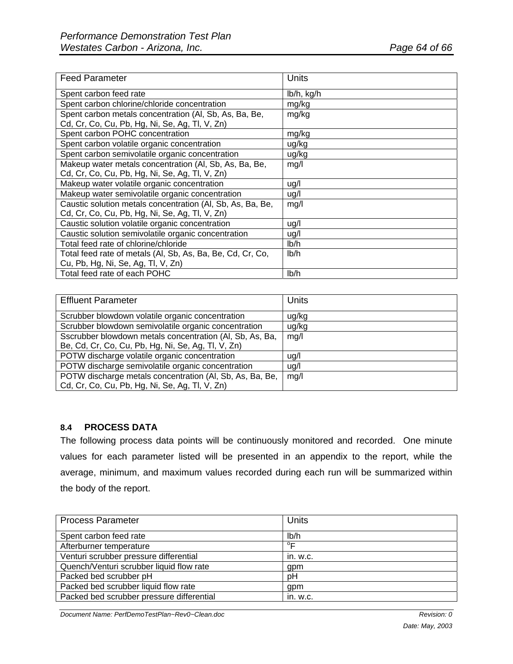| <b>Feed Parameter</b>                                      | Units      |
|------------------------------------------------------------|------------|
| Spent carbon feed rate                                     | lb/h, kg/h |
| Spent carbon chlorine/chloride concentration               | mg/kg      |
| Spent carbon metals concentration (Al, Sb, As, Ba, Be,     | mg/kg      |
| Cd, Cr, Co, Cu, Pb, Hg, Ni, Se, Ag, Tl, V, Zn)             |            |
| Spent carbon POHC concentration                            | mg/kg      |
| Spent carbon volatile organic concentration                | ug/kg      |
| Spent carbon semivolatile organic concentration            | ug/kg      |
| Makeup water metals concentration (Al, Sb, As, Ba, Be,     | mg/l       |
| Cd, Cr, Co, Cu, Pb, Hg, Ni, Se, Ag, Tl, V, Zn)             |            |
| Makeup water volatile organic concentration                | ug/l       |
| Makeup water semivolatile organic concentration            | ug/l       |
| Caustic solution metals concentration (AI, Sb, As, Ba, Be, | mg/l       |
| Cd, Cr, Co, Cu, Pb, Hg, Ni, Se, Ag, Tl, V, Zn)             |            |
| Caustic solution volatile organic concentration            | ug/l       |
| Caustic solution semivolatile organic concentration        | ug/l       |
| Total feed rate of chlorine/chloride                       | Ib/h       |
| Total feed rate of metals (Al, Sb, As, Ba, Be, Cd, Cr, Co, | Ib/h       |
| Cu, Pb, Hg, Ni, Se, Ag, Tl, V, Zn)                         |            |
| Total feed rate of each POHC                               | Ib/h       |

| <b>Effluent Parameter</b>                                | Units |
|----------------------------------------------------------|-------|
| Scrubber blowdown volatile organic concentration         | ug/kg |
| Scrubber blowdown semivolatile organic concentration     | ug/kg |
| Sscrubber blowdown metals concentration (AI, Sb, As, Ba, | mg/l  |
| Be, Cd, Cr, Co, Cu, Pb, Hg, Ni, Se, Ag, Tl, V, Zn)       |       |
| POTW discharge volatile organic concentration            | ug/l  |
| POTW discharge semivolatile organic concentration        | ug/l  |
| POTW discharge metals concentration (AI, Sb, As, Ba, Be, | mg/l  |
| Cd, Cr, Co, Cu, Pb, Hg, Ni, Se, Ag, Tl, V, Zn)           |       |

# **8.4 PROCESS DATA**

The following process data points will be continuously monitored and recorded. One minute values for each parameter listed will be presented in an appendix to the report, while the average, minimum, and maximum values recorded during each run will be summarized within the body of the report.

| <b>Process Parameter</b>                  | <b>Units</b> |
|-------------------------------------------|--------------|
| Spent carbon feed rate                    | Ib/h         |
| Afterburner temperature                   | $^{\circ}$ F |
| Venturi scrubber pressure differential    | in. w.c.     |
| Quench/Venturi scrubber liquid flow rate  | gpm          |
| Packed bed scrubber pH                    | pH           |
| Packed bed scrubber liquid flow rate      | gpm          |
| Packed bed scrubber pressure differential | in. w.c.     |

**Document Name: PerfDemoTestPlan~Rev0~Clean.doc** Revision: 0 *Revision: 0 Revision: 0*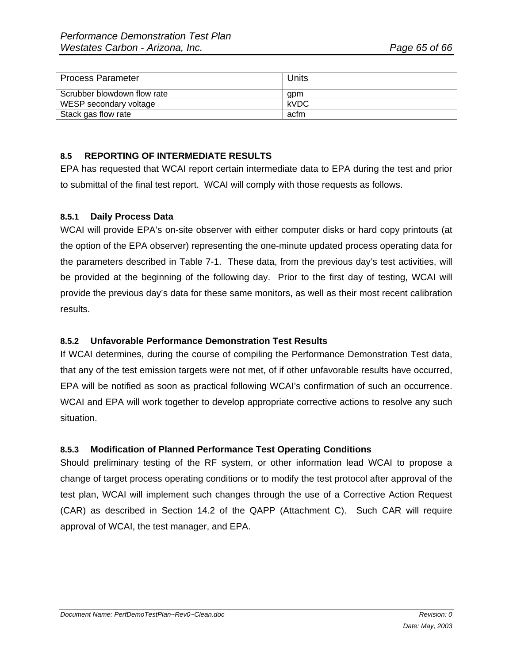| <b>Process Parameter</b>    | Units       |
|-----------------------------|-------------|
| Scrubber blowdown flow rate | qpm         |
| WESP secondary voltage      | <b>kVDC</b> |
| Stack gas flow rate         | acfm        |

## **8.5 REPORTING OF INTERMEDIATE RESULTS**

EPA has requested that WCAI report certain intermediate data to EPA during the test and prior to submittal of the final test report. WCAI will comply with those requests as follows.

#### **8.5.1 Daily Process Data**

WCAI will provide EPA's on-site observer with either computer disks or hard copy printouts (at the option of the EPA observer) representing the one-minute updated process operating data for the parameters described in Table 7-1. These data, from the previous day's test activities, will be provided at the beginning of the following day. Prior to the first day of testing, WCAI will provide the previous day's data for these same monitors, as well as their most recent calibration results.

#### **8.5.2 Unfavorable Performance Demonstration Test Results**

If WCAI determines, during the course of compiling the Performance Demonstration Test data, that any of the test emission targets were not met, of if other unfavorable results have occurred, EPA will be notified as soon as practical following WCAI's confirmation of such an occurrence. WCAI and EPA will work together to develop appropriate corrective actions to resolve any such situation.

#### **8.5.3 Modification of Planned Performance Test Operating Conditions**

Should preliminary testing of the RF system, or other information lead WCAI to propose a change of target process operating conditions or to modify the test protocol after approval of the test plan, WCAI will implement such changes through the use of a Corrective Action Request (CAR) as described in Section 14.2 of the QAPP (Attachment C). Such CAR will require approval of WCAI, the test manager, and EPA.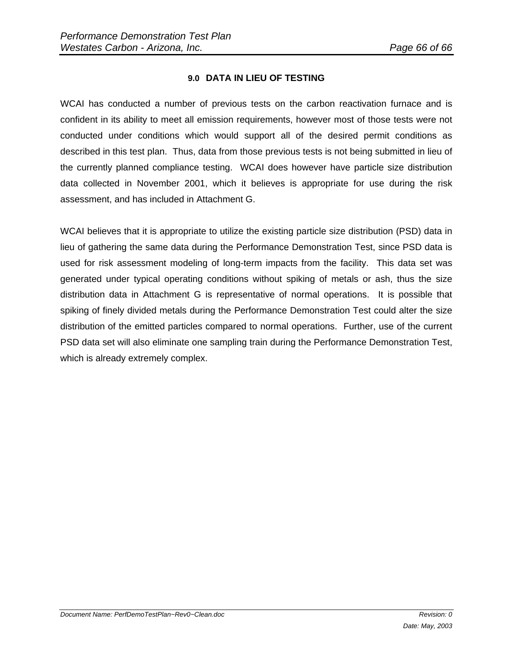# **9.0 DATA IN LIEU OF TESTING**

WCAI has conducted a number of previous tests on the carbon reactivation furnace and is confident in its ability to meet all emission requirements, however most of those tests were not conducted under conditions which would support all of the desired permit conditions as described in this test plan. Thus, data from those previous tests is not being submitted in lieu of the currently planned compliance testing. WCAI does however have particle size distribution data collected in November 2001, which it believes is appropriate for use during the risk assessment, and has included in Attachment G.

WCAI believes that it is appropriate to utilize the existing particle size distribution (PSD) data in lieu of gathering the same data during the Performance Demonstration Test, since PSD data is used for risk assessment modeling of long-term impacts from the facility. This data set was generated under typical operating conditions without spiking of metals or ash, thus the size distribution data in Attachment G is representative of normal operations. It is possible that spiking of finely divided metals during the Performance Demonstration Test could alter the size distribution of the emitted particles compared to normal operations. Further, use of the current PSD data set will also eliminate one sampling train during the Performance Demonstration Test, which is already extremely complex.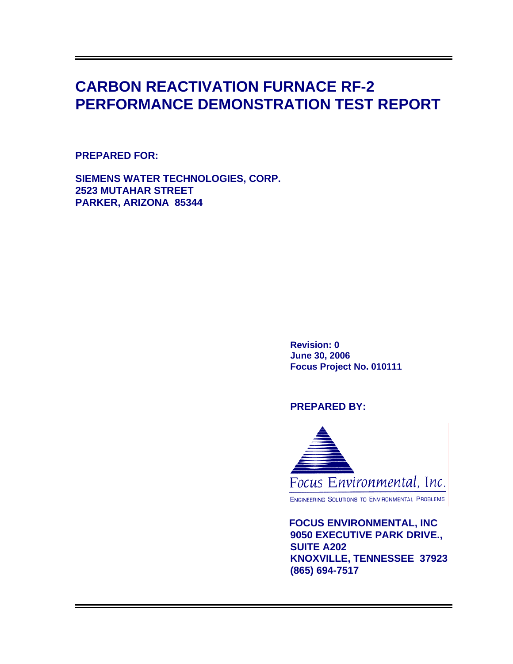# **CARBON REACTIVATION FURNACE RF-2 PERFORMANCE DEMONSTRATION TEST REPORT**

# **PREPARED FOR:**

**SIEMENS WATER TECHNOLOGIES, CORP. 2523 MUTAHAR STREET PARKER, ARIZONA 85344** 

> **Revision: 0 June 30, 2006 Focus Project No. 010111**

# **PREPARED BY:**



ENGINEERING SOLUTIONS TO ENVIRONMENTAL PROBLEMS

 **FOCUS ENVIRONMENTAL, INC 9050 EXECUTIVE PARK DRIVE., SUITE A202 KNOXVILLE, TENNESSEE 37923 (865) 694-7517**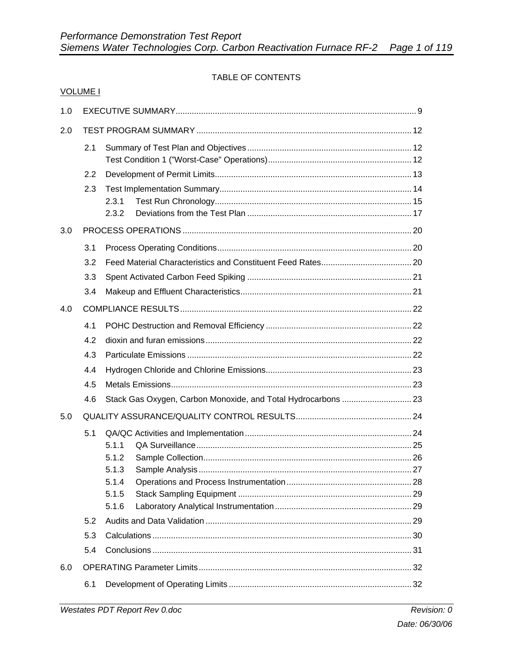# TABLE OF CONTENTS

|     | <b>VOLUME I</b> |                |  |
|-----|-----------------|----------------|--|
| 1.0 |                 |                |  |
| 2.0 |                 |                |  |
|     | 2.1             |                |  |
|     | 2.2             |                |  |
|     | 2.3             |                |  |
|     |                 | 2.3.1          |  |
|     |                 | 2.3.2          |  |
| 3.0 |                 |                |  |
|     | 3.1             |                |  |
|     | 3.2             |                |  |
|     | 3.3             |                |  |
|     | 3.4             |                |  |
| 4.0 |                 |                |  |
|     | 4.1             |                |  |
|     | 4.2             |                |  |
|     | 4.3             |                |  |
|     | 4.4             |                |  |
|     | 4.5             |                |  |
|     | 4.6             |                |  |
| 5.0 |                 |                |  |
|     | 5.1             |                |  |
|     |                 | 5.1.1          |  |
|     |                 | 5.1.2          |  |
|     |                 | 5.1.3<br>5.1.4 |  |
|     |                 | 5.1.5          |  |
|     |                 | 5.1.6          |  |
|     | 5.2             |                |  |
|     | 5.3             |                |  |
|     | 5.4             |                |  |
| 6.0 |                 |                |  |
|     | 6.1             |                |  |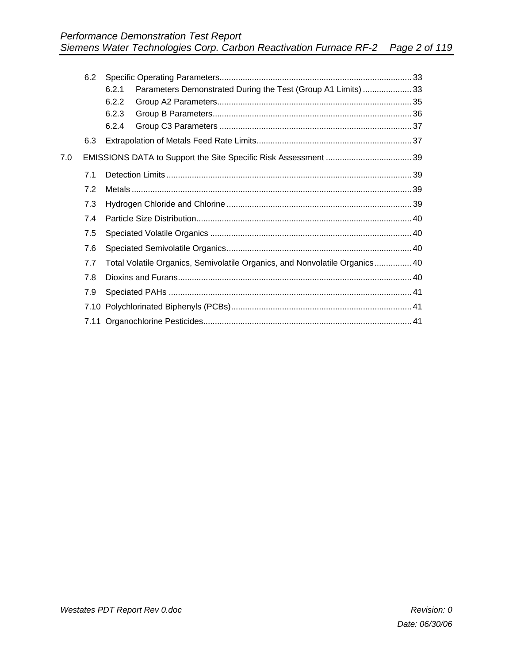|     | 6.2 |                                                                             |  |
|-----|-----|-----------------------------------------------------------------------------|--|
|     |     | Parameters Demonstrated During the Test (Group A1 Limits)  33<br>6.2.1      |  |
|     |     | 6.2.2                                                                       |  |
|     |     | 6.2.3                                                                       |  |
|     |     | 6.2.4                                                                       |  |
|     | 6.3 |                                                                             |  |
| 7.0 |     |                                                                             |  |
|     | 7.1 |                                                                             |  |
|     | 7.2 |                                                                             |  |
|     | 7.3 |                                                                             |  |
|     | 7.4 |                                                                             |  |
|     | 7.5 |                                                                             |  |
|     | 7.6 |                                                                             |  |
|     | 7.7 | Total Volatile Organics, Semivolatile Organics, and Nonvolatile Organics 40 |  |
|     | 7.8 |                                                                             |  |
|     | 7.9 |                                                                             |  |
|     |     |                                                                             |  |
|     |     |                                                                             |  |
|     |     |                                                                             |  |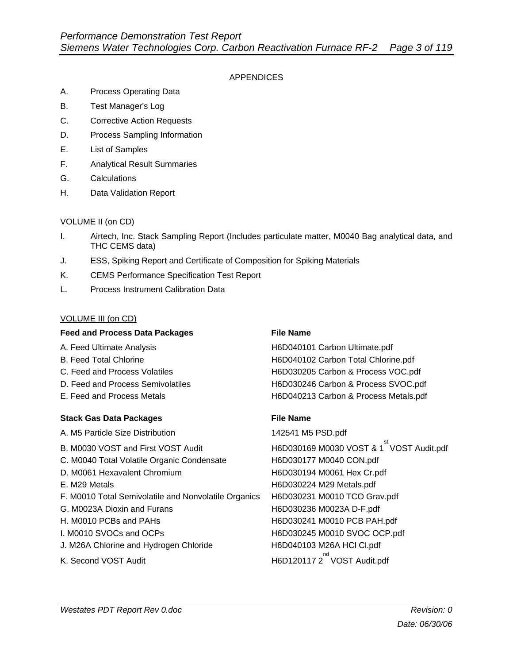#### APPENDICES

- A. Process Operating Data
- B. Test Manager's Log
- C. Corrective Action Requests
- D. Process Sampling Information
- E. List of Samples
- F. Analytical Result Summaries
- G. Calculations
- H. Data Validation Report

#### VOLUME II (on CD)

- I. Airtech, Inc. Stack Sampling Report (Includes particulate matter, M0040 Bag analytical data, and THC CEMS data)
- J. ESS, Spiking Report and Certificate of Composition for Spiking Materials
- K. CEMS Performance Specification Test Report
- L. Process Instrument Calibration Data

#### VOLUME III (on CD)

#### **Feed and Process Data Packages File Name**

- 
- 
- 
- 
- 

#### **Stack Gas Data Packages File Name**

A. M5 Particle Size Distribution 142541 M5 PSD.pdf B. M0030 VOST and First VOST Audit **H6D030169 M0030 VOST & 1**<sup>st</sup> VOST Audit.pdf C. M0040 Total Volatile Organic Condensate H6D030177 M0040 CON.pdf D. M0061 Hexavalent Chromium H6D030194 M0061 Hex Cr.pdf E. M29 Metals **H6D030224 M29 Metals.pdf** F. M0010 Total Semivolatile and Nonvolatile Organics H6D030231 M0010 TCO Grav.pdf G. M0023A Dioxin and Furans H6D030236 M0023A D-F.pdf H. M0010 PCBs and PAHs H6D030241 M0010 PCB PAH.pdf I. M0010 SVOCs and OCPs H6D030245 M0010 SVOC OCP.pdf J. M26A Chlorine and Hydrogen Chloride H6D040103 M26A HCl Cl.pdf

#### K. Second VOST Audit

A. Feed Ultimate Analysis **H6D040101 Carbon Ultimate.pdf** B. Feed Total Chlorine **H6D040102 Carbon Total Chlorine.pdf** C. Feed and Process Volatiles H6D030205 Carbon & Process VOC.pdf D. Feed and Process Semivolatiles **H6D030246 Carbon & Process SVOC.pdf** E. Feed and Process Metals **H6D040213 Carbon & Process Metals.pdf** 

<sup>nd</sup> VOST Audit.pdf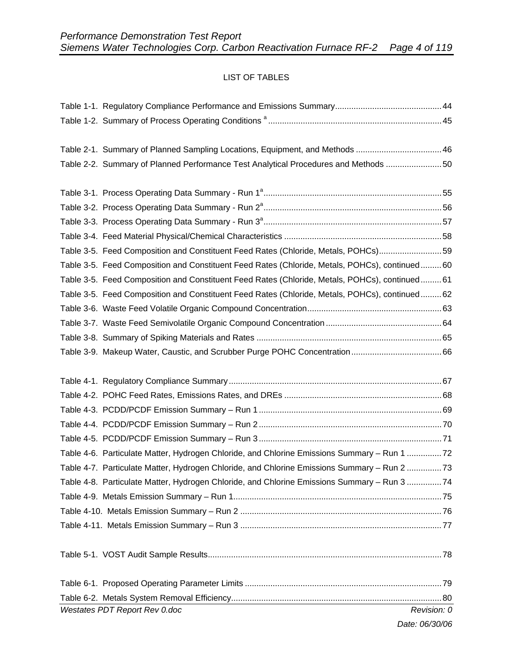# LIST OF TABLES

| Table 2-1. Summary of Planned Sampling Locations, Equipment, and Methods  46                   |             |
|------------------------------------------------------------------------------------------------|-------------|
| Table 2-2. Summary of Planned Performance Test Analytical Procedures and Methods 50            |             |
|                                                                                                |             |
|                                                                                                |             |
|                                                                                                |             |
|                                                                                                |             |
|                                                                                                |             |
| Table 3-5. Feed Composition and Constituent Feed Rates (Chloride, Metals, POHCs)59             |             |
| Table 3-5. Feed Composition and Constituent Feed Rates (Chloride, Metals, POHCs), continued60  |             |
| Table 3-5. Feed Composition and Constituent Feed Rates (Chloride, Metals, POHCs), continued61  |             |
| Table 3-5. Feed Composition and Constituent Feed Rates (Chloride, Metals, POHCs), continued 62 |             |
|                                                                                                |             |
|                                                                                                |             |
|                                                                                                |             |
|                                                                                                |             |
|                                                                                                |             |
|                                                                                                |             |
|                                                                                                |             |
|                                                                                                |             |
|                                                                                                |             |
|                                                                                                |             |
|                                                                                                |             |
| Table 4-6. Particulate Matter, Hydrogen Chloride, and Chlorine Emissions Summary - Run 1 72    |             |
| Table 4-7. Particulate Matter, Hydrogen Chloride, and Chlorine Emissions Summary - Run 2 73    |             |
| Table 4-8. Particulate Matter, Hydrogen Chloride, and Chlorine Emissions Summary - Run 3 74    |             |
|                                                                                                |             |
|                                                                                                |             |
|                                                                                                |             |
|                                                                                                |             |
|                                                                                                |             |
|                                                                                                |             |
|                                                                                                |             |
| Westates PDT Report Rev 0.doc                                                                  | Revision: 0 |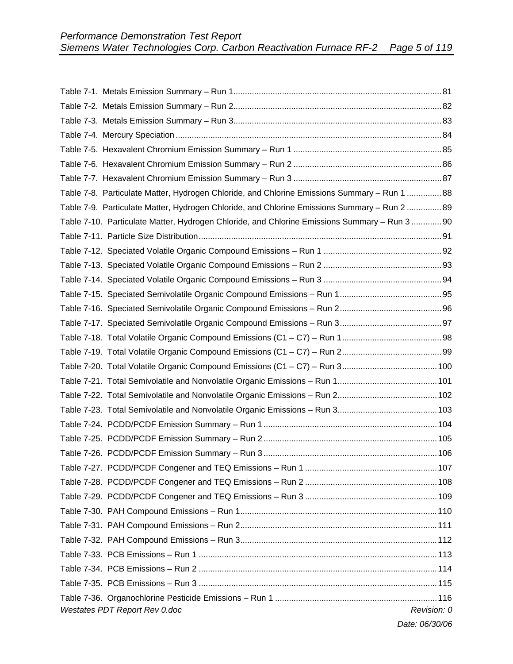| Table 7-8. Particulate Matter, Hydrogen Chloride, and Chlorine Emissions Summary - Run 1  88 |             |
|----------------------------------------------------------------------------------------------|-------------|
| Table 7-9. Particulate Matter, Hydrogen Chloride, and Chlorine Emissions Summary - Run 2  89 |             |
| Table 7-10. Particulate Matter, Hydrogen Chloride, and Chlorine Emissions Summary - Run 3 90 |             |
|                                                                                              |             |
|                                                                                              |             |
|                                                                                              |             |
|                                                                                              |             |
|                                                                                              |             |
|                                                                                              |             |
|                                                                                              |             |
|                                                                                              |             |
|                                                                                              |             |
|                                                                                              |             |
|                                                                                              |             |
|                                                                                              |             |
|                                                                                              |             |
|                                                                                              |             |
|                                                                                              |             |
|                                                                                              |             |
|                                                                                              |             |
|                                                                                              |             |
|                                                                                              |             |
|                                                                                              |             |
|                                                                                              |             |
|                                                                                              |             |
|                                                                                              |             |
|                                                                                              |             |
|                                                                                              |             |
|                                                                                              |             |
| Westates PDT Report Rev 0.doc                                                                | Revision: 0 |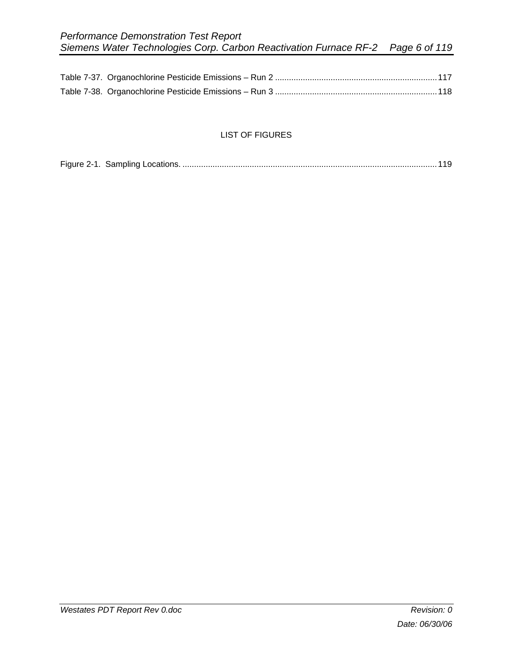## LIST OF FIGURES

|--|--|--|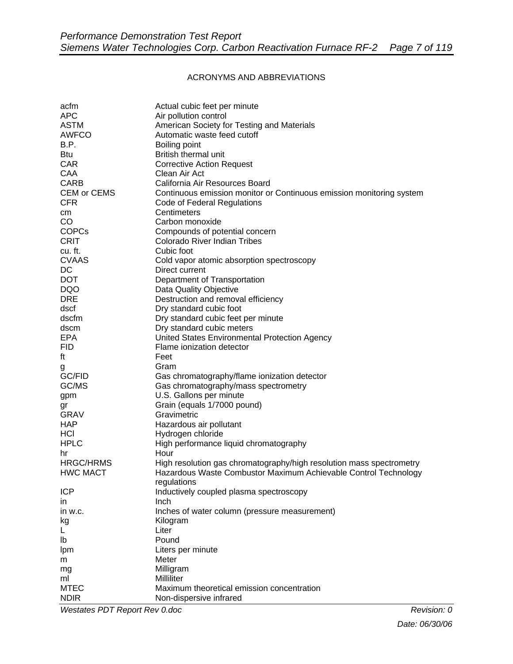#### ACRONYMS AND ABBREVIATIONS

| acfm             | Actual cubic feet per minute                                         |
|------------------|----------------------------------------------------------------------|
| <b>APC</b>       | Air pollution control                                                |
| <b>ASTM</b>      | American Society for Testing and Materials                           |
| <b>AWFCO</b>     | Automatic waste feed cutoff                                          |
| B.P.             | Boiling point                                                        |
| <b>Btu</b>       | British thermal unit                                                 |
| <b>CAR</b>       | <b>Corrective Action Request</b>                                     |
| <b>CAA</b>       | Clean Air Act                                                        |
|                  | California Air Resources Board                                       |
| <b>CARB</b>      |                                                                      |
| CEM or CEMS      | Continuous emission monitor or Continuous emission monitoring system |
| <b>CFR</b>       | Code of Federal Regulations                                          |
| cm               | Centimeters                                                          |
| CO               | Carbon monoxide                                                      |
| <b>COPCs</b>     | Compounds of potential concern                                       |
| <b>CRIT</b>      | Colorado River Indian Tribes                                         |
| cu. ft.          | Cubic foot                                                           |
| <b>CVAAS</b>     | Cold vapor atomic absorption spectroscopy                            |
| DC               | Direct current                                                       |
| <b>DOT</b>       | Department of Transportation                                         |
| <b>DQO</b>       | Data Quality Objective                                               |
| <b>DRE</b>       | Destruction and removal efficiency                                   |
| dscf             | Dry standard cubic foot                                              |
| dscfm            | Dry standard cubic feet per minute                                   |
|                  |                                                                      |
| dscm             | Dry standard cubic meters                                            |
| EPA              | United States Environmental Protection Agency                        |
| <b>FID</b>       | Flame ionization detector                                            |
| ft               | Feet                                                                 |
| g                | Gram                                                                 |
| GC/FID           | Gas chromatography/flame ionization detector                         |
| GC/MS            | Gas chromatography/mass spectrometry                                 |
| gpm              | U.S. Gallons per minute                                              |
| gr               | Grain (equals 1/7000 pound)                                          |
| <b>GRAV</b>      | Gravimetric                                                          |
| <b>HAP</b>       | Hazardous air pollutant                                              |
| HCI              | Hydrogen chloride                                                    |
| <b>HPLC</b>      | High performance liquid chromatography                               |
| hr               | Hour                                                                 |
| <b>HRGC/HRMS</b> | High resolution gas chromatography/high resolution mass spectrometry |
| <b>HWC MACT</b>  | Hazardous Waste Combustor Maximum Achievable Control Technology      |
|                  | regulations                                                          |
| <b>ICP</b>       |                                                                      |
|                  | Inductively coupled plasma spectroscopy                              |
| in.              | Inch                                                                 |
| in w.c.          | Inches of water column (pressure measurement)                        |
| kg               | Kilogram                                                             |
| L                | Liter                                                                |
| lb               | Pound                                                                |
| Ipm              | Liters per minute                                                    |
| m                | Meter                                                                |
| mg               | Milligram                                                            |
| ml               | Milliliter                                                           |
| <b>MTEC</b>      | Maximum theoretical emission concentration                           |
| <b>NDIR</b>      | Non-dispersive infrared                                              |

*Westates PDT Report Rev 0.doc Revision: 0* **<b>***Revision: 0 Revision: 0*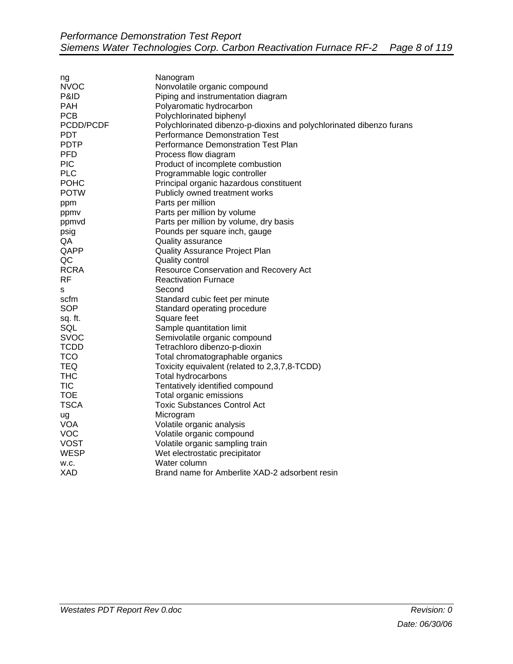| ng          | Nanogram                                                             |
|-------------|----------------------------------------------------------------------|
| <b>NVOC</b> | Nonvolatile organic compound                                         |
| P&ID        | Piping and instrumentation diagram                                   |
| <b>PAH</b>  | Polyaromatic hydrocarbon                                             |
| <b>PCB</b>  | Polychlorinated biphenyl                                             |
| PCDD/PCDF   | Polychlorinated dibenzo-p-dioxins and polychlorinated dibenzo furans |
| <b>PDT</b>  | <b>Performance Demonstration Test</b>                                |
| <b>PDTP</b> | Performance Demonstration Test Plan                                  |
| <b>PFD</b>  | Process flow diagram                                                 |
| <b>PIC</b>  | Product of incomplete combustion                                     |
| <b>PLC</b>  | Programmable logic controller                                        |
| <b>POHC</b> | Principal organic hazardous constituent                              |
| <b>POTW</b> | Publicly owned treatment works                                       |
| ppm         | Parts per million                                                    |
| ppmv        | Parts per million by volume                                          |
| ppmvd       | Parts per million by volume, dry basis                               |
| psig        | Pounds per square inch, gauge                                        |
| QA          | Quality assurance                                                    |
| QAPP        | <b>Quality Assurance Project Plan</b>                                |
| QC          | <b>Quality control</b>                                               |
| <b>RCRA</b> | Resource Conservation and Recovery Act                               |
| <b>RF</b>   | <b>Reactivation Furnace</b>                                          |
| s           | Second                                                               |
| scfm        | Standard cubic feet per minute                                       |
| <b>SOP</b>  | Standard operating procedure                                         |
| sq. ft.     | Square feet                                                          |
| SQL         | Sample quantitation limit                                            |
| <b>SVOC</b> | Semivolatile organic compound                                        |
| <b>TCDD</b> | Tetrachloro dibenzo-p-dioxin                                         |
| <b>TCO</b>  | Total chromatographable organics                                     |
| <b>TEQ</b>  | Toxicity equivalent (related to 2,3,7,8-TCDD)                        |
| <b>THC</b>  | Total hydrocarbons                                                   |
| <b>TIC</b>  | Tentatively identified compound                                      |
| <b>TOE</b>  | Total organic emissions                                              |
| <b>TSCA</b> | <b>Toxic Substances Control Act</b>                                  |
| ug          | Microgram                                                            |
| <b>VOA</b>  | Volatile organic analysis                                            |
| <b>VOC</b>  | Volatile organic compound                                            |
| <b>VOST</b> | Volatile organic sampling train                                      |
| <b>WESP</b> | Wet electrostatic precipitator                                       |
| W.C.        | Water column                                                         |
| XAD         | Brand name for Amberlite XAD-2 adsorbent resin                       |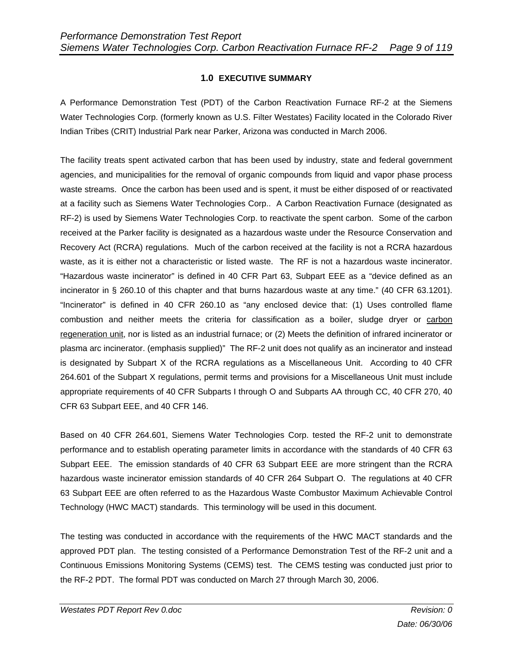## **1.0 EXECUTIVE SUMMARY**

A Performance Demonstration Test (PDT) of the Carbon Reactivation Furnace RF-2 at the Siemens Water Technologies Corp. (formerly known as U.S. Filter Westates) Facility located in the Colorado River Indian Tribes (CRIT) Industrial Park near Parker, Arizona was conducted in March 2006.

The facility treats spent activated carbon that has been used by industry, state and federal government agencies, and municipalities for the removal of organic compounds from liquid and vapor phase process waste streams. Once the carbon has been used and is spent, it must be either disposed of or reactivated at a facility such as Siemens Water Technologies Corp.. A Carbon Reactivation Furnace (designated as RF-2) is used by Siemens Water Technologies Corp. to reactivate the spent carbon. Some of the carbon received at the Parker facility is designated as a hazardous waste under the Resource Conservation and Recovery Act (RCRA) regulations. Much of the carbon received at the facility is not a RCRA hazardous waste, as it is either not a characteristic or listed waste. The RF is not a hazardous waste incinerator. "Hazardous waste incinerator" is defined in 40 CFR Part 63, Subpart EEE as a "device defined as an incinerator in § 260.10 of this chapter and that burns hazardous waste at any time." (40 CFR 63.1201). "Incinerator" is defined in 40 CFR 260.10 as "any enclosed device that: (1) Uses controlled flame combustion and neither meets the criteria for classification as a boiler, sludge dryer or carbon regeneration unit, nor is listed as an industrial furnace; or (2) Meets the definition of infrared incinerator or plasma arc incinerator. (emphasis supplied)" The RF-2 unit does not qualify as an incinerator and instead is designated by Subpart X of the RCRA regulations as a Miscellaneous Unit. According to 40 CFR 264.601 of the Subpart X regulations, permit terms and provisions for a Miscellaneous Unit must include appropriate requirements of 40 CFR Subparts I through O and Subparts AA through CC, 40 CFR 270, 40 CFR 63 Subpart EEE, and 40 CFR 146.

Based on 40 CFR 264.601, Siemens Water Technologies Corp. tested the RF-2 unit to demonstrate performance and to establish operating parameter limits in accordance with the standards of 40 CFR 63 Subpart EEE. The emission standards of 40 CFR 63 Subpart EEE are more stringent than the RCRA hazardous waste incinerator emission standards of 40 CFR 264 Subpart O. The regulations at 40 CFR 63 Subpart EEE are often referred to as the Hazardous Waste Combustor Maximum Achievable Control Technology (HWC MACT) standards. This terminology will be used in this document.

The testing was conducted in accordance with the requirements of the HWC MACT standards and the approved PDT plan. The testing consisted of a Performance Demonstration Test of the RF-2 unit and a Continuous Emissions Monitoring Systems (CEMS) test. The CEMS testing was conducted just prior to the RF-2 PDT. The formal PDT was conducted on March 27 through March 30, 2006.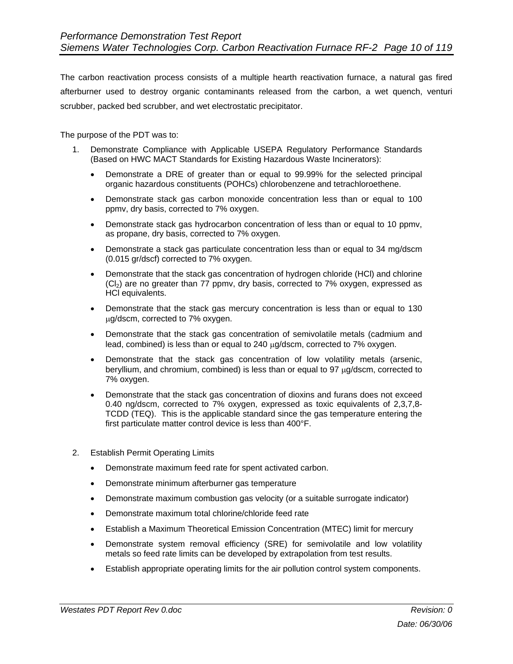The carbon reactivation process consists of a multiple hearth reactivation furnace, a natural gas fired afterburner used to destroy organic contaminants released from the carbon, a wet quench, venturi scrubber, packed bed scrubber, and wet electrostatic precipitator.

The purpose of the PDT was to:

- 1. Demonstrate Compliance with Applicable USEPA Regulatory Performance Standards (Based on HWC MACT Standards for Existing Hazardous Waste Incinerators):
	- Demonstrate a DRE of greater than or equal to 99.99% for the selected principal organic hazardous constituents (POHCs) chlorobenzene and tetrachloroethene.
	- Demonstrate stack gas carbon monoxide concentration less than or equal to 100 ppmv, dry basis, corrected to 7% oxygen.
	- Demonstrate stack gas hydrocarbon concentration of less than or equal to 10 ppmv, as propane, dry basis, corrected to 7% oxygen.
	- Demonstrate a stack gas particulate concentration less than or equal to 34 mg/dscm (0.015 gr/dscf) corrected to 7% oxygen.
	- Demonstrate that the stack gas concentration of hydrogen chloride (HCl) and chlorine  $(C_2)$  are no greater than 77 ppmv, dry basis, corrected to 7% oxygen, expressed as HCl equivalents.
	- Demonstrate that the stack gas mercury concentration is less than or equal to 130 µg/dscm, corrected to 7% oxygen.
	- Demonstrate that the stack gas concentration of semivolatile metals (cadmium and lead, combined) is less than or equal to 240 µg/dscm, corrected to 7% oxygen.
	- Demonstrate that the stack gas concentration of low volatility metals (arsenic, beryllium, and chromium, combined) is less than or equal to 97  $\mu$ g/dscm, corrected to 7% oxygen.
	- Demonstrate that the stack gas concentration of dioxins and furans does not exceed 0.40 ng/dscm, corrected to 7% oxygen, expressed as toxic equivalents of 2,3,7,8- TCDD (TEQ). This is the applicable standard since the gas temperature entering the first particulate matter control device is less than 400°F.
- 2. Establish Permit Operating Limits
	- Demonstrate maximum feed rate for spent activated carbon.
	- Demonstrate minimum afterburner gas temperature
	- Demonstrate maximum combustion gas velocity (or a suitable surrogate indicator)
	- Demonstrate maximum total chlorine/chloride feed rate
	- Establish a Maximum Theoretical Emission Concentration (MTEC) limit for mercury
	- Demonstrate system removal efficiency (SRE) for semivolatile and low volatility metals so feed rate limits can be developed by extrapolation from test results.
	- Establish appropriate operating limits for the air pollution control system components.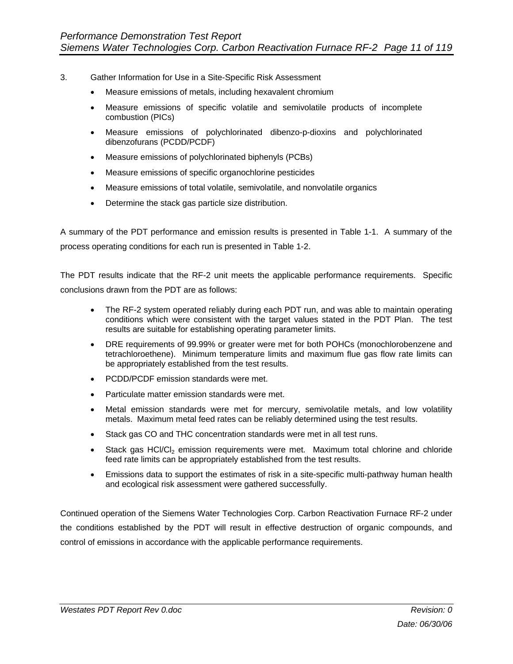- 3. Gather Information for Use in a Site-Specific Risk Assessment
	- Measure emissions of metals, including hexavalent chromium
	- Measure emissions of specific volatile and semivolatile products of incomplete combustion (PICs)
	- Measure emissions of polychlorinated dibenzo-p-dioxins and polychlorinated dibenzofurans (PCDD/PCDF)
	- Measure emissions of polychlorinated biphenyls (PCBs)
	- Measure emissions of specific organochlorine pesticides
	- Measure emissions of total volatile, semivolatile, and nonvolatile organics
	- Determine the stack gas particle size distribution.

A summary of the PDT performance and emission results is presented in Table 1-1. A summary of the process operating conditions for each run is presented in Table 1-2.

The PDT results indicate that the RF-2 unit meets the applicable performance requirements. Specific conclusions drawn from the PDT are as follows:

- The RF-2 system operated reliably during each PDT run, and was able to maintain operating conditions which were consistent with the target values stated in the PDT Plan. The test results are suitable for establishing operating parameter limits.
- DRE requirements of 99.99% or greater were met for both POHCs (monochlorobenzene and tetrachloroethene). Minimum temperature limits and maximum flue gas flow rate limits can be appropriately established from the test results.
- PCDD/PCDF emission standards were met.
- Particulate matter emission standards were met.
- Metal emission standards were met for mercury, semivolatile metals, and low volatility metals. Maximum metal feed rates can be reliably determined using the test results.
- Stack gas CO and THC concentration standards were met in all test runs.
- Stack gas HCl/Cl<sub>2</sub> emission requirements were met. Maximum total chlorine and chloride feed rate limits can be appropriately established from the test results.
- Emissions data to support the estimates of risk in a site-specific multi-pathway human health and ecological risk assessment were gathered successfully.

Continued operation of the Siemens Water Technologies Corp. Carbon Reactivation Furnace RF-2 under the conditions established by the PDT will result in effective destruction of organic compounds, and control of emissions in accordance with the applicable performance requirements.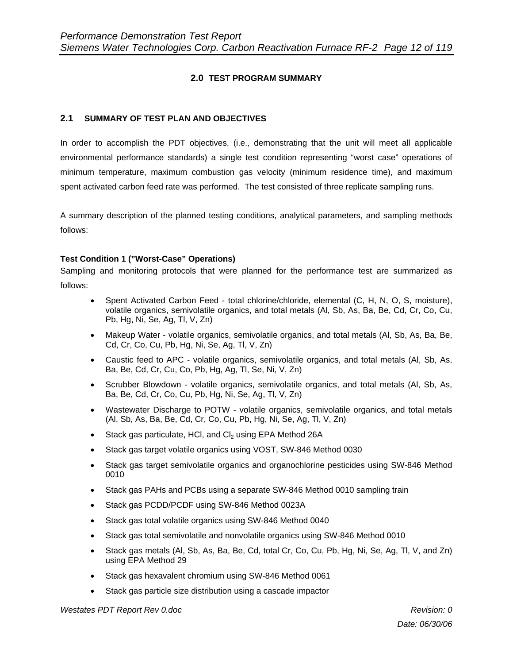## **2.0 TEST PROGRAM SUMMARY**

#### **2.1 SUMMARY OF TEST PLAN AND OBJECTIVES**

In order to accomplish the PDT objectives, (i.e., demonstrating that the unit will meet all applicable environmental performance standards) a single test condition representing "worst case" operations of minimum temperature, maximum combustion gas velocity (minimum residence time), and maximum spent activated carbon feed rate was performed. The test consisted of three replicate sampling runs.

A summary description of the planned testing conditions, analytical parameters, and sampling methods follows:

#### **Test Condition 1 ("Worst-Case" Operations)**

Sampling and monitoring protocols that were planned for the performance test are summarized as follows:

- Spent Activated Carbon Feed total chlorine/chloride, elemental (C, H, N, O, S, moisture), volatile organics, semivolatile organics, and total metals (Al, Sb, As, Ba, Be, Cd, Cr, Co, Cu, Pb, Hg, Ni, Se, Ag, Tl, V, Zn)
- Makeup Water volatile organics, semivolatile organics, and total metals (Al, Sb, As, Ba, Be, Cd, Cr, Co, Cu, Pb, Hg, Ni, Se, Ag, Tl, V, Zn)
- Caustic feed to APC volatile organics, semivolatile organics, and total metals (Al, Sb, As, Ba, Be, Cd, Cr, Cu, Co, Pb, Hg, Ag, Tl, Se, Ni, V, Zn)
- Scrubber Blowdown volatile organics, semivolatile organics, and total metals (Al, Sb, As, Ba, Be, Cd, Cr, Co, Cu, Pb, Hg, Ni, Se, Ag, Tl, V, Zn)
- Wastewater Discharge to POTW volatile organics, semivolatile organics, and total metals (Al, Sb, As, Ba, Be, Cd, Cr, Co, Cu, Pb, Hg, Ni, Se, Ag, Tl, V, Zn)
- Stack gas particulate, HCI, and  $Cl<sub>2</sub>$  using EPA Method 26A
- Stack gas target volatile organics using VOST, SW-846 Method 0030
- Stack gas target semivolatile organics and organochlorine pesticides using SW-846 Method 0010
- Stack gas PAHs and PCBs using a separate SW-846 Method 0010 sampling train
- Stack gas PCDD/PCDF using SW-846 Method 0023A
- Stack gas total volatile organics using SW-846 Method 0040
- Stack gas total semivolatile and nonvolatile organics using SW-846 Method 0010
- Stack gas metals (Al, Sb, As, Ba, Be, Cd, total Cr, Co, Cu, Pb, Hg, Ni, Se, Ag, Tl, V, and Zn) using EPA Method 29
- Stack gas hexavalent chromium using SW-846 Method 0061
- Stack gas particle size distribution using a cascade impactor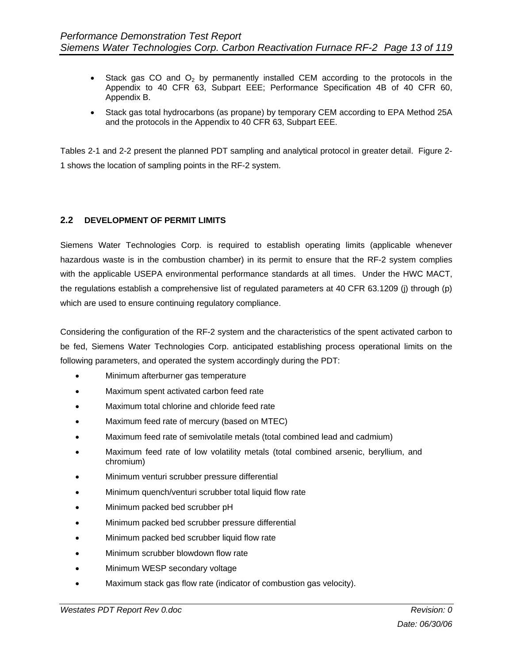- Stack gas CO and  $O_2$  by permanently installed CEM according to the protocols in the Appendix to 40 CFR 63, Subpart EEE; Performance Specification 4B of 40 CFR 60, Appendix B.
- Stack gas total hydrocarbons (as propane) by temporary CEM according to EPA Method 25A and the protocols in the Appendix to 40 CFR 63, Subpart EEE.

Tables 2-1 and 2-2 present the planned PDT sampling and analytical protocol in greater detail. Figure 2- 1 shows the location of sampling points in the RF-2 system.

#### **2.2 DEVELOPMENT OF PERMIT LIMITS**

Siemens Water Technologies Corp. is required to establish operating limits (applicable whenever hazardous waste is in the combustion chamber) in its permit to ensure that the RF-2 system complies with the applicable USEPA environmental performance standards at all times. Under the HWC MACT, the regulations establish a comprehensive list of regulated parameters at 40 CFR 63.1209 (j) through (p) which are used to ensure continuing regulatory compliance.

Considering the configuration of the RF-2 system and the characteristics of the spent activated carbon to be fed, Siemens Water Technologies Corp. anticipated establishing process operational limits on the following parameters, and operated the system accordingly during the PDT:

- Minimum afterburner gas temperature
- Maximum spent activated carbon feed rate
- Maximum total chlorine and chloride feed rate
- Maximum feed rate of mercury (based on MTEC)
- Maximum feed rate of semivolatile metals (total combined lead and cadmium)
- Maximum feed rate of low volatility metals (total combined arsenic, beryllium, and chromium)
- Minimum venturi scrubber pressure differential
- Minimum quench/venturi scrubber total liquid flow rate
- Minimum packed bed scrubber pH
- Minimum packed bed scrubber pressure differential
- Minimum packed bed scrubber liquid flow rate
- Minimum scrubber blowdown flow rate
- Minimum WESP secondary voltage
- Maximum stack gas flow rate (indicator of combustion gas velocity).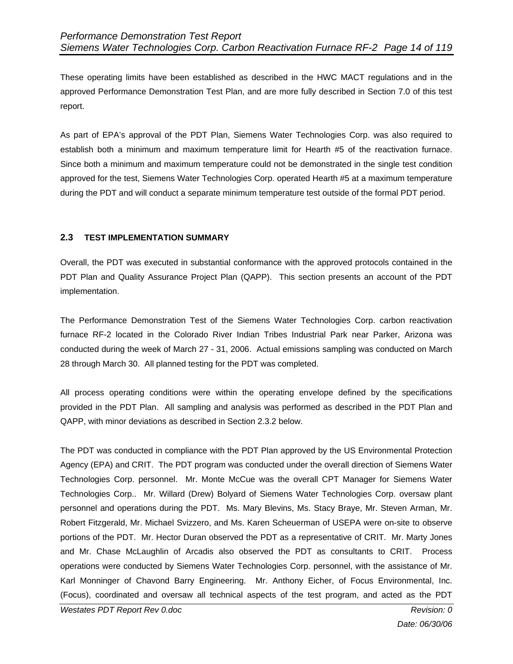These operating limits have been established as described in the HWC MACT regulations and in the approved Performance Demonstration Test Plan, and are more fully described in Section 7.0 of this test report.

As part of EPA's approval of the PDT Plan, Siemens Water Technologies Corp. was also required to establish both a minimum and maximum temperature limit for Hearth #5 of the reactivation furnace. Since both a minimum and maximum temperature could not be demonstrated in the single test condition approved for the test, Siemens Water Technologies Corp. operated Hearth #5 at a maximum temperature during the PDT and will conduct a separate minimum temperature test outside of the formal PDT period.

#### **2.3 TEST IMPLEMENTATION SUMMARY**

Overall, the PDT was executed in substantial conformance with the approved protocols contained in the PDT Plan and Quality Assurance Project Plan (QAPP). This section presents an account of the PDT implementation.

The Performance Demonstration Test of the Siemens Water Technologies Corp. carbon reactivation furnace RF-2 located in the Colorado River Indian Tribes Industrial Park near Parker, Arizona was conducted during the week of March 27 - 31, 2006. Actual emissions sampling was conducted on March 28 through March 30. All planned testing for the PDT was completed.

All process operating conditions were within the operating envelope defined by the specifications provided in the PDT Plan. All sampling and analysis was performed as described in the PDT Plan and QAPP, with minor deviations as described in Section 2.3.2 below.

The PDT was conducted in compliance with the PDT Plan approved by the US Environmental Protection Agency (EPA) and CRIT. The PDT program was conducted under the overall direction of Siemens Water Technologies Corp. personnel. Mr. Monte McCue was the overall CPT Manager for Siemens Water Technologies Corp.. Mr. Willard (Drew) Bolyard of Siemens Water Technologies Corp. oversaw plant personnel and operations during the PDT. Ms. Mary Blevins, Ms. Stacy Braye, Mr. Steven Arman, Mr. Robert Fitzgerald, Mr. Michael Svizzero, and Ms. Karen Scheuerman of USEPA were on-site to observe portions of the PDT. Mr. Hector Duran observed the PDT as a representative of CRIT. Mr. Marty Jones and Mr. Chase McLaughlin of Arcadis also observed the PDT as consultants to CRIT. Process operations were conducted by Siemens Water Technologies Corp. personnel, with the assistance of Mr. Karl Monninger of Chavond Barry Engineering. Mr. Anthony Eicher, of Focus Environmental, Inc. (Focus), coordinated and oversaw all technical aspects of the test program, and acted as the PDT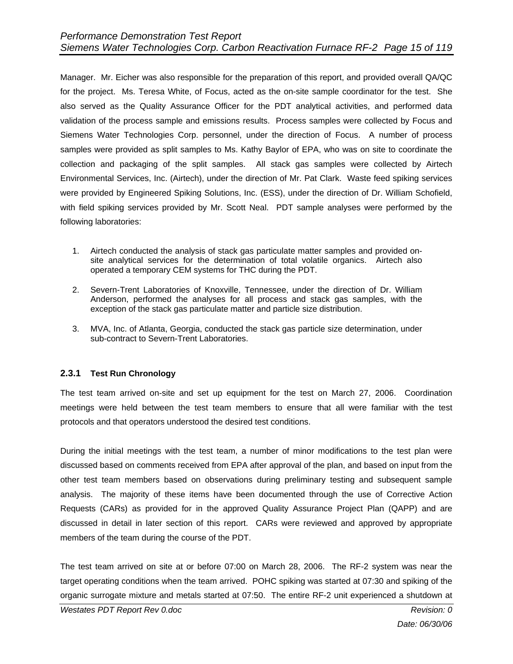Manager. Mr. Eicher was also responsible for the preparation of this report, and provided overall QA/QC for the project. Ms. Teresa White, of Focus, acted as the on-site sample coordinator for the test. She also served as the Quality Assurance Officer for the PDT analytical activities, and performed data validation of the process sample and emissions results. Process samples were collected by Focus and Siemens Water Technologies Corp. personnel, under the direction of Focus. A number of process samples were provided as split samples to Ms. Kathy Baylor of EPA, who was on site to coordinate the collection and packaging of the split samples. All stack gas samples were collected by Airtech Environmental Services, Inc. (Airtech), under the direction of Mr. Pat Clark. Waste feed spiking services were provided by Engineered Spiking Solutions, Inc. (ESS), under the direction of Dr. William Schofield, with field spiking services provided by Mr. Scott Neal. PDT sample analyses were performed by the following laboratories:

- 1. Airtech conducted the analysis of stack gas particulate matter samples and provided onsite analytical services for the determination of total volatile organics. Airtech also operated a temporary CEM systems for THC during the PDT.
- 2. Severn-Trent Laboratories of Knoxville, Tennessee, under the direction of Dr. William Anderson, performed the analyses for all process and stack gas samples, with the exception of the stack gas particulate matter and particle size distribution.
- 3. MVA, Inc. of Atlanta, Georgia, conducted the stack gas particle size determination, under sub-contract to Severn-Trent Laboratories.

#### **2.3.1 Test Run Chronology**

The test team arrived on-site and set up equipment for the test on March 27, 2006. Coordination meetings were held between the test team members to ensure that all were familiar with the test protocols and that operators understood the desired test conditions.

During the initial meetings with the test team, a number of minor modifications to the test plan were discussed based on comments received from EPA after approval of the plan, and based on input from the other test team members based on observations during preliminary testing and subsequent sample analysis. The majority of these items have been documented through the use of Corrective Action Requests (CARs) as provided for in the approved Quality Assurance Project Plan (QAPP) and are discussed in detail in later section of this report. CARs were reviewed and approved by appropriate members of the team during the course of the PDT.

The test team arrived on site at or before 07:00 on March 28, 2006. The RF-2 system was near the target operating conditions when the team arrived. POHC spiking was started at 07:30 and spiking of the organic surrogate mixture and metals started at 07:50. The entire RF-2 unit experienced a shutdown at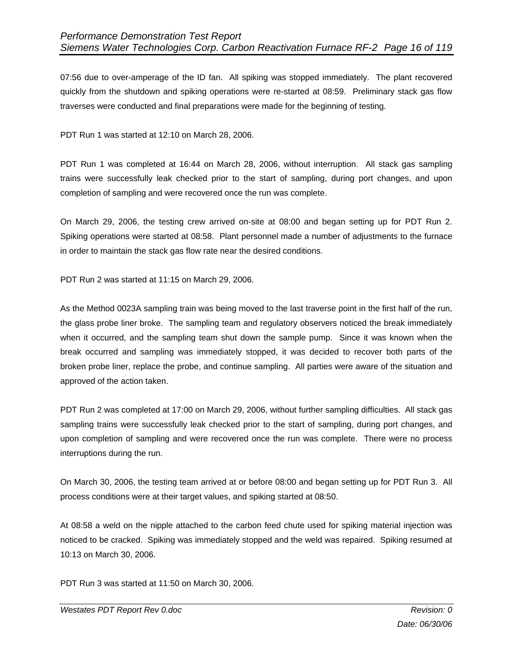07:56 due to over-amperage of the ID fan. All spiking was stopped immediately. The plant recovered quickly from the shutdown and spiking operations were re-started at 08:59. Preliminary stack gas flow traverses were conducted and final preparations were made for the beginning of testing.

PDT Run 1 was started at 12:10 on March 28, 2006.

PDT Run 1 was completed at 16:44 on March 28, 2006, without interruption. All stack gas sampling trains were successfully leak checked prior to the start of sampling, during port changes, and upon completion of sampling and were recovered once the run was complete.

On March 29, 2006, the testing crew arrived on-site at 08:00 and began setting up for PDT Run 2. Spiking operations were started at 08:58. Plant personnel made a number of adjustments to the furnace in order to maintain the stack gas flow rate near the desired conditions.

PDT Run 2 was started at 11:15 on March 29, 2006.

As the Method 0023A sampling train was being moved to the last traverse point in the first half of the run, the glass probe liner broke. The sampling team and regulatory observers noticed the break immediately when it occurred, and the sampling team shut down the sample pump. Since it was known when the break occurred and sampling was immediately stopped, it was decided to recover both parts of the broken probe liner, replace the probe, and continue sampling. All parties were aware of the situation and approved of the action taken.

PDT Run 2 was completed at 17:00 on March 29, 2006, without further sampling difficulties. All stack gas sampling trains were successfully leak checked prior to the start of sampling, during port changes, and upon completion of sampling and were recovered once the run was complete. There were no process interruptions during the run.

On March 30, 2006, the testing team arrived at or before 08:00 and began setting up for PDT Run 3. All process conditions were at their target values, and spiking started at 08:50.

At 08:58 a weld on the nipple attached to the carbon feed chute used for spiking material injection was noticed to be cracked. Spiking was immediately stopped and the weld was repaired. Spiking resumed at 10:13 on March 30, 2006.

PDT Run 3 was started at 11:50 on March 30, 2006.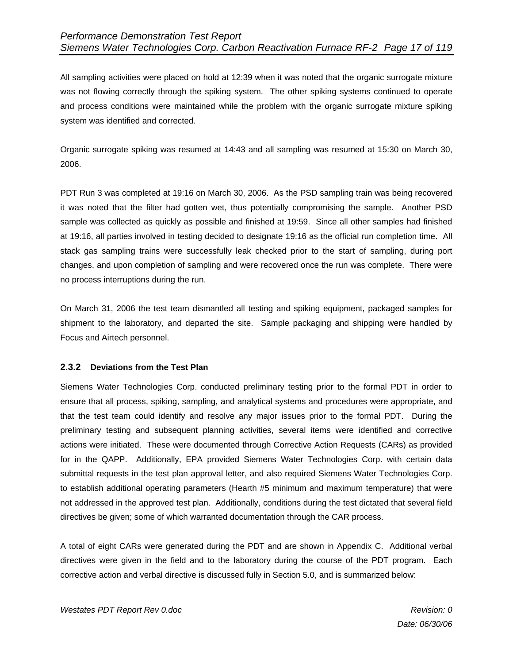All sampling activities were placed on hold at 12:39 when it was noted that the organic surrogate mixture was not flowing correctly through the spiking system. The other spiking systems continued to operate and process conditions were maintained while the problem with the organic surrogate mixture spiking system was identified and corrected.

Organic surrogate spiking was resumed at 14:43 and all sampling was resumed at 15:30 on March 30, 2006.

PDT Run 3 was completed at 19:16 on March 30, 2006. As the PSD sampling train was being recovered it was noted that the filter had gotten wet, thus potentially compromising the sample. Another PSD sample was collected as quickly as possible and finished at 19:59. Since all other samples had finished at 19:16, all parties involved in testing decided to designate 19:16 as the official run completion time. All stack gas sampling trains were successfully leak checked prior to the start of sampling, during port changes, and upon completion of sampling and were recovered once the run was complete. There were no process interruptions during the run.

On March 31, 2006 the test team dismantled all testing and spiking equipment, packaged samples for shipment to the laboratory, and departed the site. Sample packaging and shipping were handled by Focus and Airtech personnel.

#### **2.3.2 Deviations from the Test Plan**

Siemens Water Technologies Corp. conducted preliminary testing prior to the formal PDT in order to ensure that all process, spiking, sampling, and analytical systems and procedures were appropriate, and that the test team could identify and resolve any major issues prior to the formal PDT. During the preliminary testing and subsequent planning activities, several items were identified and corrective actions were initiated. These were documented through Corrective Action Requests (CARs) as provided for in the QAPP. Additionally, EPA provided Siemens Water Technologies Corp. with certain data submittal requests in the test plan approval letter, and also required Siemens Water Technologies Corp. to establish additional operating parameters (Hearth #5 minimum and maximum temperature) that were not addressed in the approved test plan. Additionally, conditions during the test dictated that several field directives be given; some of which warranted documentation through the CAR process.

A total of eight CARs were generated during the PDT and are shown in Appendix C. Additional verbal directives were given in the field and to the laboratory during the course of the PDT program. Each corrective action and verbal directive is discussed fully in Section 5.0, and is summarized below: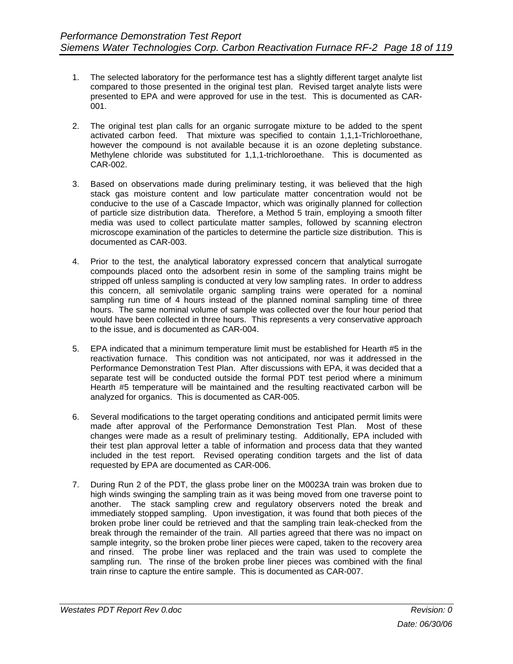- 1. The selected laboratory for the performance test has a slightly different target analyte list compared to those presented in the original test plan. Revised target analyte lists were presented to EPA and were approved for use in the test. This is documented as CAR-001.
- 2. The original test plan calls for an organic surrogate mixture to be added to the spent activated carbon feed. That mixture was specified to contain 1,1,1-Trichloroethane, however the compound is not available because it is an ozone depleting substance. Methylene chloride was substituted for 1,1,1-trichloroethane. This is documented as CAR-002.
- 3. Based on observations made during preliminary testing, it was believed that the high stack gas moisture content and low particulate matter concentration would not be conducive to the use of a Cascade Impactor, which was originally planned for collection of particle size distribution data. Therefore, a Method 5 train, employing a smooth filter media was used to collect particulate matter samples, followed by scanning electron microscope examination of the particles to determine the particle size distribution. This is documented as CAR-003.
- 4. Prior to the test, the analytical laboratory expressed concern that analytical surrogate compounds placed onto the adsorbent resin in some of the sampling trains might be stripped off unless sampling is conducted at very low sampling rates. In order to address this concern, all semivolatile organic sampling trains were operated for a nominal sampling run time of 4 hours instead of the planned nominal sampling time of three hours. The same nominal volume of sample was collected over the four hour period that would have been collected in three hours. This represents a very conservative approach to the issue, and is documented as CAR-004.
- 5. EPA indicated that a minimum temperature limit must be established for Hearth #5 in the reactivation furnace. This condition was not anticipated, nor was it addressed in the Performance Demonstration Test Plan. After discussions with EPA, it was decided that a separate test will be conducted outside the formal PDT test period where a minimum Hearth #5 temperature will be maintained and the resulting reactivated carbon will be analyzed for organics. This is documented as CAR-005.
- 6. Several modifications to the target operating conditions and anticipated permit limits were made after approval of the Performance Demonstration Test Plan. Most of these changes were made as a result of preliminary testing. Additionally, EPA included with their test plan approval letter a table of information and process data that they wanted included in the test report. Revised operating condition targets and the list of data requested by EPA are documented as CAR-006.
- 7. During Run 2 of the PDT, the glass probe liner on the M0023A train was broken due to high winds swinging the sampling train as it was being moved from one traverse point to another. The stack sampling crew and regulatory observers noted the break and immediately stopped sampling. Upon investigation, it was found that both pieces of the broken probe liner could be retrieved and that the sampling train leak-checked from the break through the remainder of the train. All parties agreed that there was no impact on sample integrity, so the broken probe liner pieces were caped, taken to the recovery area and rinsed. The probe liner was replaced and the train was used to complete the sampling run. The rinse of the broken probe liner pieces was combined with the final train rinse to capture the entire sample. This is documented as CAR-007.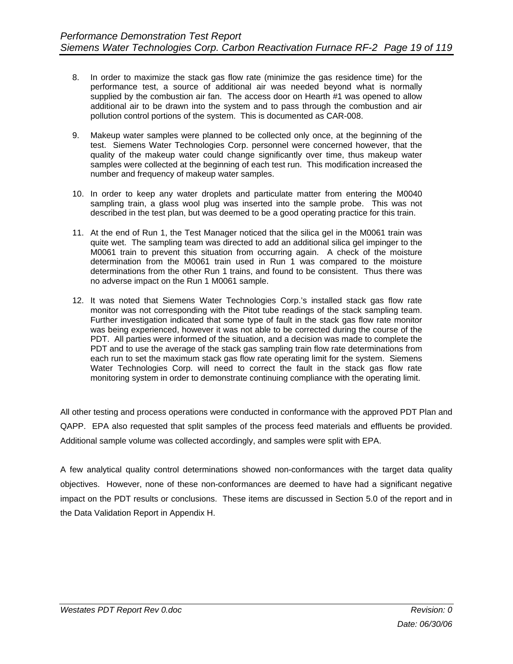- 8. In order to maximize the stack gas flow rate (minimize the gas residence time) for the performance test, a source of additional air was needed beyond what is normally supplied by the combustion air fan. The access door on Hearth #1 was opened to allow additional air to be drawn into the system and to pass through the combustion and air pollution control portions of the system. This is documented as CAR-008.
- 9. Makeup water samples were planned to be collected only once, at the beginning of the test. Siemens Water Technologies Corp. personnel were concerned however, that the quality of the makeup water could change significantly over time, thus makeup water samples were collected at the beginning of each test run. This modification increased the number and frequency of makeup water samples.
- 10. In order to keep any water droplets and particulate matter from entering the M0040 sampling train, a glass wool plug was inserted into the sample probe. This was not described in the test plan, but was deemed to be a good operating practice for this train.
- 11. At the end of Run 1, the Test Manager noticed that the silica gel in the M0061 train was quite wet. The sampling team was directed to add an additional silica gel impinger to the M0061 train to prevent this situation from occurring again. A check of the moisture determination from the M0061 train used in Run 1 was compared to the moisture determinations from the other Run 1 trains, and found to be consistent. Thus there was no adverse impact on the Run 1 M0061 sample.
- 12. It was noted that Siemens Water Technologies Corp.'s installed stack gas flow rate monitor was not corresponding with the Pitot tube readings of the stack sampling team. Further investigation indicated that some type of fault in the stack gas flow rate monitor was being experienced, however it was not able to be corrected during the course of the PDT. All parties were informed of the situation, and a decision was made to complete the PDT and to use the average of the stack gas sampling train flow rate determinations from each run to set the maximum stack gas flow rate operating limit for the system. Siemens Water Technologies Corp. will need to correct the fault in the stack gas flow rate monitoring system in order to demonstrate continuing compliance with the operating limit.

All other testing and process operations were conducted in conformance with the approved PDT Plan and QAPP. EPA also requested that split samples of the process feed materials and effluents be provided. Additional sample volume was collected accordingly, and samples were split with EPA.

A few analytical quality control determinations showed non-conformances with the target data quality objectives. However, none of these non-conformances are deemed to have had a significant negative impact on the PDT results or conclusions. These items are discussed in Section 5.0 of the report and in the Data Validation Report in Appendix H.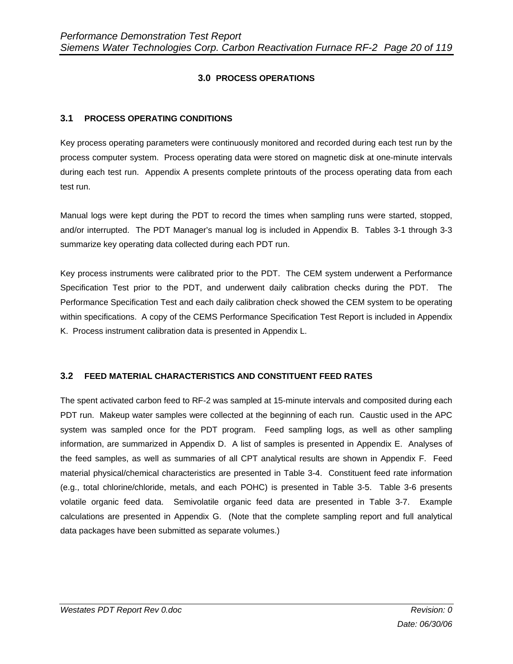# **3.0 PROCESS OPERATIONS**

## **3.1 PROCESS OPERATING CONDITIONS**

Key process operating parameters were continuously monitored and recorded during each test run by the process computer system. Process operating data were stored on magnetic disk at one-minute intervals during each test run. Appendix A presents complete printouts of the process operating data from each test run.

Manual logs were kept during the PDT to record the times when sampling runs were started, stopped, and/or interrupted. The PDT Manager's manual log is included in Appendix B. Tables 3-1 through 3-3 summarize key operating data collected during each PDT run.

Key process instruments were calibrated prior to the PDT. The CEM system underwent a Performance Specification Test prior to the PDT, and underwent daily calibration checks during the PDT. The Performance Specification Test and each daily calibration check showed the CEM system to be operating within specifications. A copy of the CEMS Performance Specification Test Report is included in Appendix K. Process instrument calibration data is presented in Appendix L.

#### **3.2 FEED MATERIAL CHARACTERISTICS AND CONSTITUENT FEED RATES**

The spent activated carbon feed to RF-2 was sampled at 15-minute intervals and composited during each PDT run. Makeup water samples were collected at the beginning of each run. Caustic used in the APC system was sampled once for the PDT program. Feed sampling logs, as well as other sampling information, are summarized in Appendix D. A list of samples is presented in Appendix E. Analyses of the feed samples, as well as summaries of all CPT analytical results are shown in Appendix F. Feed material physical/chemical characteristics are presented in Table 3-4. Constituent feed rate information (e.g., total chlorine/chloride, metals, and each POHC) is presented in Table 3-5. Table 3-6 presents volatile organic feed data. Semivolatile organic feed data are presented in Table 3-7. Example calculations are presented in Appendix G. (Note that the complete sampling report and full analytical data packages have been submitted as separate volumes.)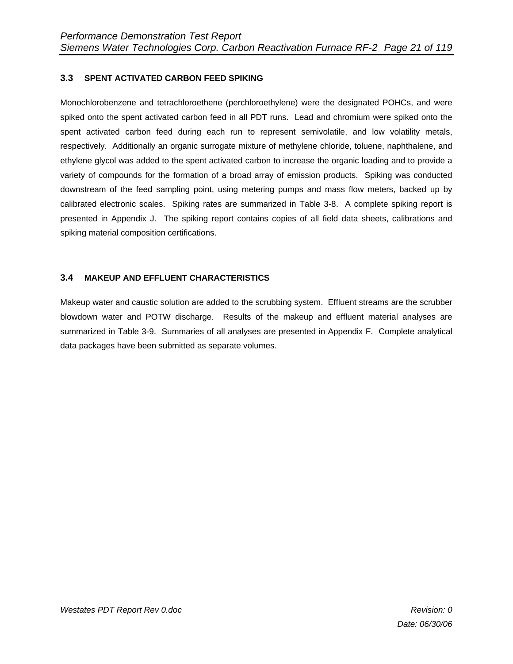## **3.3 SPENT ACTIVATED CARBON FEED SPIKING**

Monochlorobenzene and tetrachloroethene (perchloroethylene) were the designated POHCs, and were spiked onto the spent activated carbon feed in all PDT runs. Lead and chromium were spiked onto the spent activated carbon feed during each run to represent semivolatile, and low volatility metals, respectively. Additionally an organic surrogate mixture of methylene chloride, toluene, naphthalene, and ethylene glycol was added to the spent activated carbon to increase the organic loading and to provide a variety of compounds for the formation of a broad array of emission products. Spiking was conducted downstream of the feed sampling point, using metering pumps and mass flow meters, backed up by calibrated electronic scales. Spiking rates are summarized in Table 3-8. A complete spiking report is presented in Appendix J. The spiking report contains copies of all field data sheets, calibrations and spiking material composition certifications.

## **3.4 MAKEUP AND EFFLUENT CHARACTERISTICS**

Makeup water and caustic solution are added to the scrubbing system. Effluent streams are the scrubber blowdown water and POTW discharge. Results of the makeup and effluent material analyses are summarized in Table 3-9. Summaries of all analyses are presented in Appendix F. Complete analytical data packages have been submitted as separate volumes.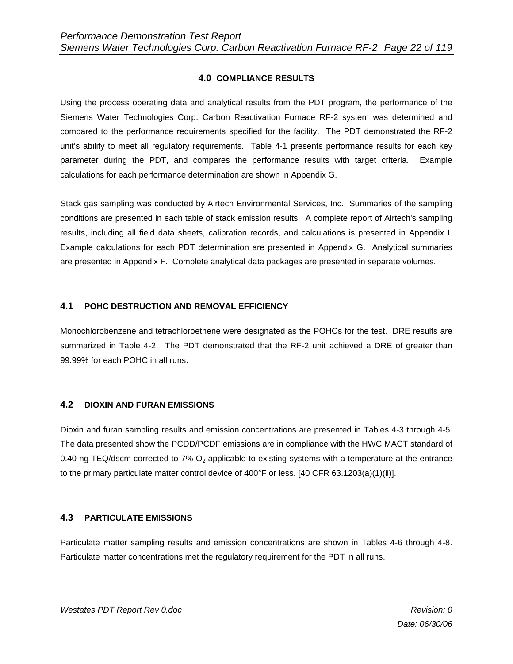## **4.0 COMPLIANCE RESULTS**

Using the process operating data and analytical results from the PDT program, the performance of the Siemens Water Technologies Corp. Carbon Reactivation Furnace RF-2 system was determined and compared to the performance requirements specified for the facility. The PDT demonstrated the RF-2 unit's ability to meet all regulatory requirements. Table 4-1 presents performance results for each key parameter during the PDT, and compares the performance results with target criteria. Example calculations for each performance determination are shown in Appendix G.

Stack gas sampling was conducted by Airtech Environmental Services, Inc. Summaries of the sampling conditions are presented in each table of stack emission results. A complete report of Airtech's sampling results, including all field data sheets, calibration records, and calculations is presented in Appendix I. Example calculations for each PDT determination are presented in Appendix G. Analytical summaries are presented in Appendix F. Complete analytical data packages are presented in separate volumes.

#### **4.1 POHC DESTRUCTION AND REMOVAL EFFICIENCY**

Monochlorobenzene and tetrachloroethene were designated as the POHCs for the test. DRE results are summarized in Table 4-2. The PDT demonstrated that the RF-2 unit achieved a DRE of greater than 99.99% for each POHC in all runs.

#### **4.2 DIOXIN AND FURAN EMISSIONS**

Dioxin and furan sampling results and emission concentrations are presented in Tables 4-3 through 4-5. The data presented show the PCDD/PCDF emissions are in compliance with the HWC MACT standard of 0.40 ng TEQ/dscm corrected to 7%  $O_2$  applicable to existing systems with a temperature at the entrance to the primary particulate matter control device of 400°F or less. [40 CFR 63.1203(a)(1)(ii)].

#### **4.3 PARTICULATE EMISSIONS**

Particulate matter sampling results and emission concentrations are shown in Tables 4-6 through 4-8. Particulate matter concentrations met the regulatory requirement for the PDT in all runs.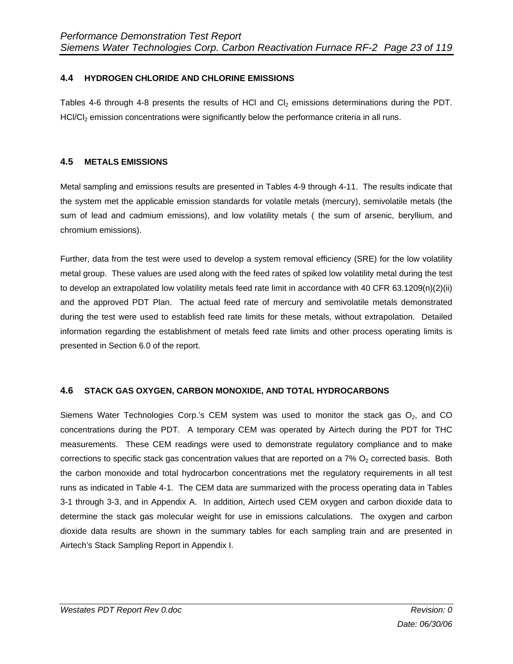# **4.4 HYDROGEN CHLORIDE AND CHLORINE EMISSIONS**

Tables 4-6 through 4-8 presents the results of HCl and  $Cl_2$  emissions determinations during the PDT. HCl/Cl<sub>2</sub> emission concentrations were significantly below the performance criteria in all runs.

### **4.5 METALS EMISSIONS**

Metal sampling and emissions results are presented in Tables 4-9 through 4-11. The results indicate that the system met the applicable emission standards for volatile metals (mercury), semivolatile metals (the sum of lead and cadmium emissions), and low volatility metals ( the sum of arsenic, beryllium, and chromium emissions).

Further, data from the test were used to develop a system removal efficiency (SRE) for the low volatility metal group. These values are used along with the feed rates of spiked low volatility metal during the test to develop an extrapolated low volatility metals feed rate limit in accordance with 40 CFR 63.1209(n)(2)(ii) and the approved PDT Plan. The actual feed rate of mercury and semivolatile metals demonstrated during the test were used to establish feed rate limits for these metals, without extrapolation. Detailed information regarding the establishment of metals feed rate limits and other process operating limits is presented in Section 6.0 of the report.

#### **4.6 STACK GAS OXYGEN, CARBON MONOXIDE, AND TOTAL HYDROCARBONS**

Siemens Water Technologies Corp.'s CEM system was used to monitor the stack gas  $O<sub>2</sub>$ , and CO concentrations during the PDT. A temporary CEM was operated by Airtech during the PDT for THC measurements. These CEM readings were used to demonstrate regulatory compliance and to make corrections to specific stack gas concentration values that are reported on a  $7\%$  O<sub>2</sub> corrected basis. Both the carbon monoxide and total hydrocarbon concentrations met the regulatory requirements in all test runs as indicated in Table 4-1. The CEM data are summarized with the process operating data in Tables 3-1 through 3-3, and in Appendix A. In addition, Airtech used CEM oxygen and carbon dioxide data to determine the stack gas molecular weight for use in emissions calculations. The oxygen and carbon dioxide data results are shown in the summary tables for each sampling train and are presented in Airtech's Stack Sampling Report in Appendix I.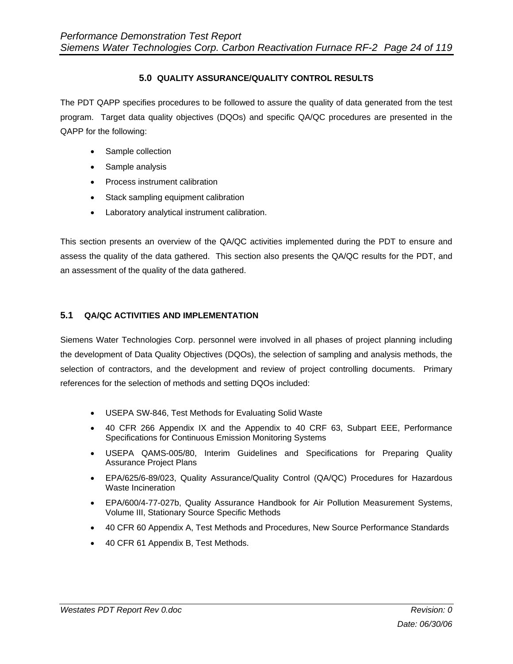## **5.0 QUALITY ASSURANCE/QUALITY CONTROL RESULTS**

The PDT QAPP specifies procedures to be followed to assure the quality of data generated from the test program. Target data quality objectives (DQOs) and specific QA/QC procedures are presented in the QAPP for the following:

- Sample collection
- Sample analysis
- Process instrument calibration
- Stack sampling equipment calibration
- Laboratory analytical instrument calibration.

This section presents an overview of the QA/QC activities implemented during the PDT to ensure and assess the quality of the data gathered. This section also presents the QA/QC results for the PDT, and an assessment of the quality of the data gathered.

## **5.1 QA/QC ACTIVITIES AND IMPLEMENTATION**

Siemens Water Technologies Corp. personnel were involved in all phases of project planning including the development of Data Quality Objectives (DQOs), the selection of sampling and analysis methods, the selection of contractors, and the development and review of project controlling documents. Primary references for the selection of methods and setting DQOs included:

- USEPA SW-846, Test Methods for Evaluating Solid Waste
- 40 CFR 266 Appendix IX and the Appendix to 40 CRF 63, Subpart EEE, Performance Specifications for Continuous Emission Monitoring Systems
- USEPA QAMS-005/80, Interim Guidelines and Specifications for Preparing Quality Assurance Project Plans
- EPA/625/6-89/023, Quality Assurance/Quality Control (QA/QC) Procedures for Hazardous Waste Incineration
- EPA/600/4-77-027b, Quality Assurance Handbook for Air Pollution Measurement Systems, Volume III, Stationary Source Specific Methods
- 40 CFR 60 Appendix A, Test Methods and Procedures, New Source Performance Standards
- 40 CFR 61 Appendix B, Test Methods.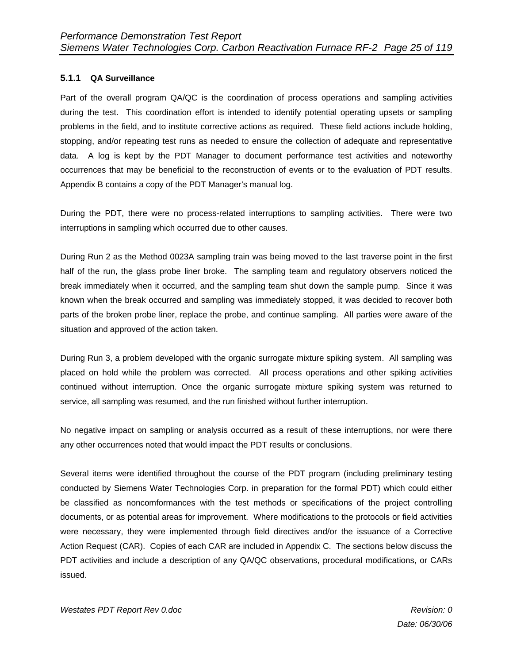# **5.1.1 QA Surveillance**

Part of the overall program QA/QC is the coordination of process operations and sampling activities during the test. This coordination effort is intended to identify potential operating upsets or sampling problems in the field, and to institute corrective actions as required. These field actions include holding, stopping, and/or repeating test runs as needed to ensure the collection of adequate and representative data. A log is kept by the PDT Manager to document performance test activities and noteworthy occurrences that may be beneficial to the reconstruction of events or to the evaluation of PDT results. Appendix B contains a copy of the PDT Manager's manual log.

During the PDT, there were no process-related interruptions to sampling activities. There were two interruptions in sampling which occurred due to other causes.

During Run 2 as the Method 0023A sampling train was being moved to the last traverse point in the first half of the run, the glass probe liner broke. The sampling team and regulatory observers noticed the break immediately when it occurred, and the sampling team shut down the sample pump. Since it was known when the break occurred and sampling was immediately stopped, it was decided to recover both parts of the broken probe liner, replace the probe, and continue sampling. All parties were aware of the situation and approved of the action taken.

During Run 3, a problem developed with the organic surrogate mixture spiking system. All sampling was placed on hold while the problem was corrected. All process operations and other spiking activities continued without interruption. Once the organic surrogate mixture spiking system was returned to service, all sampling was resumed, and the run finished without further interruption.

No negative impact on sampling or analysis occurred as a result of these interruptions, nor were there any other occurrences noted that would impact the PDT results or conclusions.

Several items were identified throughout the course of the PDT program (including preliminary testing conducted by Siemens Water Technologies Corp. in preparation for the formal PDT) which could either be classified as noncomformances with the test methods or specifications of the project controlling documents, or as potential areas for improvement. Where modifications to the protocols or field activities were necessary, they were implemented through field directives and/or the issuance of a Corrective Action Request (CAR). Copies of each CAR are included in Appendix C. The sections below discuss the PDT activities and include a description of any QA/QC observations, procedural modifications, or CARs issued.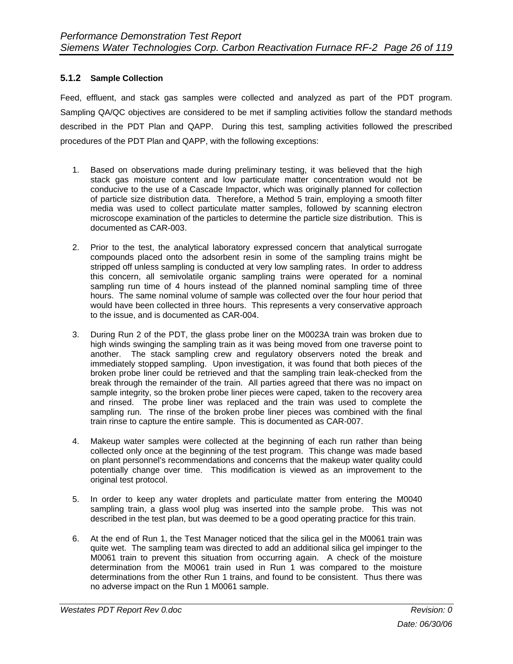# **5.1.2 Sample Collection**

Feed, effluent, and stack gas samples were collected and analyzed as part of the PDT program. Sampling QA/QC objectives are considered to be met if sampling activities follow the standard methods described in the PDT Plan and QAPP. During this test, sampling activities followed the prescribed procedures of the PDT Plan and QAPP, with the following exceptions:

- 1. Based on observations made during preliminary testing, it was believed that the high stack gas moisture content and low particulate matter concentration would not be conducive to the use of a Cascade Impactor, which was originally planned for collection of particle size distribution data. Therefore, a Method 5 train, employing a smooth filter media was used to collect particulate matter samples, followed by scanning electron microscope examination of the particles to determine the particle size distribution. This is documented as CAR-003.
- 2. Prior to the test, the analytical laboratory expressed concern that analytical surrogate compounds placed onto the adsorbent resin in some of the sampling trains might be stripped off unless sampling is conducted at very low sampling rates. In order to address this concern, all semivolatile organic sampling trains were operated for a nominal sampling run time of 4 hours instead of the planned nominal sampling time of three hours. The same nominal volume of sample was collected over the four hour period that would have been collected in three hours. This represents a very conservative approach to the issue, and is documented as CAR-004.
- 3. During Run 2 of the PDT, the glass probe liner on the M0023A train was broken due to high winds swinging the sampling train as it was being moved from one traverse point to another. The stack sampling crew and regulatory observers noted the break and immediately stopped sampling. Upon investigation, it was found that both pieces of the broken probe liner could be retrieved and that the sampling train leak-checked from the break through the remainder of the train. All parties agreed that there was no impact on sample integrity, so the broken probe liner pieces were caped, taken to the recovery area and rinsed. The probe liner was replaced and the train was used to complete the sampling run. The rinse of the broken probe liner pieces was combined with the final train rinse to capture the entire sample. This is documented as CAR-007.
- 4. Makeup water samples were collected at the beginning of each run rather than being collected only once at the beginning of the test program. This change was made based on plant personnel's recommendations and concerns that the makeup water quality could potentially change over time. This modification is viewed as an improvement to the original test protocol.
- 5. In order to keep any water droplets and particulate matter from entering the M0040 sampling train, a glass wool plug was inserted into the sample probe. This was not described in the test plan, but was deemed to be a good operating practice for this train.
- 6. At the end of Run 1, the Test Manager noticed that the silica gel in the M0061 train was quite wet. The sampling team was directed to add an additional silica gel impinger to the M0061 train to prevent this situation from occurring again. A check of the moisture determination from the M0061 train used in Run 1 was compared to the moisture determinations from the other Run 1 trains, and found to be consistent. Thus there was no adverse impact on the Run 1 M0061 sample.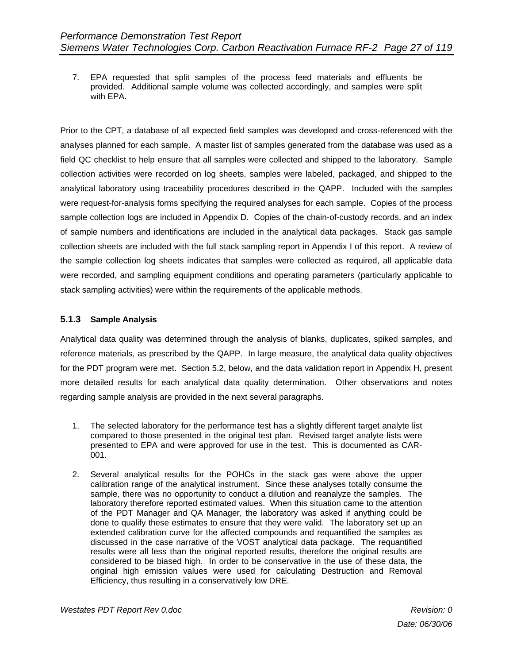7. EPA requested that split samples of the process feed materials and effluents be provided. Additional sample volume was collected accordingly, and samples were split with EPA.

Prior to the CPT, a database of all expected field samples was developed and cross-referenced with the analyses planned for each sample. A master list of samples generated from the database was used as a field QC checklist to help ensure that all samples were collected and shipped to the laboratory. Sample collection activities were recorded on log sheets, samples were labeled, packaged, and shipped to the analytical laboratory using traceability procedures described in the QAPP. Included with the samples were request-for-analysis forms specifying the required analyses for each sample. Copies of the process sample collection logs are included in Appendix D. Copies of the chain-of-custody records, and an index of sample numbers and identifications are included in the analytical data packages. Stack gas sample collection sheets are included with the full stack sampling report in Appendix I of this report. A review of the sample collection log sheets indicates that samples were collected as required, all applicable data were recorded, and sampling equipment conditions and operating parameters (particularly applicable to stack sampling activities) were within the requirements of the applicable methods.

## **5.1.3 Sample Analysis**

Analytical data quality was determined through the analysis of blanks, duplicates, spiked samples, and reference materials, as prescribed by the QAPP. In large measure, the analytical data quality objectives for the PDT program were met. Section 5.2, below, and the data validation report in Appendix H, present more detailed results for each analytical data quality determination. Other observations and notes regarding sample analysis are provided in the next several paragraphs.

- 1. The selected laboratory for the performance test has a slightly different target analyte list compared to those presented in the original test plan. Revised target analyte lists were presented to EPA and were approved for use in the test. This is documented as CAR-001.
- 2. Several analytical results for the POHCs in the stack gas were above the upper calibration range of the analytical instrument. Since these analyses totally consume the sample, there was no opportunity to conduct a dilution and reanalyze the samples. The laboratory therefore reported estimated values. When this situation came to the attention of the PDT Manager and QA Manager, the laboratory was asked if anything could be done to qualify these estimates to ensure that they were valid. The laboratory set up an extended calibration curve for the affected compounds and requantified the samples as discussed in the case narrative of the VOST analytical data package. The requantified results were all less than the original reported results, therefore the original results are considered to be biased high. In order to be conservative in the use of these data, the original high emission values were used for calculating Destruction and Removal Efficiency, thus resulting in a conservatively low DRE.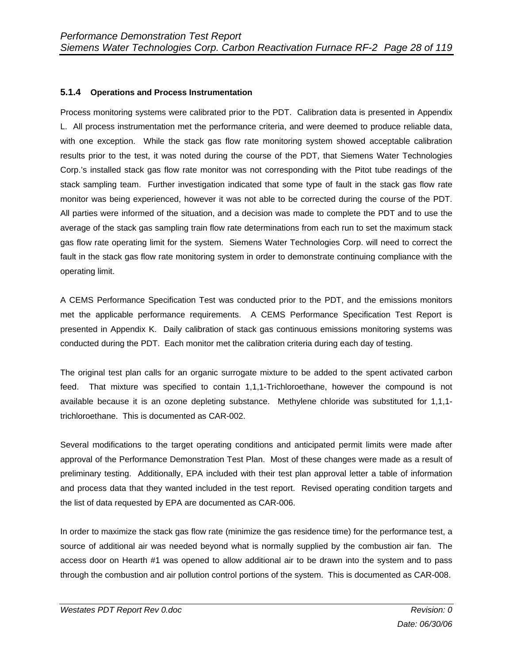## **5.1.4 Operations and Process Instrumentation**

Process monitoring systems were calibrated prior to the PDT. Calibration data is presented in Appendix L. All process instrumentation met the performance criteria, and were deemed to produce reliable data, with one exception. While the stack gas flow rate monitoring system showed acceptable calibration results prior to the test, it was noted during the course of the PDT, that Siemens Water Technologies Corp.'s installed stack gas flow rate monitor was not corresponding with the Pitot tube readings of the stack sampling team. Further investigation indicated that some type of fault in the stack gas flow rate monitor was being experienced, however it was not able to be corrected during the course of the PDT. All parties were informed of the situation, and a decision was made to complete the PDT and to use the average of the stack gas sampling train flow rate determinations from each run to set the maximum stack gas flow rate operating limit for the system. Siemens Water Technologies Corp. will need to correct the fault in the stack gas flow rate monitoring system in order to demonstrate continuing compliance with the operating limit.

A CEMS Performance Specification Test was conducted prior to the PDT, and the emissions monitors met the applicable performance requirements. A CEMS Performance Specification Test Report is presented in Appendix K. Daily calibration of stack gas continuous emissions monitoring systems was conducted during the PDT. Each monitor met the calibration criteria during each day of testing.

The original test plan calls for an organic surrogate mixture to be added to the spent activated carbon feed. That mixture was specified to contain 1,1,1-Trichloroethane, however the compound is not available because it is an ozone depleting substance. Methylene chloride was substituted for 1,1,1 trichloroethane. This is documented as CAR-002.

Several modifications to the target operating conditions and anticipated permit limits were made after approval of the Performance Demonstration Test Plan. Most of these changes were made as a result of preliminary testing. Additionally, EPA included with their test plan approval letter a table of information and process data that they wanted included in the test report. Revised operating condition targets and the list of data requested by EPA are documented as CAR-006.

In order to maximize the stack gas flow rate (minimize the gas residence time) for the performance test, a source of additional air was needed beyond what is normally supplied by the combustion air fan. The access door on Hearth #1 was opened to allow additional air to be drawn into the system and to pass through the combustion and air pollution control portions of the system. This is documented as CAR-008.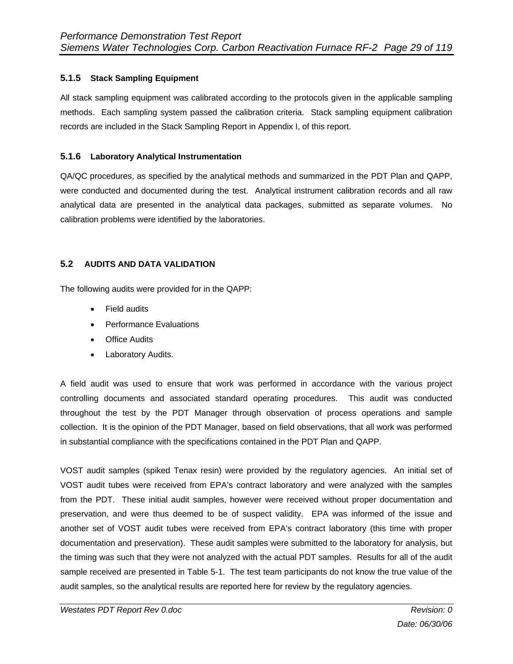# **5.1.5 Stack Sampling Equipment**

All stack sampling equipment was calibrated according to the protocols given in the applicable sampling methods. Each sampling system passed the calibration criteria. Stack sampling equipment calibration records are included in the Stack Sampling Report in Appendix I, of this report.

#### **5.1.6 Laboratory Analytical Instrumentation**

QA/QC procedures, as specified by the analytical methods and summarized in the PDT Plan and QAPP, were conducted and documented during the test. Analytical instrument calibration records and all raw analytical data are presented in the analytical data packages, submitted as separate volumes. No calibration problems were identified by the laboratories.

#### **5.2 AUDITS AND DATA VALIDATION**

The following audits were provided for in the QAPP:

- Field audits
- Performance Evaluations
- Office Audits
- Laboratory Audits.

A field audit was used to ensure that work was performed in accordance with the various project controlling documents and associated standard operating procedures. This audit was conducted throughout the test by the PDT Manager through observation of process operations and sample collection. It is the opinion of the PDT Manager, based on field observations, that all work was performed in substantial compliance with the specifications contained in the PDT Plan and QAPP.

VOST audit samples (spiked Tenax resin) were provided by the regulatory agencies. An initial set of VOST audit tubes were received from EPA's contract laboratory and were analyzed with the samples from the PDT. These initial audit samples, however were received without proper documentation and preservation, and were thus deemed to be of suspect validity. EPA was informed of the issue and another set of VOST audit tubes were received from EPA's contract laboratory (this time with proper documentation and preservation). These audit samples were submitted to the laboratory for analysis, but the timing was such that they were not analyzed with the actual PDT samples. Results for all of the audit sample received are presented in Table 5-1. The test team participants do not know the true value of the audit samples, so the analytical results are reported here for review by the regulatory agencies.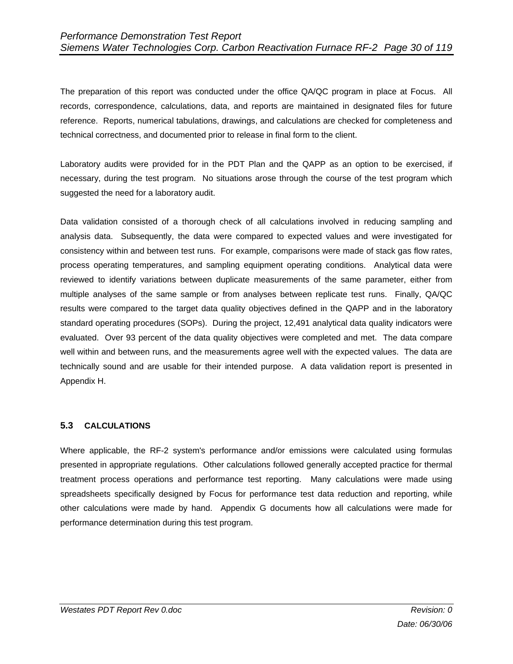The preparation of this report was conducted under the office QA/QC program in place at Focus. All records, correspondence, calculations, data, and reports are maintained in designated files for future reference. Reports, numerical tabulations, drawings, and calculations are checked for completeness and technical correctness, and documented prior to release in final form to the client.

Laboratory audits were provided for in the PDT Plan and the QAPP as an option to be exercised, if necessary, during the test program. No situations arose through the course of the test program which suggested the need for a laboratory audit.

Data validation consisted of a thorough check of all calculations involved in reducing sampling and analysis data. Subsequently, the data were compared to expected values and were investigated for consistency within and between test runs. For example, comparisons were made of stack gas flow rates, process operating temperatures, and sampling equipment operating conditions. Analytical data were reviewed to identify variations between duplicate measurements of the same parameter, either from multiple analyses of the same sample or from analyses between replicate test runs. Finally, QA/QC results were compared to the target data quality objectives defined in the QAPP and in the laboratory standard operating procedures (SOPs). During the project, 12,491 analytical data quality indicators were evaluated. Over 93 percent of the data quality objectives were completed and met. The data compare well within and between runs, and the measurements agree well with the expected values. The data are technically sound and are usable for their intended purpose. A data validation report is presented in Appendix H.

#### **5.3 CALCULATIONS**

Where applicable, the RF-2 system's performance and/or emissions were calculated using formulas presented in appropriate regulations. Other calculations followed generally accepted practice for thermal treatment process operations and performance test reporting. Many calculations were made using spreadsheets specifically designed by Focus for performance test data reduction and reporting, while other calculations were made by hand. Appendix G documents how all calculations were made for performance determination during this test program.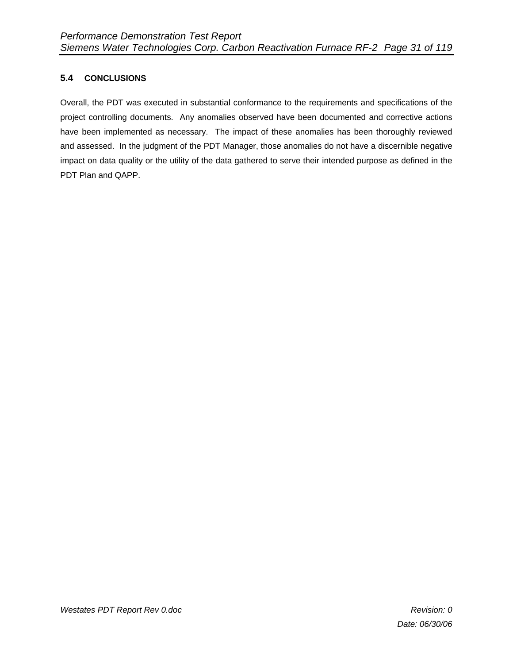# **5.4 CONCLUSIONS**

Overall, the PDT was executed in substantial conformance to the requirements and specifications of the project controlling documents. Any anomalies observed have been documented and corrective actions have been implemented as necessary. The impact of these anomalies has been thoroughly reviewed and assessed. In the judgment of the PDT Manager, those anomalies do not have a discernible negative impact on data quality or the utility of the data gathered to serve their intended purpose as defined in the PDT Plan and QAPP.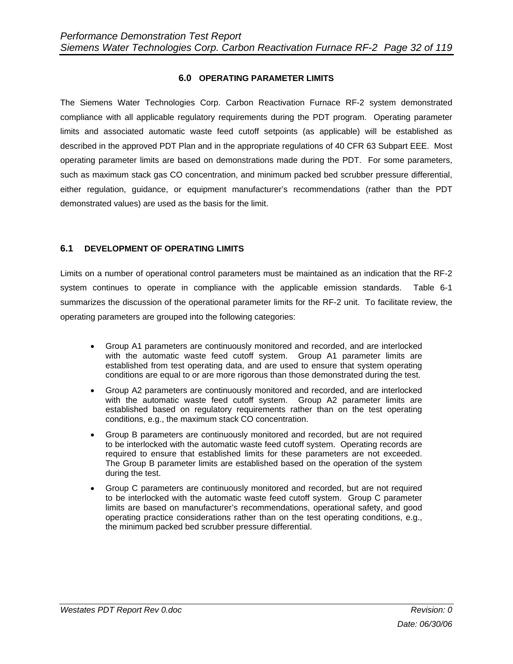#### **6.0 OPERATING PARAMETER LIMITS**

The Siemens Water Technologies Corp. Carbon Reactivation Furnace RF-2 system demonstrated compliance with all applicable regulatory requirements during the PDT program. Operating parameter limits and associated automatic waste feed cutoff setpoints (as applicable) will be established as described in the approved PDT Plan and in the appropriate regulations of 40 CFR 63 Subpart EEE. Most operating parameter limits are based on demonstrations made during the PDT. For some parameters, such as maximum stack gas CO concentration, and minimum packed bed scrubber pressure differential, either regulation, guidance, or equipment manufacturer's recommendations (rather than the PDT demonstrated values) are used as the basis for the limit.

#### **6.1 DEVELOPMENT OF OPERATING LIMITS**

Limits on a number of operational control parameters must be maintained as an indication that the RF-2 system continues to operate in compliance with the applicable emission standards. Table 6-1 summarizes the discussion of the operational parameter limits for the RF-2 unit. To facilitate review, the operating parameters are grouped into the following categories:

- Group A1 parameters are continuously monitored and recorded, and are interlocked with the automatic waste feed cutoff system. Group A1 parameter limits are established from test operating data, and are used to ensure that system operating conditions are equal to or are more rigorous than those demonstrated during the test.
- Group A2 parameters are continuously monitored and recorded, and are interlocked with the automatic waste feed cutoff system. Group A2 parameter limits are established based on regulatory requirements rather than on the test operating conditions, e.g., the maximum stack CO concentration.
- Group B parameters are continuously monitored and recorded, but are not required to be interlocked with the automatic waste feed cutoff system. Operating records are required to ensure that established limits for these parameters are not exceeded. The Group B parameter limits are established based on the operation of the system during the test.
- Group C parameters are continuously monitored and recorded, but are not required to be interlocked with the automatic waste feed cutoff system. Group C parameter limits are based on manufacturer's recommendations, operational safety, and good operating practice considerations rather than on the test operating conditions, e.g., the minimum packed bed scrubber pressure differential.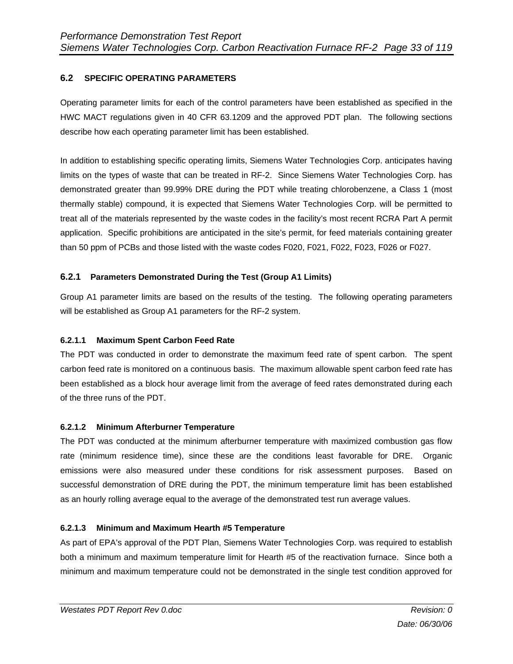# **6.2 SPECIFIC OPERATING PARAMETERS**

Operating parameter limits for each of the control parameters have been established as specified in the HWC MACT regulations given in 40 CFR 63.1209 and the approved PDT plan. The following sections describe how each operating parameter limit has been established.

In addition to establishing specific operating limits, Siemens Water Technologies Corp. anticipates having limits on the types of waste that can be treated in RF-2. Since Siemens Water Technologies Corp. has demonstrated greater than 99.99% DRE during the PDT while treating chlorobenzene, a Class 1 (most thermally stable) compound, it is expected that Siemens Water Technologies Corp. will be permitted to treat all of the materials represented by the waste codes in the facility's most recent RCRA Part A permit application. Specific prohibitions are anticipated in the site's permit, for feed materials containing greater than 50 ppm of PCBs and those listed with the waste codes F020, F021, F022, F023, F026 or F027.

## **6.2.1 Parameters Demonstrated During the Test (Group A1 Limits)**

Group A1 parameter limits are based on the results of the testing. The following operating parameters will be established as Group A1 parameters for the RF-2 system.

#### **6.2.1.1 Maximum Spent Carbon Feed Rate**

The PDT was conducted in order to demonstrate the maximum feed rate of spent carbon. The spent carbon feed rate is monitored on a continuous basis. The maximum allowable spent carbon feed rate has been established as a block hour average limit from the average of feed rates demonstrated during each of the three runs of the PDT.

#### **6.2.1.2 Minimum Afterburner Temperature**

The PDT was conducted at the minimum afterburner temperature with maximized combustion gas flow rate (minimum residence time), since these are the conditions least favorable for DRE. Organic emissions were also measured under these conditions for risk assessment purposes. Based on successful demonstration of DRE during the PDT, the minimum temperature limit has been established as an hourly rolling average equal to the average of the demonstrated test run average values.

#### **6.2.1.3 Minimum and Maximum Hearth #5 Temperature**

As part of EPA's approval of the PDT Plan, Siemens Water Technologies Corp. was required to establish both a minimum and maximum temperature limit for Hearth #5 of the reactivation furnace. Since both a minimum and maximum temperature could not be demonstrated in the single test condition approved for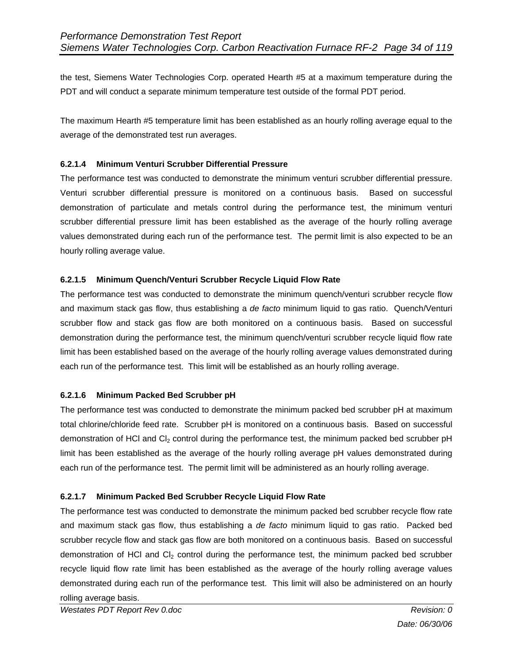the test, Siemens Water Technologies Corp. operated Hearth #5 at a maximum temperature during the PDT and will conduct a separate minimum temperature test outside of the formal PDT period.

The maximum Hearth #5 temperature limit has been established as an hourly rolling average equal to the average of the demonstrated test run averages.

#### **6.2.1.4 Minimum Venturi Scrubber Differential Pressure**

The performance test was conducted to demonstrate the minimum venturi scrubber differential pressure. Venturi scrubber differential pressure is monitored on a continuous basis. Based on successful demonstration of particulate and metals control during the performance test, the minimum venturi scrubber differential pressure limit has been established as the average of the hourly rolling average values demonstrated during each run of the performance test. The permit limit is also expected to be an hourly rolling average value.

#### **6.2.1.5 Minimum Quench/Venturi Scrubber Recycle Liquid Flow Rate**

The performance test was conducted to demonstrate the minimum quench/venturi scrubber recycle flow and maximum stack gas flow, thus establishing a *de facto* minimum liquid to gas ratio. Quench/Venturi scrubber flow and stack gas flow are both monitored on a continuous basis. Based on successful demonstration during the performance test, the minimum quench/venturi scrubber recycle liquid flow rate limit has been established based on the average of the hourly rolling average values demonstrated during each run of the performance test. This limit will be established as an hourly rolling average.

#### **6.2.1.6 Minimum Packed Bed Scrubber pH**

The performance test was conducted to demonstrate the minimum packed bed scrubber pH at maximum total chlorine/chloride feed rate. Scrubber pH is monitored on a continuous basis. Based on successful demonstration of HCl and Cl<sub>2</sub> control during the performance test, the minimum packed bed scrubber pH limit has been established as the average of the hourly rolling average pH values demonstrated during each run of the performance test. The permit limit will be administered as an hourly rolling average.

#### **6.2.1.7 Minimum Packed Bed Scrubber Recycle Liquid Flow Rate**

The performance test was conducted to demonstrate the minimum packed bed scrubber recycle flow rate and maximum stack gas flow, thus establishing a *de facto* minimum liquid to gas ratio. Packed bed scrubber recycle flow and stack gas flow are both monitored on a continuous basis. Based on successful demonstration of HCl and  $Cl<sub>2</sub>$  control during the performance test, the minimum packed bed scrubber recycle liquid flow rate limit has been established as the average of the hourly rolling average values demonstrated during each run of the performance test. This limit will also be administered on an hourly rolling average basis.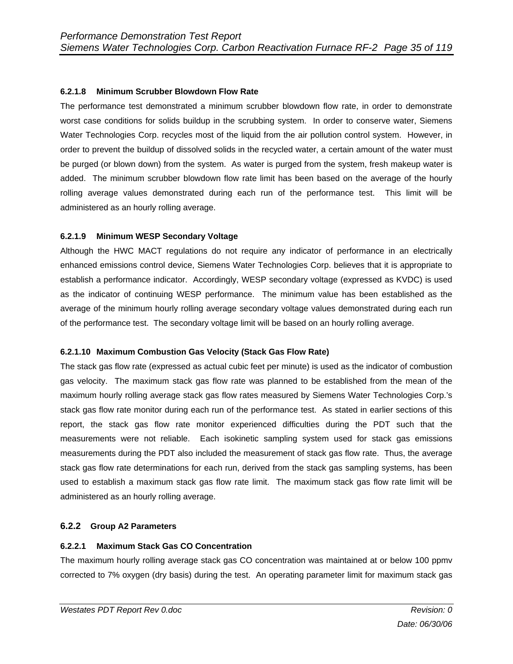## **6.2.1.8 Minimum Scrubber Blowdown Flow Rate**

The performance test demonstrated a minimum scrubber blowdown flow rate, in order to demonstrate worst case conditions for solids buildup in the scrubbing system. In order to conserve water, Siemens Water Technologies Corp. recycles most of the liquid from the air pollution control system. However, in order to prevent the buildup of dissolved solids in the recycled water, a certain amount of the water must be purged (or blown down) from the system. As water is purged from the system, fresh makeup water is added. The minimum scrubber blowdown flow rate limit has been based on the average of the hourly rolling average values demonstrated during each run of the performance test. This limit will be administered as an hourly rolling average.

#### **6.2.1.9 Minimum WESP Secondary Voltage**

Although the HWC MACT regulations do not require any indicator of performance in an electrically enhanced emissions control device, Siemens Water Technologies Corp. believes that it is appropriate to establish a performance indicator. Accordingly, WESP secondary voltage (expressed as KVDC) is used as the indicator of continuing WESP performance. The minimum value has been established as the average of the minimum hourly rolling average secondary voltage values demonstrated during each run of the performance test. The secondary voltage limit will be based on an hourly rolling average.

#### **6.2.1.10 Maximum Combustion Gas Velocity (Stack Gas Flow Rate)**

The stack gas flow rate (expressed as actual cubic feet per minute) is used as the indicator of combustion gas velocity. The maximum stack gas flow rate was planned to be established from the mean of the maximum hourly rolling average stack gas flow rates measured by Siemens Water Technologies Corp.'s stack gas flow rate monitor during each run of the performance test. As stated in earlier sections of this report, the stack gas flow rate monitor experienced difficulties during the PDT such that the measurements were not reliable. Each isokinetic sampling system used for stack gas emissions measurements during the PDT also included the measurement of stack gas flow rate. Thus, the average stack gas flow rate determinations for each run, derived from the stack gas sampling systems, has been used to establish a maximum stack gas flow rate limit. The maximum stack gas flow rate limit will be administered as an hourly rolling average.

#### **6.2.2 Group A2 Parameters**

#### **6.2.2.1 Maximum Stack Gas CO Concentration**

The maximum hourly rolling average stack gas CO concentration was maintained at or below 100 ppmv corrected to 7% oxygen (dry basis) during the test. An operating parameter limit for maximum stack gas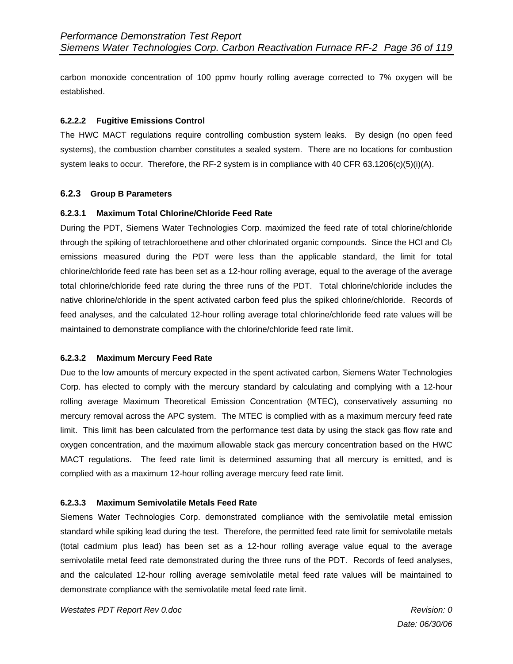carbon monoxide concentration of 100 ppmv hourly rolling average corrected to 7% oxygen will be established.

#### **6.2.2.2 Fugitive Emissions Control**

The HWC MACT regulations require controlling combustion system leaks. By design (no open feed systems), the combustion chamber constitutes a sealed system. There are no locations for combustion system leaks to occur. Therefore, the RF-2 system is in compliance with 40 CFR 63.1206(c)(5)(i)(A).

#### **6.2.3 Group B Parameters**

#### **6.2.3.1 Maximum Total Chlorine/Chloride Feed Rate**

During the PDT, Siemens Water Technologies Corp. maximized the feed rate of total chlorine/chloride through the spiking of tetrachloroethene and other chlorinated organic compounds. Since the HCl and Cl<sub>2</sub> emissions measured during the PDT were less than the applicable standard, the limit for total chlorine/chloride feed rate has been set as a 12-hour rolling average, equal to the average of the average total chlorine/chloride feed rate during the three runs of the PDT. Total chlorine/chloride includes the native chlorine/chloride in the spent activated carbon feed plus the spiked chlorine/chloride. Records of feed analyses, and the calculated 12-hour rolling average total chlorine/chloride feed rate values will be maintained to demonstrate compliance with the chlorine/chloride feed rate limit.

#### **6.2.3.2 Maximum Mercury Feed Rate**

Due to the low amounts of mercury expected in the spent activated carbon, Siemens Water Technologies Corp. has elected to comply with the mercury standard by calculating and complying with a 12-hour rolling average Maximum Theoretical Emission Concentration (MTEC), conservatively assuming no mercury removal across the APC system. The MTEC is complied with as a maximum mercury feed rate limit. This limit has been calculated from the performance test data by using the stack gas flow rate and oxygen concentration, and the maximum allowable stack gas mercury concentration based on the HWC MACT regulations. The feed rate limit is determined assuming that all mercury is emitted, and is complied with as a maximum 12-hour rolling average mercury feed rate limit.

#### **6.2.3.3 Maximum Semivolatile Metals Feed Rate**

Siemens Water Technologies Corp. demonstrated compliance with the semivolatile metal emission standard while spiking lead during the test. Therefore, the permitted feed rate limit for semivolatile metals (total cadmium plus lead) has been set as a 12-hour rolling average value equal to the average semivolatile metal feed rate demonstrated during the three runs of the PDT. Records of feed analyses, and the calculated 12-hour rolling average semivolatile metal feed rate values will be maintained to demonstrate compliance with the semivolatile metal feed rate limit.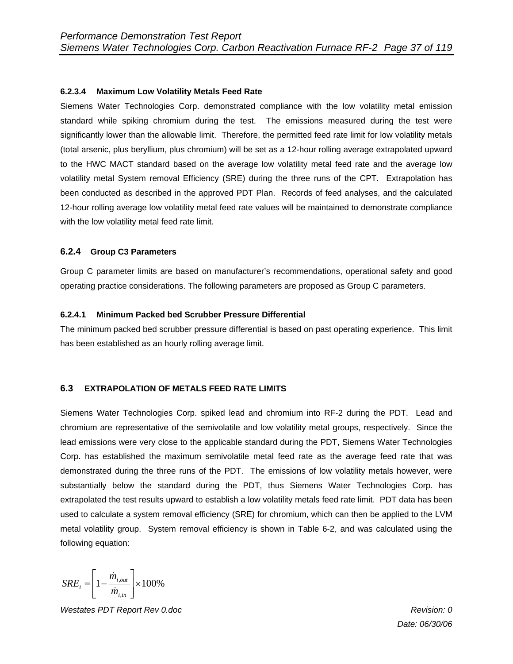#### **6.2.3.4 Maximum Low Volatility Metals Feed Rate**

Siemens Water Technologies Corp. demonstrated compliance with the low volatility metal emission standard while spiking chromium during the test. The emissions measured during the test were significantly lower than the allowable limit. Therefore, the permitted feed rate limit for low volatility metals (total arsenic, plus beryllium, plus chromium) will be set as a 12-hour rolling average extrapolated upward to the HWC MACT standard based on the average low volatility metal feed rate and the average low volatility metal System removal Efficiency (SRE) during the three runs of the CPT. Extrapolation has been conducted as described in the approved PDT Plan. Records of feed analyses, and the calculated 12-hour rolling average low volatility metal feed rate values will be maintained to demonstrate compliance with the low volatility metal feed rate limit.

#### **6.2.4 Group C3 Parameters**

Group C parameter limits are based on manufacturer's recommendations, operational safety and good operating practice considerations. The following parameters are proposed as Group C parameters.

#### **6.2.4.1 Minimum Packed bed Scrubber Pressure Differential**

The minimum packed bed scrubber pressure differential is based on past operating experience. This limit has been established as an hourly rolling average limit.

#### **6.3 EXTRAPOLATION OF METALS FEED RATE LIMITS**

Siemens Water Technologies Corp. spiked lead and chromium into RF-2 during the PDT. Lead and chromium are representative of the semivolatile and low volatility metal groups, respectively. Since the lead emissions were very close to the applicable standard during the PDT, Siemens Water Technologies Corp. has established the maximum semivolatile metal feed rate as the average feed rate that was demonstrated during the three runs of the PDT. The emissions of low volatility metals however, were substantially below the standard during the PDT, thus Siemens Water Technologies Corp. has extrapolated the test results upward to establish a low volatility metals feed rate limit. PDT data has been used to calculate a system removal efficiency (SRE) for chromium, which can then be applied to the LVM metal volatility group. System removal efficiency is shown in Table 6-2, and was calculated using the following equation:

$$
SRE_i = \left[1 - \frac{\dot{m}_{i,out}}{\dot{m}_{i,in}}\right] \times 100\%
$$

*Westates PDT Report Rev 0.doc Revision: 0*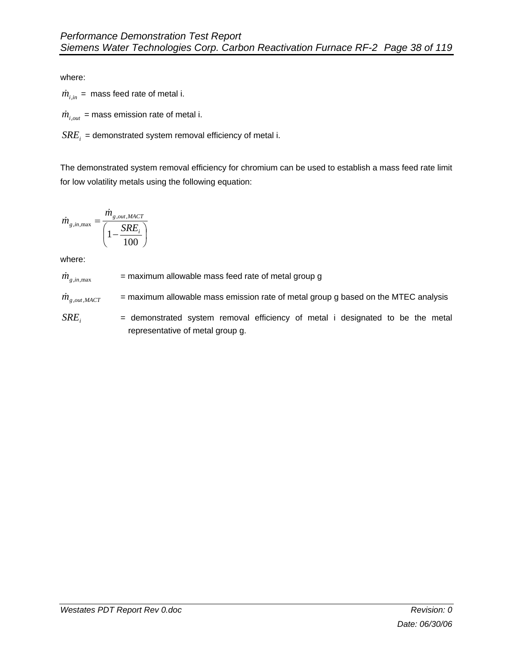where:

 $\dot{m}_{i,in}$  = mass feed rate of metal i.

 $\dot{m}_{i, out}$  = mass emission rate of metal i.

 $SRE_i$  = demonstrated system removal efficiency of metal i.

The demonstrated system removal efficiency for chromium can be used to establish a mass feed rate limit for low volatility metals using the following equation:

$$
\dot{m}_{g, in, \max} = \frac{\dot{m}_{g, out, MACT}}{\left(1 - \frac{SRE_i}{100}\right)}
$$

where:

 $\dot{m}_{g,i n, \text{max}}$  = maximum allowable mass feed rate of metal group g

 $\dot{m}_{g,out,MACT}$  = maximum allowable mass emission rate of metal group g based on the MTEC analysis

 $SRE$ <sub>i</sub> = demonstrated system removal efficiency of metal i designated to be the metal representative of metal group g.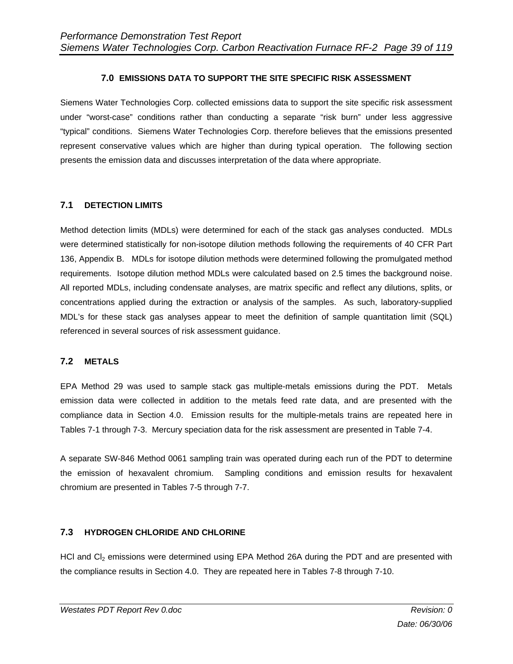### **7.0 EMISSIONS DATA TO SUPPORT THE SITE SPECIFIC RISK ASSESSMENT**

Siemens Water Technologies Corp. collected emissions data to support the site specific risk assessment under "worst-case" conditions rather than conducting a separate "risk burn" under less aggressive "typical" conditions. Siemens Water Technologies Corp. therefore believes that the emissions presented represent conservative values which are higher than during typical operation. The following section presents the emission data and discusses interpretation of the data where appropriate.

### **7.1 DETECTION LIMITS**

Method detection limits (MDLs) were determined for each of the stack gas analyses conducted. MDLs were determined statistically for non-isotope dilution methods following the requirements of 40 CFR Part 136, Appendix B. MDLs for isotope dilution methods were determined following the promulgated method requirements. Isotope dilution method MDLs were calculated based on 2.5 times the background noise. All reported MDLs, including condensate analyses, are matrix specific and reflect any dilutions, splits, or concentrations applied during the extraction or analysis of the samples. As such, laboratory-supplied MDL's for these stack gas analyses appear to meet the definition of sample quantitation limit (SQL) referenced in several sources of risk assessment guidance.

### **7.2 METALS**

EPA Method 29 was used to sample stack gas multiple-metals emissions during the PDT. Metals emission data were collected in addition to the metals feed rate data, and are presented with the compliance data in Section 4.0. Emission results for the multiple-metals trains are repeated here in Tables 7-1 through 7-3. Mercury speciation data for the risk assessment are presented in Table 7-4.

A separate SW-846 Method 0061 sampling train was operated during each run of the PDT to determine the emission of hexavalent chromium. Sampling conditions and emission results for hexavalent chromium are presented in Tables 7-5 through 7-7.

### **7.3 HYDROGEN CHLORIDE AND CHLORINE**

HCl and Cl<sub>2</sub> emissions were determined using EPA Method 26A during the PDT and are presented with the compliance results in Section 4.0. They are repeated here in Tables 7-8 through 7-10.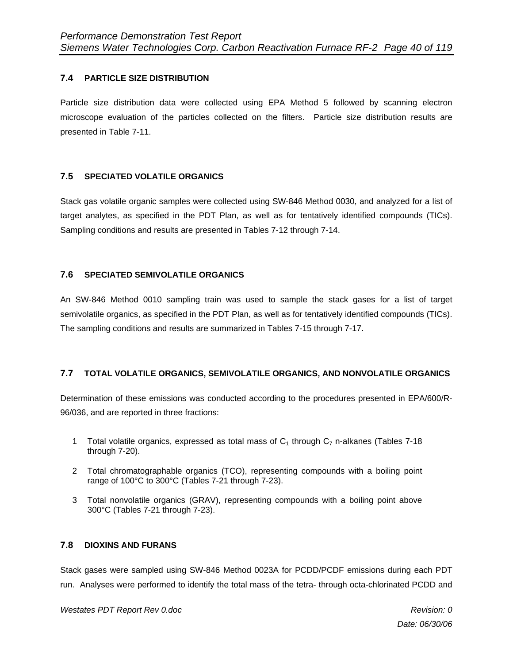### **7.4 PARTICLE SIZE DISTRIBUTION**

Particle size distribution data were collected using EPA Method 5 followed by scanning electron microscope evaluation of the particles collected on the filters. Particle size distribution results are presented in Table 7-11.

#### **7.5 SPECIATED VOLATILE ORGANICS**

Stack gas volatile organic samples were collected using SW-846 Method 0030, and analyzed for a list of target analytes, as specified in the PDT Plan, as well as for tentatively identified compounds (TICs). Sampling conditions and results are presented in Tables 7-12 through 7-14.

### **7.6 SPECIATED SEMIVOLATILE ORGANICS**

An SW-846 Method 0010 sampling train was used to sample the stack gases for a list of target semivolatile organics, as specified in the PDT Plan, as well as for tentatively identified compounds (TICs). The sampling conditions and results are summarized in Tables 7-15 through 7-17.

### **7.7 TOTAL VOLATILE ORGANICS, SEMIVOLATILE ORGANICS, AND NONVOLATILE ORGANICS**

Determination of these emissions was conducted according to the procedures presented in EPA/600/R-96/036, and are reported in three fractions:

- 1 Total volatile organics, expressed as total mass of  $C_1$  through  $C_7$  n-alkanes (Tables 7-18 through 7-20).
- 2 Total chromatographable organics (TCO), representing compounds with a boiling point range of 100°C to 300°C (Tables 7-21 through 7-23).
- 3 Total nonvolatile organics (GRAV), representing compounds with a boiling point above 300°C (Tables 7-21 through 7-23).

#### **7.8 DIOXINS AND FURANS**

Stack gases were sampled using SW-846 Method 0023A for PCDD/PCDF emissions during each PDT run. Analyses were performed to identify the total mass of the tetra- through octa-chlorinated PCDD and